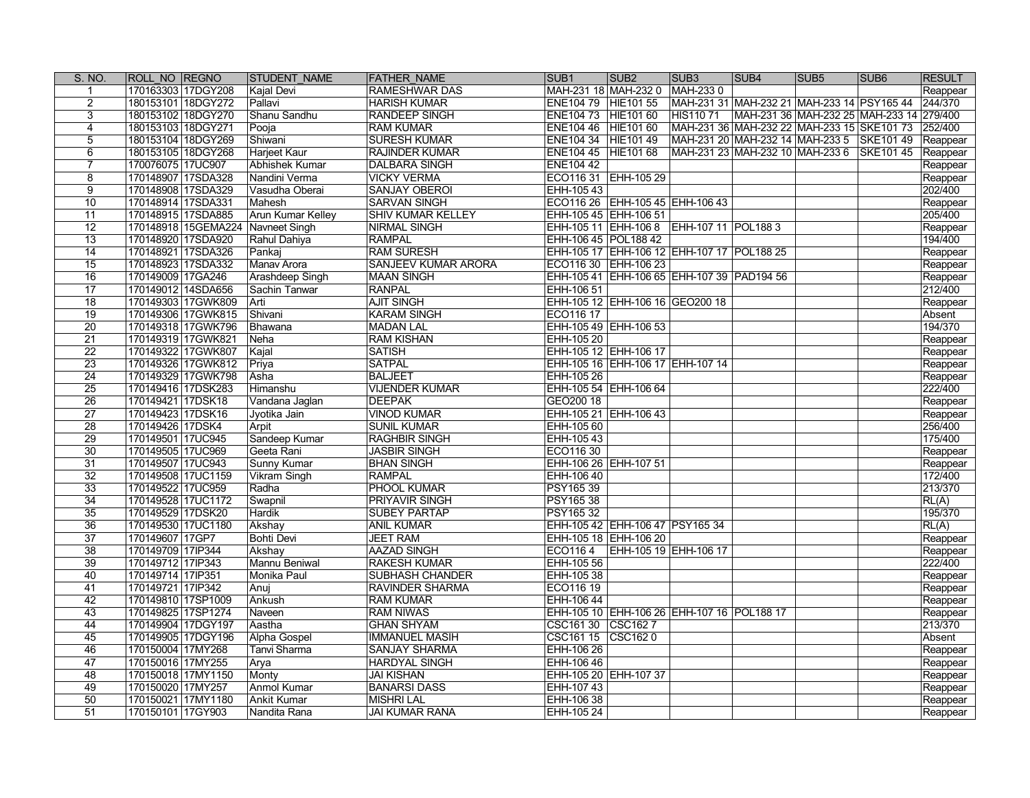| S. NO.          | ROLL NO REGNO                     | <b>STUDENT NAME</b>      | <b>FATHER NAME</b>         | SUB <sub>1</sub>      | SUB <sub>2</sub>                           | SUB <sub>3</sub> | SUB4                                       | SUB <sub>5</sub> | SUB <sub>6</sub> | <b>RESULT</b> |
|-----------------|-----------------------------------|--------------------------|----------------------------|-----------------------|--------------------------------------------|------------------|--------------------------------------------|------------------|------------------|---------------|
|                 | 170163303 17DGY208                | Kajal Devi               | <b>RAMESHWAR DAS</b>       | MAH-231 18 MAH-232 0  |                                            | MAH-2330         |                                            |                  |                  | Reappear      |
| $\overline{2}$  | 180153101 18DGY272                | Pallavi                  | <b>HARISH KUMAR</b>        | ENE104 79 HIE101 55   |                                            |                  | MAH-231 31 MAH-232 21 MAH-233 14 PSY165 44 |                  |                  | 244/370       |
| 3               | 180153102 18DGY270                | Shanu Sandhu             | <b>RANDEEP SINGH</b>       | ENE104 73 HIE101 60   |                                            | HIS110 71        | MAH-231 36 MAH-232 25 MAH-233 14 279/400   |                  |                  |               |
| 4               | 180153103 18DGY271                | Pooja                    | <b>RAM KUMAR</b>           | ENE104 46 HIE101 60   |                                            |                  | MAH-231 36 MAH-232 22 MAH-233 15 SKE101 73 |                  |                  | 252/400       |
| 5               | 180153104 18DGY269                | Shiwani                  | <b>SURESH KUMAR</b>        | ENE104 34 HIE101 49   |                                            |                  | MAH-231 20 MAH-232 14 MAH-233 5 SKE101 49  |                  |                  | Reappear      |
| 6               | 180153105 18DGY268                | Harjeet Kaur             | <b>RAJINDER KUMAR</b>      | ENE104 45 HIE101 68   |                                            |                  | MAH-231 23 MAH-232 10 MAH-233 6 SKE101 45  |                  |                  | Reappear      |
|                 | 170076075 17UC907                 | Abhishek Kumar           | <b>DALBARA SINGH</b>       | <b>ENE104 42</b>      |                                            |                  |                                            |                  |                  | Reappear      |
| 8               | 170148907 17SDA328                | Nandini Verma            | <b>VICKY VERMA</b>         |                       | ECO116 31 EHH-105 29                       |                  |                                            |                  |                  | Reappear      |
| 9               | 170148908 17SDA329                | Vasudha Oberai           | <b>SANJAY OBEROI</b>       | EHH-105 43            |                                            |                  |                                            |                  |                  | 202/400       |
| 10              | 170148914 17SDA331                | Mahesh                   | <b>SARVAN SINGH</b>        |                       | ECO116 26 EHH-105 45 EHH-106 43            |                  |                                            |                  |                  | Reappear      |
| 11              | 170148915 17SDA885                | <b>Arun Kumar Kelley</b> | <b>SHIV KUMAR KELLEY</b>   |                       | EHH-105 45 EHH-106 51                      |                  |                                            |                  |                  | 205/400       |
| 12              | 170148918 15GEMA224 Navneet Singh |                          | NIRMAL SINGH               |                       | EHH-105 11 EHH-106 8 EHH-107 11 POL188 3   |                  |                                            |                  |                  | Reappear      |
| 13              | 170148920 17SDA920                | Rahul Dahiya             | <b>RAMPAL</b>              | EHH-106 45 POL188 42  |                                            |                  |                                            |                  |                  | 194/400       |
| 14              | 170148921 17SDA326                | Pankaj                   | <b>RAM SURESH</b>          |                       | EHH-105 17 EHH-106 12 EHH-107 17 POL188 25 |                  |                                            |                  |                  | Reappear      |
| 15              | 170148923 17SDA332                | Manav Arora              | <b>SANJEEV KUMAR ARORA</b> |                       | ECO116 30 EHH-106 23                       |                  |                                            |                  |                  | Reappear      |
| 16              | 170149009 17GA246                 | <b>Arashdeep Singh</b>   | MAAN SINGH                 |                       | EHH-105 41 EHH-106 65 EHH-107 39 PAD194 56 |                  |                                            |                  |                  | Reappear      |
| 17              | 170149012 14SDA656                | Sachin Tanwar            | <b>RANPAL</b>              | EHH-106 51            |                                            |                  |                                            |                  |                  | 212/400       |
| 18              | 170149303 17GWK809                | Arti                     | <b>AJIT SINGH</b>          |                       | EHH-105 12 EHH-106 16 GEO200 18            |                  |                                            |                  |                  | Reappear      |
| $\overline{19}$ | 170149306 17GWK815                | Shivani                  | <b>KARAM SINGH</b>         | ECO116 17             |                                            |                  |                                            |                  |                  | Absent        |
| $\overline{20}$ | 170149318 17GWK796                | Bhawana                  | <b>MADAN LAL</b>           |                       | EHH-105 49 EHH-106 53                      |                  |                                            |                  |                  | 194/370       |
| 21              | 170149319 17GWK821                | Neha                     | <b>RAM KISHAN</b>          | EHH-105 20            |                                            |                  |                                            |                  |                  | Reappear      |
| $\overline{22}$ | 170149322 17GWK807                | Kajal                    | <b>SATISH</b>              |                       | EHH-105 12 EHH-106 17                      |                  |                                            |                  |                  | Reappear      |
| $\overline{23}$ | 170149326 17GWK812                | Priya                    | <b>SATPAL</b>              |                       | EHH-105 16 EHH-106 17 EHH-107 14           |                  |                                            |                  |                  | Reappear      |
| 24              | 170149329 17GWK798                | Asha                     | <b>BALJEET</b>             | EHH-105 26            |                                            |                  |                                            |                  |                  | Reappear      |
| 25              | 170149416 17DSK283                | Himanshu                 | <b>VIJENDER KUMAR</b>      |                       | EHH-105 54 EHH-106 64                      |                  |                                            |                  |                  | 222/400       |
| 26              | 170149421 17DSK18                 | Vandana Jaglan           | <b>DEEPAK</b>              | GEO200 18             |                                            |                  |                                            |                  |                  | Reappear      |
| 27              | 170149423 17DSK16                 | Jyotika Jain             | <b>VINOD KUMAR</b>         |                       | EHH-105 21 EHH-106 43                      |                  |                                            |                  |                  | Reappear      |
| 28              | 170149426 17DSK4                  | Arpit                    | <b>SUNIL KUMAR</b>         | EHH-105 60            |                                            |                  |                                            |                  |                  | 256/400       |
| $\overline{29}$ | 170149501 17UC945                 | Sandeep Kumar            | <b>RAGHBIR SINGH</b>       | EHH-105 43            |                                            |                  |                                            |                  |                  | 175/400       |
| 30              | 170149505 17UC969                 | Geeta Rani               | <b>JASBIR SINGH</b>        | ECO116 30             |                                            |                  |                                            |                  |                  | Reappear      |
| $\overline{31}$ | 170149507 17UC943                 | Sunny Kumar              | <b>BHAN SINGH</b>          | EHH-106 26 EHH-107 51 |                                            |                  |                                            |                  |                  | Reappear      |
| $\overline{32}$ | 170149508 17UC1159                | <b>Vikram Singh</b>      | <b>RAMPAL</b>              | EHH-106 40            |                                            |                  |                                            |                  |                  | 172/400       |
| $\overline{33}$ | 170149522 17UC959                 | Radha                    | <b>PHOOL KUMAR</b>         | PSY165 39             |                                            |                  |                                            |                  |                  | 213/370       |
| 34              | 170149528 17UC1172                | Swapnil                  | <b>PRIYAVIR SINGH</b>      | PSY165 38             |                                            |                  |                                            |                  |                  | RL(A)         |
| 35              | 170149529 17DSK20                 | Hardik                   | <b>SUBEY PARTAP</b>        | PSY165 32             |                                            |                  |                                            |                  |                  | 195/370       |
| $\overline{36}$ | 170149530 17UC1180                | Akshay                   | <b>ANIL KUMAR</b>          |                       | EHH-105 42 EHH-106 47 PSY165 34            |                  |                                            |                  |                  | RL(A)         |
| 37              | 170149607 17GP7                   | Bohti Devi               | <b>JEET RAM</b>            |                       | EHH-105 18 EHH-106 20                      |                  |                                            |                  |                  | Reappear      |
| $\overline{38}$ | 170149709 17IP344                 | Akshay                   | <b>AAZAD SINGH</b>         | ECO1164               | EHH-105 19 EHH-106 17                      |                  |                                            |                  |                  | Reappear      |
| 39              | 170149712 17IP343                 | Mannu Beniwal            | <b>RAKESH KUMAR</b>        | EHH-105 56            |                                            |                  |                                            |                  |                  | 222/400       |
| 40              | 170149714 17IP351                 | Monika Paul              | <b>SUBHASH CHANDER</b>     | EHH-105 38            |                                            |                  |                                            |                  |                  | Reappear      |
| 41              | 170149721 17IP342                 | Anuj                     | <b>RAVINDER SHARMA</b>     | ECO116 19             |                                            |                  |                                            |                  |                  | Reappear      |
| 42              | 170149810 17SP1009                | Ankush                   | <b>RAM KUMAR</b>           | EHH-106 44            |                                            |                  |                                            |                  |                  | Reappear      |
| 43              | 170149825 17SP1274                | Naveen                   | <b>RAM NIWAS</b>           |                       | EHH-105 10 EHH-106 26 EHH-107 16 POL188 17 |                  |                                            |                  |                  | Reappear      |
| 44              | 170149904 17DGY197                | Aastha                   | <b>GHAN SHYAM</b>          | CSC161 30 CSC162 7    |                                            |                  |                                            |                  |                  | 213/370       |
| 45              | 170149905 17DGY196                | Alpha Gospel             | <b>IMMANUEL MASIH</b>      | CSC161 15 CSC162 0    |                                            |                  |                                            |                  |                  | Absent        |
| 46              | 170150004 17MY268                 | Tanvi Sharma             | <b>SANJAY SHARMA</b>       | EHH-106 26            |                                            |                  |                                            |                  |                  | Reappear      |
| 47              | 170150016 17MY255                 | Arya                     | <b>HARDYAL SINGH</b>       | EHH-106 46            |                                            |                  |                                            |                  |                  | Reappear      |
| 48              | 170150018 17MY1150                | Monty                    | <b>JAI KISHAN</b>          |                       | EHH-105 20 EHH-107 37                      |                  |                                            |                  |                  | Reappear      |
| 49              | 170150020 17MY257                 | <b>Anmol Kumar</b>       | <b>BANARSI DASS</b>        | EHH-107 43            |                                            |                  |                                            |                  |                  | Reappear      |
| 50              | 170150021 17MY1180                | <b>Ankit Kumar</b>       | <b>MISHRI LAL</b>          | EHH-106 38            |                                            |                  |                                            |                  |                  | Reappear      |
| 51              | 170150101 17GY903                 | Nandita Rana             | <b>JAI KUMAR RANA</b>      | EHH-105 24            |                                            |                  |                                            |                  |                  | Reappear      |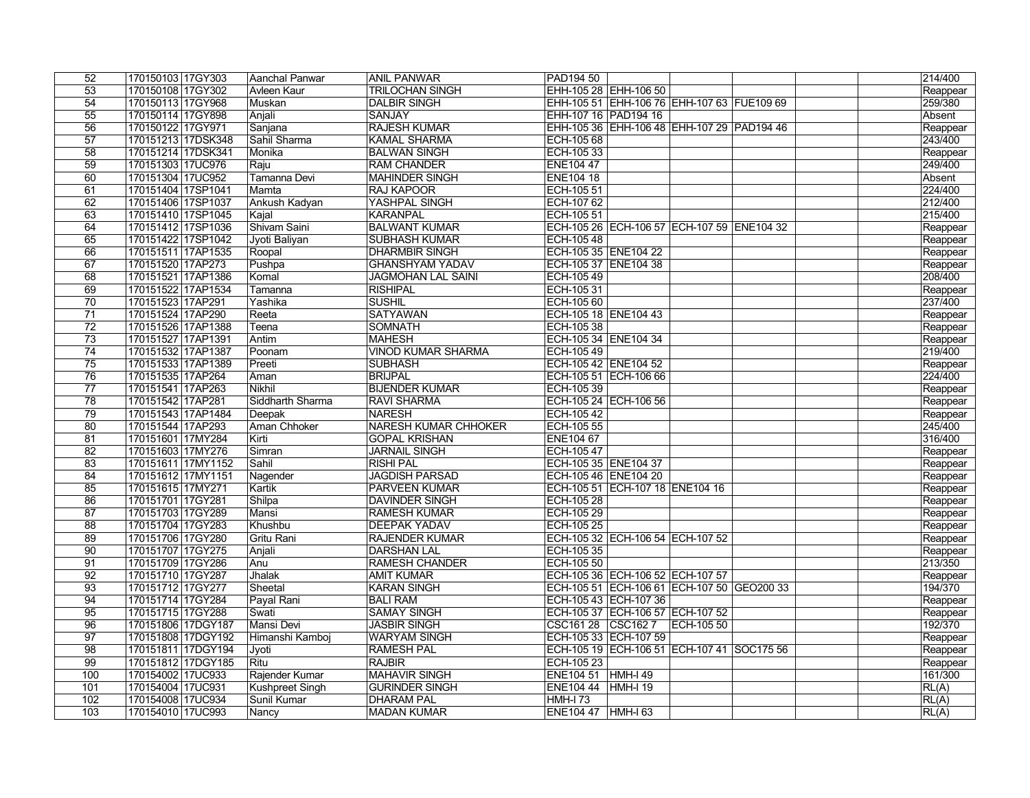| 52              | 170150103 17GY303  | Aanchal Panwar   | <b>ANIL PANWAR</b>          | PAD194 50            |                                            |            |  | $\sqrt{214/400}$ |
|-----------------|--------------------|------------------|-----------------------------|----------------------|--------------------------------------------|------------|--|------------------|
| 53              | 170150108 17GY302  | Avleen Kaur      | <b>TRILOCHAN SINGH</b>      |                      | EHH-105 28 EHH-106 50                      |            |  | Reappear         |
| 54              | 170150113 17GY968  | Muskan           | <b>DALBIR SINGH</b>         |                      | EHH-105 51 EHH-106 76 EHH-107 63 FUE109 69 |            |  | 259/380          |
| 55              | 170150114 17GY898  | Anjali           | <b>SANJAY</b>               | EHH-107 16 PAD194 16 |                                            |            |  | Absent           |
| 56              | 170150122 17GY971  | Sanjana          | <b>RAJESH KUMAR</b>         |                      | EHH-105 36 EHH-106 48 EHH-107 29 PAD194 46 |            |  | Reappear         |
| 57              | 170151213 17DSK348 | Sahil Sharma     | <b>KAMAL SHARMA</b>         | ECH-105 68           |                                            |            |  | 243/400          |
| 58              | 170151214 17DSK341 | Monika           | <b>BALWAN SINGH</b>         | ECH-105 33           |                                            |            |  | Reappear         |
| 59              | 170151303 17UC976  | Raju             | <b>RAM CHANDER</b>          | ENE104 47            |                                            |            |  | 249/400          |
| 60              | 170151304 17UC952  | Tamanna Devi     | <b>MAHINDER SINGH</b>       | <b>ENE104 18</b>     |                                            |            |  | Absent           |
| 61              | 170151404 17SP1041 | Mamta            | <b>RAJ KAPOOR</b>           | ECH-105 51           |                                            |            |  | 224/400          |
| 62              | 170151406 17SP1037 | Ankush Kadyan    | YASHPAL SINGH               | ECH-107 62           |                                            |            |  | 212/400          |
| 63              | 170151410 17SP1045 | Kajal            | <b>KARANPAL</b>             | ECH-105 51           |                                            |            |  | 215/400          |
| 64              | 170151412 17SP1036 | Shivam Saini     | <b>BALWANT KUMAR</b>        |                      | ECH-105 26 ECH-106 57 ECH-107 59 ENE104 32 |            |  | Reappear         |
| 65              | 170151422 17SP1042 | Jyoti Baliyan    | <b>SUBHASH KUMAR</b>        | ECH-105 48           |                                            |            |  | Reappear         |
| 66              | 170151511 17AP1535 | Roopal           | <b>DHARMBIR SINGH</b>       | ECH-105 35 ENE104 22 |                                            |            |  | Reappear         |
| 67              | 170151520 17AP273  | Pushpa           | <b>GHANSHYAM YADAV</b>      | ECH-105 37 ENE104 38 |                                            |            |  | Reappear         |
| 68              | 170151521 17AP1386 | Komal            | <b>JAGMOHAN LAL SAINI</b>   | ECH-105 49           |                                            |            |  | 208/400          |
| 69              | 170151522 17AP1534 | Tamanna          | <b>RISHIPAL</b>             | ECH-105 31           |                                            |            |  | Reappear         |
| $\overline{70}$ | 170151523 17AP291  | Yashika          | <b>SUSHIL</b>               | ECH-105 60           |                                            |            |  | 237/400          |
| $\overline{71}$ | 170151524 17AP290  | Reeta            | <b>SATYAWAN</b>             | ECH-105 18 ENE104 43 |                                            |            |  | Reappear         |
| $\overline{72}$ | 170151526 17AP1388 | Teena            | <b>SOMNATH</b>              | ECH-105 38           |                                            |            |  | Reappear         |
| $\overline{73}$ | 170151527 17AP1391 | Antim            | <b>MAHESH</b>               | ECH-105 34 ENE104 34 |                                            |            |  | Reappear         |
| $\overline{74}$ | 170151532 17AP1387 | Poonam           | <b>VINOD KUMAR SHARMA</b>   | ECH-105 49           |                                            |            |  | 219/400          |
| 75              | 170151533 17AP1389 | Preeti           | <b>SUBHASH</b>              | ECH-105 42 ENE104 52 |                                            |            |  | Reappear         |
| 76              | 170151535 17AP264  | Aman             | <b>BRIJPAL</b>              |                      | ECH-105 51 ECH-106 66                      |            |  | 224/400          |
| 77              | 170151541 17AP263  | Nikhil           | <b>BIJENDER KUMAR</b>       | ECH-105 39           |                                            |            |  | Reappear         |
| $\overline{78}$ | 170151542 17AP281  | Siddharth Sharma | <b>RAVI SHARMA</b>          |                      | ECH-105 24 ECH-106 56                      |            |  | Reappear         |
| 79              | 170151543 17AP1484 | Deepak           | <b>NARESH</b>               | ECH-105 42           |                                            |            |  | Reappear         |
| $\overline{80}$ | 170151544 17AP293  | Aman Chhoker     | <b>NARESH KUMAR CHHOKER</b> | ECH-105 55           |                                            |            |  | 245/400          |
| 81              | 170151601 17MY284  | Kirti            | <b>GOPAL KRISHAN</b>        | <b>ENE104 67</b>     |                                            |            |  | 316/400          |
| 82              | 170151603 17MY276  | Simran           | <b>JARNAIL SINGH</b>        | ECH-105 47           |                                            |            |  | Reappear         |
| 83              | 170151611 17MY1152 | Sahil            | <b>RISHI PAL</b>            | ECH-105 35 ENE104 37 |                                            |            |  | Reappear         |
| 84              | 170151612 17MY1151 | Nagender         | <b>JAGDISH PARSAD</b>       | ECH-105 46 ENE104 20 |                                            |            |  | Reappear         |
| 85              | 170151615 17MY271  | Kartik           | <b>PARVEEN KUMAR</b>        |                      | ECH-105 51 ECH-107 18 ENE104 16            |            |  | Reappear         |
| 86              | 170151701 17GY281  | Shilpa           | <b>DAVINDER SINGH</b>       | ECH-105 28           |                                            |            |  | Reappear         |
| 87              | 170151703 17GY289  | Mansi            | <b>RAMESH KUMAR</b>         | ECH-105 29           |                                            |            |  | Reappear         |
| 88              | 170151704 17GY283  | Khushbu          | <b>DEEPAK YADAV</b>         | ECH-105 25           |                                            |            |  | Reappear         |
| 89              | 170151706 17GY280  | Gritu Rani       | <b>RAJENDER KUMAR</b>       |                      | ECH-105 32 ECH-106 54 ECH-107 52           |            |  | Reappear         |
| 90              | 170151707 17GY275  | Anjali           | <b>DARSHAN LAL</b>          | ECH-105 35           |                                            |            |  | Reappear         |
| 91              | 170151709 17GY286  | Anu              | <b>RAMESH CHANDER</b>       | ECH-105 50           |                                            |            |  | 213/350          |
| $\overline{92}$ | 170151710 17GY287  | Jhalak           | <b>AMIT KUMAR</b>           |                      | ECH-105 36 ECH-106 52 ECH-107 57           |            |  | Reappear         |
| $\overline{93}$ | 170151712 17GY277  | Sheetal          | <b>KARAN SINGH</b>          |                      | ECH-105 51 ECH-106 61 ECH-107 50 GEO200 33 |            |  | 194/370          |
| 94              | 170151714 17GY284  | Payal Rani       | <b>BALI RAM</b>             |                      | ECH-105 43 ECH-107 36                      |            |  | Reappear         |
| 95              | 170151715 17GY288  | Swati            | <b>SAMAY SINGH</b>          |                      | ECH-105 37 ECH-106 57 ECH-107 52           |            |  | Reappear         |
| 96              | 170151806 17DGY187 | Mansi Devi       | <b>JASBIR SINGH</b>         | CSC161 28 CSC162 7   |                                            | ECH-105 50 |  | 192/370          |
| $\overline{97}$ | 170151808 17DGY192 | Himanshi Kamboj  | <b>WARYAM SINGH</b>         |                      | ECH-105 33 ECH-107 59                      |            |  | Reappear         |
| 98              | 170151811 17DGY194 | Jyoti            | <b>RAMESH PAL</b>           |                      | ECH-105 19 ECH-106 51 ECH-107 41 SOC175 56 |            |  | Reappear         |
| 99              | 170151812 17DGY185 | Ritu             | <b>RAJBIR</b>               | ECH-105 23           |                                            |            |  | Reappear         |
| 100             | 170154002 17UC933  | Rajender Kumar   | <b>MAHAVIR SINGH</b>        | <b>ENE104 51</b>     | <b>HMH-I 49</b>                            |            |  | 161/300          |
| 101             | 170154004 17UC931  | Kushpreet Singh  | <b>GURINDER SINGH</b>       | ENE104 44 HMH-I 19   |                                            |            |  | RL(A)            |
| 102             | 170154008 17UC934  | Sunil Kumar      | <b>DHARAM PAL</b>           | <b>HMH-I 73</b>      |                                            |            |  | RL(A)            |
| 103             | 170154010 17UC993  | Nancy            | <b>MADAN KUMAR</b>          | ENE104 47 HMH-I 63   |                                            |            |  | RL(A)            |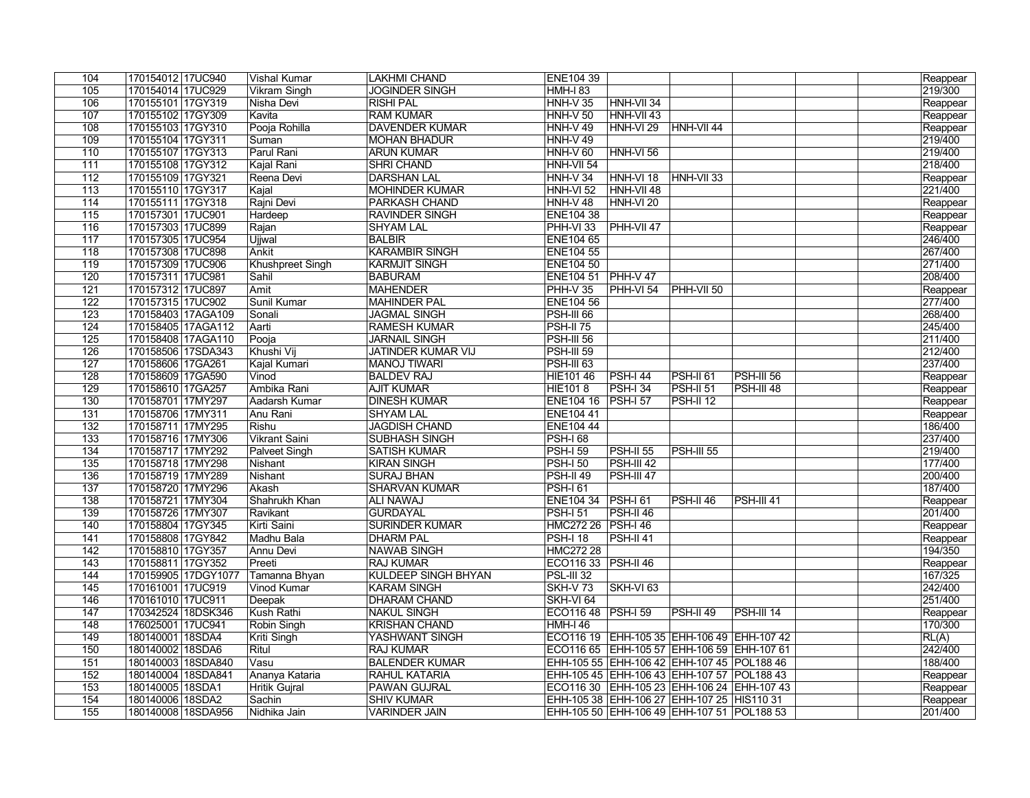| 104              | 170154012 17UC940   | <b>Vishal Kumar</b>     | <b>LAKHMI CHAND</b>        | <b>ENE104 39</b>     |                                               |                   |                   |  | Reappear |
|------------------|---------------------|-------------------------|----------------------------|----------------------|-----------------------------------------------|-------------------|-------------------|--|----------|
| 105              | 170154014 17UC929   | <b>Vikram Singh</b>     | <b>JOGINDER SINGH</b>      | <b>HMH-I 83</b>      |                                               |                   |                   |  | 219/300  |
| 106              | 170155101 17GY319   | Nisha Devi              | <b>RISHI PAL</b>           | <b>HNH-V 35</b>      | HNH-VII 34                                    |                   |                   |  | Reappear |
| 107              | 170155102 17GY309   | Kavita                  | <b>RAM KUMAR</b>           | $HNH-V$ 50           | HNH-VII 43                                    |                   |                   |  | Reappear |
| 108              | 170155103 17GY310   | Pooja Rohilla           | <b>DAVENDER KUMAR</b>      | $HNH-V49$            | <b>HNH-VI 29</b>                              | <b>HNH-VII 44</b> |                   |  | Reappear |
| 109              | 170155104 17GY311   | Suman                   | <b>MOHAN BHADUR</b>        | $HNH-V49$            |                                               |                   |                   |  | 219/400  |
| 110              | 170155107 17GY313   | Parul Rani              | <b>ARUN KUMAR</b>          | $HNH-V$ 60           | HNH-VI 56                                     |                   |                   |  | 219/400  |
| 111              | 170155108 17GY312   | Kajal Rani              | <b>SHRI CHAND</b>          | $HNH-VII$ 54         |                                               |                   |                   |  | 218/400  |
| 112              | 170155109 17GY321   | Reena Devi              | <b>DARSHAN LAL</b>         | $HNH-V34$            | HNH-VI 18                                     | $HNH-VII$ 33      |                   |  | Reappear |
| $\overline{113}$ | 170155110 17GY317   | Kajal                   | <b>MOHINDER KUMAR</b>      | HNH-VI 52            | HNH-VII 48                                    |                   |                   |  | 221/400  |
| 114              | 170155111 17GY318   | Rajni Devi              | <b>PARKASH CHAND</b>       | $HNH-V48$            | HNH-VI <sub>20</sub>                          |                   |                   |  | Reappear |
| 115              | 170157301 17UC901   | Hardeep                 | <b>RAVINDER SINGH</b>      | <b>ENE104 38</b>     |                                               |                   |                   |  | Reappear |
| 116              | 170157303 17UC899   | Rajan                   | <b>SHYAM LAL</b>           | $PHH-VI$ 33          | <b>PHH-VII 47</b>                             |                   |                   |  | Reappear |
| 117              | 170157305 17UC954   | Ujjwal                  | <b>BALBIR</b>              | <b>ENE104 65</b>     |                                               |                   |                   |  | 246/400  |
| 118              | 170157308 17UC898   | Ankit                   | <b>KARAMBIR SINGH</b>      | <b>ENE104 55</b>     |                                               |                   |                   |  | 267/400  |
| 119              | 170157309 17UC906   | <b>Khushpreet Singh</b> | <b>KARMJIT SINGH</b>       | <b>ENE104 50</b>     |                                               |                   |                   |  | 271/400  |
| 120              | 170157311 17UC981   | Sahil                   | <b>BABURAM</b>             | <b>ENE104 51</b>     | $ $ PHH-V 47                                  |                   |                   |  | 208/400  |
| $\overline{121}$ | 170157312 17UC897   | Amit                    | <b>MAHENDER</b>            | $PHH-V35$            | $PHH-VI$ 54                                   | <b>PHH-VII 50</b> |                   |  | Reappear |
| 122              | 170157315 17UC902   | <b>Sunil Kumar</b>      | <b>MAHINDER PAL</b>        | <b>ENE104 56</b>     |                                               |                   |                   |  | 277/400  |
| $\overline{123}$ | 170158403 17AGA109  | Sonali                  | <b>JAGMAL SINGH</b>        | <b>PSH-III 66</b>    |                                               |                   |                   |  | 268/400  |
| 124              | 170158405 17AGA112  | Aarti                   | <b>RAMESH KUMAR</b>        | PSH-II <sub>75</sub> |                                               |                   |                   |  | 245/400  |
| 125              | 170158408 17AGA110  | Pooja                   | <b>JARNAIL SINGH</b>       | $PSH-IIJ$ 56         |                                               |                   |                   |  | 211/400  |
| 126              | 170158506 17SDA343  | Khushi Vij              | <b>JATINDER KUMAR VIJ</b>  | <b>PSH-III 59</b>    |                                               |                   |                   |  | 212/400  |
| 127              | 170158606 17GA261   | Kajal Kumari            | <b>MANOJ TIWARI</b>        | <b>PSH-III 63</b>    |                                               |                   |                   |  | 237/400  |
| 128              | 170158609 17GA590   | Vinod                   | <b>BALDEV RAJ</b>          | HIE101 46            | $PSH-I$ 44                                    | $PSH-II 61$       | <b>PSH-III 56</b> |  | Reappear |
| 129              | 170158610 17GA257   | Ambika Rani             | <b>AJIT KUMAR</b>          | <b>HIE1018</b>       | $PSH-I$ 34                                    | $PSH-II 51$       | <b>PSH-III 48</b> |  | Reappear |
| 130              | 170158701 17MY297   | <b>Aadarsh Kumar</b>    | <b>DINESH KUMAR</b>        | <b>ENE104 16</b>     | $PSH-157$                                     | $PSH-II 12$       |                   |  | Reappear |
| 131              | 170158706 17MY311   | Anu Rani                | <b>SHYAM LAL</b>           | <b>ENE10441</b>      |                                               |                   |                   |  | Reappear |
| 132              | 170158711 17MY295   | Rishu                   | <b>JAGDISH CHAND</b>       | <b>ENE104 44</b>     |                                               |                   |                   |  | 186/400  |
| 133              | 170158716 17MY306   | <b>Vikrant Saini</b>    | <b>SUBHASH SINGH</b>       | $PSH-I 68$           |                                               |                   |                   |  | 237/400  |
| 134              | 170158717 17MY292   | <b>Palveet Singh</b>    | <b>SATISH KUMAR</b>        | $PSH-I$ 59           | <b>PSH-II 55</b>                              | PSH-III 55        |                   |  | 219/400  |
| $\overline{135}$ | 170158718 17MY298   | Nishant                 | <b>KIRAN SINGH</b>         | $PSH-I$ 50           | <b>PSH-III 42</b>                             |                   |                   |  | 177/400  |
| 136              | 170158719 17MY289   | Nishant                 | <b>SURAJ BHAN</b>          | $PSH-II$ 49          | <b>PSH-III 47</b>                             |                   |                   |  | 200/400  |
| 137              | 170158720 17MY296   | Akash                   | <b>SHARVAN KUMAR</b>       | <b>PSH-161</b>       |                                               |                   |                   |  | 187/400  |
| $\overline{138}$ | 170158721 17MY304   | Shahrukh Khan           | <b>ALI NAWAJ</b>           | <b>ENE104 34</b>     | <b>PSH-161</b>                                | PSH-II 46         | PSH-III 41        |  | Reappear |
| 139              | 170158726 17MY307   | Ravikant                | <b>GURDAYAL</b>            | <b>PSH-I 51</b>      | $PSH-II$ 46                                   |                   |                   |  | 201/400  |
| 140              | 170158804 17GY345   | Kirti Saini             | <b>SURINDER KUMAR</b>      | HMC272 26 PSH-I 46   |                                               |                   |                   |  | Reappear |
| 141              | 170158808 17GY842   | Madhu Bala              | <b>DHARM PAL</b>           | <b>PSH-I 18</b>      | <b>PSH-II 41</b>                              |                   |                   |  | Reappear |
| 142              | 170158810 17GY357   | Annu Devi               | <b>NAWAB SINGH</b>         | <b>HMC272 28</b>     |                                               |                   |                   |  | 194/350  |
| 143              | 170158811 17GY352   | Preeti                  | <b>RAJ KUMAR</b>           | ECO116 33 PSH-II 46  |                                               |                   |                   |  | Reappear |
| 144              | 170159905 17DGY1077 | Tamanna Bhyan           | <b>KULDEEP SINGH BHYAN</b> | $ PSL-III 32$        |                                               |                   |                   |  | 167/325  |
| 145              | 170161001 17UC919   | Vinod Kumar             | <b>KARAM SINGH</b>         | <b>SKH-V 73</b>      | SKH-VI <sub>63</sub>                          |                   |                   |  | 242/400  |
| 146              | 170161010 17UC911   | Deepak                  | <b>DHARAM CHAND</b>        | SKH-VI 64            |                                               |                   |                   |  | 251/400  |
| 147              | 170342524 18DSK346  | Kush Rathi              | <b>NAKUL SINGH</b>         | ECO116 48 PSH-I 59   |                                               | $PSH-II$ 49       | PSH-III 14        |  | Reappear |
| 148              | 176025001 17UC941   | Robin Singh             | <b>KRISHAN CHAND</b>       | HMH-I 46             |                                               |                   |                   |  | 170/300  |
| 149              | 180140001 18SDA4    | Kriti Singh             | YASHWANT SINGH             |                      | ECO116 19 EHH-105 35 EHH-106 49 EHH-107 42    |                   |                   |  | RL(A)    |
| 150              | 180140002 18SDA6    | Ritul                   | <b>RAJ KUMAR</b>           |                      | ECO116 65  EHH-105 57  EHH-106 59  EHH-107 61 |                   |                   |  | 242/400  |
| 151              | 180140003 18SDA840  | Vasu                    | <b>BALENDER KUMAR</b>      |                      | EHH-105 55 EHH-106 42 EHH-107 45 POL188 46    |                   |                   |  | 188/400  |
| 152              | 180140004 18SDA841  | Ananya Kataria          | RAHUL KATARIA              |                      | EHH-105 45 EHH-106 43 EHH-107 57 POL188 43    |                   |                   |  | Reappear |
| 153              | 180140005 18SDA1    | Hritik Gujral           | PAWAN GUJRAL               |                      | ECO116 30 EHH-105 23 EHH-106 24 EHH-107 43    |                   |                   |  | Reappear |
| 154              | 180140006 18SDA2    | Sachin                  | <b>SHIV KUMAR</b>          |                      | EHH-105 38 EHH-106 27 EHH-107 25 HIS110 31    |                   |                   |  | Reappear |
| 155              | 180140008 18SDA956  | Nidhika Jain            | <b>VARINDER JAIN</b>       |                      | EHH-105 50 EHH-106 49 EHH-107 51 POL188 53    |                   |                   |  | 201/400  |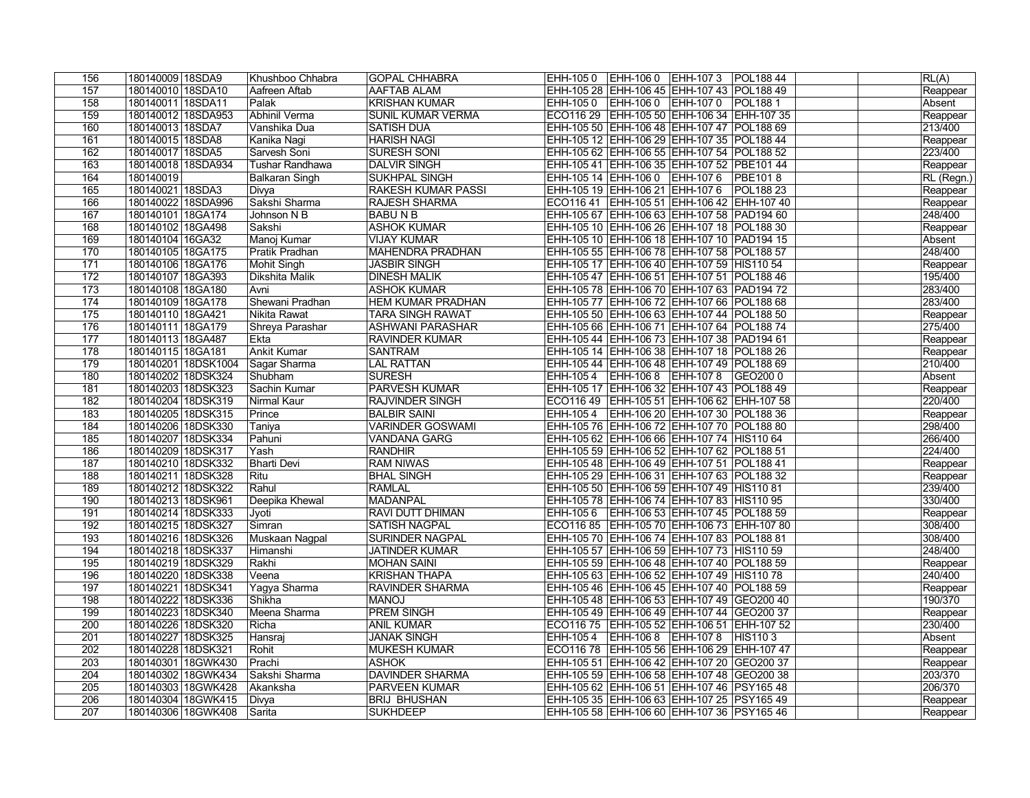| 156              | 180140009 18SDA9                         | Khushboo Chhabra      | <b>GOPAL CHHABRA</b>                        | EHH-105 0   EHH-106 0   EHH-107 3   POL188 44                                            | $\overline{\mathsf{RL}(A)}$ |
|------------------|------------------------------------------|-----------------------|---------------------------------------------|------------------------------------------------------------------------------------------|-----------------------------|
| 157              | 180140010 18SDA10                        | Aafreen Aftab         | <b>AAFTAB ALAM</b>                          | EHH-105 28 EHH-106 45 EHH-107 43 POL188 49                                               | Reappear                    |
| 158              | 180140011 18SDA11                        | Palak                 | <b>KRISHAN KUMAR</b>                        | EHH-105 0 EHH-106 0 EHH-107 0 POL188 1                                                   | Absent                      |
| 159              | 180140012 18SDA953                       | Abhinil Verma         | <b>SUNIL KUMAR VERMA</b>                    | ECO116 29   EHH-105 50   EHH-106 34   EHH-107 35                                         | Reappear                    |
| 160              | 180140013 18SDA7                         | Vanshika Dua          | <b>SATISH DUA</b>                           | EHH-105 50 EHH-106 48 EHH-107 47 POL188 69                                               | 213/400                     |
| 161              | 180140015 18SDA8                         | Kanika Nagi           | <b>HARISH NAGI</b>                          | EHH-105 12 EHH-106 29 EHH-107 35 POL188 44                                               | Reappear                    |
| 162              | 180140017 18SDA5                         | Sarvesh Soni          | <b>SURESH SONI</b>                          | EHH-105 62 EHH-106 55 EHH-107 54 POL188 52                                               | 223/400                     |
| 163              | 180140018 18SDA934                       | Tushar Randhawa       | <b>DALVIR SINGH</b>                         | EHH-105 41   EHH-106 35   EHH-107 52   PBE101 44                                         | Reappear                    |
| 164              | 180140019                                | Balkaran Singh        | <b>SUKHPAL SINGH</b>                        | EHH-105 14 EHH-106 0 EHH-107 6 PBE101 8                                                  | RL (Regn.)                  |
| 165              | 180140021 18SDA3                         | Divya                 | <b>RAKESH KUMAR PASSI</b>                   | EHH-105 19 EHH-106 21 EHH-107 6 POL188 23                                                | Reappear                    |
| 166              | 180140022 18SDA996                       | Sakshi Sharma         | <b>RAJESH SHARMA</b>                        | ECO116 41   EHH-105 51   EHH-106 42   EHH-107 40                                         | Reappear                    |
| 167              | 180140101 18GA174                        | Johnson N B           | BABU N B                                    | EHH-105 67 EHH-106 63 EHH-107 58 PAD194 60                                               | 248/400                     |
| 168              | 180140102 18GA498                        | Sakshi                | <b>ASHOK KUMAR</b>                          | EHH-105 10 EHH-106 26 EHH-107 18 POL188 30                                               | Reappear                    |
| 169              | 180140104 16GA32                         | Manoj Kumar           | <b>VIJAY KUMAR</b>                          | EHH-105 10 EHH-106 18 EHH-107 10 PAD194 15                                               | Absent                      |
| 170              | 180140105 18GA175                        | Pratik Pradhan        | MAHENDRA PRADHAN                            | EHH-105 55 EHH-106 78 EHH-107 58 POL188 57                                               | 248/400                     |
| 171              | 180140106 18GA176                        | Mohit Singh           | <b>JASBIR SINGH</b>                         | EHH-105 17 EHH-106 40 EHH-107 59 HIS110 54                                               | Reappear                    |
| 172              | 180140107 18GA393                        | Dikshita Malik        | <b>DINESH MALIK</b>                         | EHH-105 47 EHH-106 51 EHH-107 51 POL188 46                                               | 195/400                     |
| 173              | 180140108 18GA180                        | Avni                  | <b>ASHOK KUMAR</b>                          | EHH-105 78 EHH-106 70 EHH-107 63 PAD194 72                                               | 283/400                     |
| 174              | 180140109 18GA178                        | Shewani Pradhan       | <b>HEM KUMAR PRADHAN</b>                    | EHH-105 77 EHH-106 72 EHH-107 66 POL188 68                                               | 283/400                     |
| 175              | 180140110 18GA421                        | Nikita Rawat          | <b>TARA SINGH RAWAT</b>                     | EHH-105 50 EHH-106 63 EHH-107 44 POL188 50                                               | Reappear                    |
| 176              | 180140111 18GA179                        | Shreya Parashar       | <b>ASHWANI PARASHAR</b>                     | EHH-105 66 EHH-106 71 EHH-107 64 POL188 74                                               | 275/400                     |
| 177              | 180140113 18GA487                        | ∣Ekta                 | <b>RAVINDER KUMAR</b>                       | EHH-105 44 EHH-106 73 EHH-107 38 PAD194 61                                               | Reappear                    |
| 178              | 180140115 18GA181                        | <b>Ankit Kumar</b>    | <b>SANTRAM</b>                              | EHH-105 14 EHH-106 38 EHH-107 18 POL188 26                                               | Reappear                    |
| 179              | 180140201 18DSK1004                      | Sagar Sharma          | LAL RATTAN                                  | EHH-105 44 EHH-106 48 EHH-107 49 POL188 69                                               | 210/400                     |
| 180              | 180140202 18DSK324                       | Shubham               | <b>SURESH</b>                               | EHH-105 4   EHH-106 8   EHH-107 8   GEO200 0                                             | Absent                      |
| 181              | 180140203 18DSK323                       | Sachin Kumar          | <b>PARVESH KUMAR</b>                        | EHH-105 17   EHH-106 32   EHH-107 43   POL188 49                                         | Reappear                    |
| 182              | 180140204 18DSK319                       | Nirmal Kaur           | <b>RAJVINDER SINGH</b>                      | ECO116 49   EHH-105 51   EHH-106 62   EHH-107 58                                         | 220/400                     |
| 183              | 180140205 18DSK315                       | Prince                | <b>BALBIR SAINI</b>                         | EHH-105 4   EHH-106 20   EHH-107 30   POL188 36                                          | Reappear                    |
| 184              | 180140206 18DSK330                       | Taniya                | <b>VARINDER GOSWAMI</b>                     | EHH-105 76 EHH-106 72 EHH-107 70 POL188 80                                               | 298/400                     |
| 185              | 180140207 18DSK334                       | Pahuni                | <b>VANDANA GARG</b>                         | EHH-105 62 EHH-106 66 EHH-107 74 HIS110 64                                               | 266/400                     |
| 186              | 180140209 18DSK317                       | Yash                  | <b>RANDHIR</b>                              | EHH-105 59 EHH-106 52 EHH-107 62 POL188 51                                               | 224/400                     |
| 187              | 180140210 18DSK332                       | <b>Bharti Devi</b>    | <b>RAM NIWAS</b>                            | EHH-105 48 EHH-106 49 EHH-107 51 POL188 41                                               | Reappear                    |
| 188              | 180140211 18DSK328                       | Ritu                  | <b>BHAL SINGH</b>                           | EHH-105 29 EHH-106 31 EHH-107 63 POL188 32                                               | Reappear                    |
| 189              | 180140212 18DSK322                       | Rahul                 | <b>RAMLAL</b>                               | EHH-105 50 EHH-106 59 EHH-107 49 HIS110 81                                               | 239/400                     |
| 190              | 180140213 18DSK961                       | Deepika Khewal        | MADANPAL                                    | EHH-105 78 EHH-106 74 EHH-107 83 HIS110 95                                               | 330/400                     |
| 191              | 180140214 18DSK333                       | Jyoti                 | <b>RAVI DUTT DHIMAN</b>                     | EHH-105 6 EHH-106 53 EHH-107 45 POL188 59                                                | Reappear                    |
| 192              | 180140215 18DSK327                       | Simran                | <b>SATISH NAGPAL</b>                        | ECO116 85 EHH-105 70 EHH-106 73 EHH-107 80                                               | 308/400                     |
| 193              | 180140216 18DSK326                       | Muskaan Nagpal        | <b>SURINDER NAGPAL</b>                      | EHH-105 70 EHH-106 74 EHH-107 83 POL188 81                                               | 308/400                     |
| 194<br>195       | 180140218 18DSK337                       | Himanshi<br>Rakhi     | <b>JATINDER KUMAR</b><br><b>MOHAN SAINI</b> | EHH-105 57 EHH-106 59 EHH-107 73 HIS110 59                                               | 248/400                     |
| 196              | 180140219 18DSK329<br>180140220 18DSK338 |                       | <b>KRISHAN THAPA</b>                        | EHH-105 59 EHH-106 48 EHH-107 40 POL188 59<br>EHH-105 63 EHH-106 52 EHH-107 49 HIS110 78 | Reappear<br>240/400         |
| 197              | 180140221 18DSK341                       | Veena<br>Yagya Sharma | <b>RAVINDER SHARMA</b>                      | EHH-105 46 EHH-106 45 EHH-107 40 POL188 59                                               |                             |
| 198              | 180140222 18DSK336                       | Shikha                | <b>LONAM</b>                                |                                                                                          | Reappear<br>190/370         |
| 199              | 180140223 18DSK340                       | Meena Sharma          | <b>PREM SINGH</b>                           | EHH-105 48 EHH-106 53 EHH-107 49 GEO200 40<br>EHH-105 49 EHH-106 49 EHH-107 44 GEO200 37 | Reappear                    |
| 200              | 180140226 18DSK320                       | Richa                 | <b>ANIL KUMAR</b>                           | ECO116 75   EHH-105 52   EHH-106 51   EHH-107 52                                         | 230/400                     |
| 201              | 180140227 18DSK325                       | Hansraj               | <b>JANAK SINGH</b>                          | EHH-105 4   EHH-106 8   EHH-107 8   HIS110 3                                             | Absent                      |
| 202              | 180140228 18DSK321                       | Rohit                 | <b>MUKESH KUMAR</b>                         | ECO116 78   EHH-105 56   EHH-106 29   EHH-107 47                                         | Reappear                    |
| $\overline{203}$ | 180140301 18GWK430                       | Prachi                | <b>ASHOK</b>                                | EHH-105 51 EHH-106 42 EHH-107 20 GEO200 37                                               | Reappear                    |
| 204              | 180140302 18GWK434                       | Sakshi Sharma         | <b>DAVINDER SHARMA</b>                      | EHH-105 59 EHH-106 58 EHH-107 48 GEO200 38                                               | 203/370                     |
| 205              | 180140303 18GWK428                       | Akanksha              | <b>PARVEEN KUMAR</b>                        | EHH-105 62 EHH-106 51 EHH-107 46 PSY165 48                                               | 206/370                     |
| 206              | 180140304 18GWK415                       | Divya                 | <b>BRIJ BHUSHAN</b>                         | EHH-105 35 EHH-106 63 EHH-107 25 PSY165 49                                               | Reappear                    |
| 207              | 180140306 18GWK408                       | Sarita                | <b>SUKHDEEP</b>                             | EHH-105 58 EHH-106 60 EHH-107 36 PSY165 46                                               | Reappear                    |
|                  |                                          |                       |                                             |                                                                                          |                             |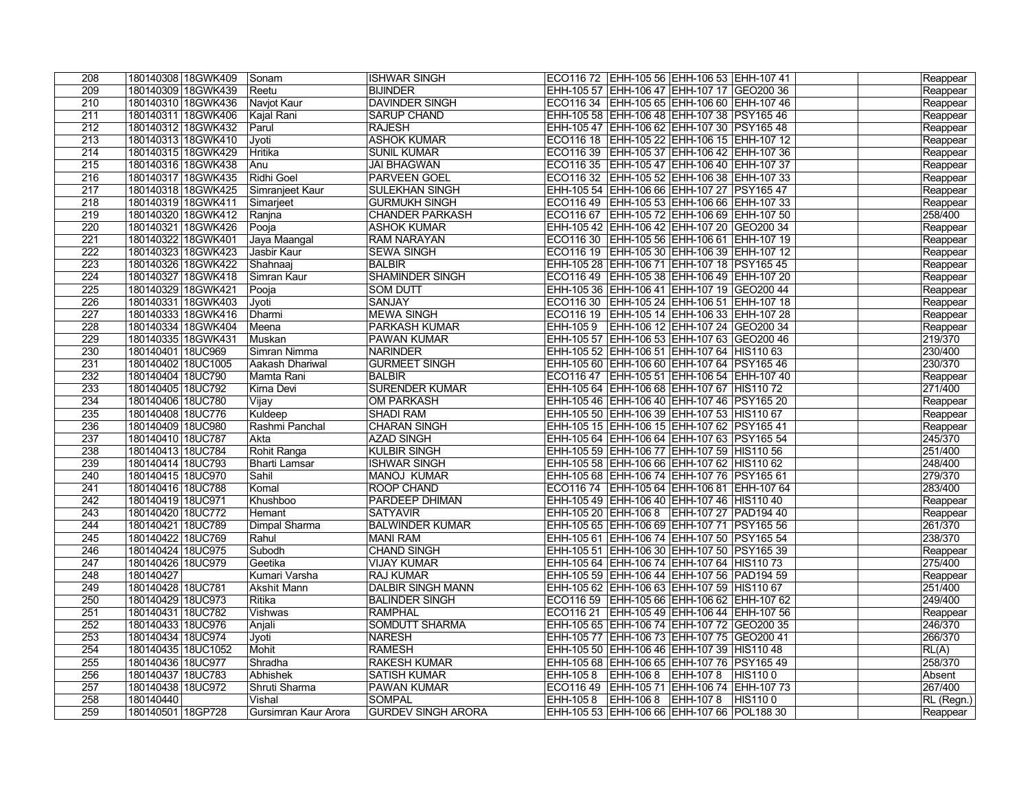| 208              | 180140308 18GWK409  | Sonam                | <b>ISHWAR SINGH</b>       | ECO116 72  EHH-105 56  EHH-106 53  EHH-107 41    |                                                  | Reappear   |
|------------------|---------------------|----------------------|---------------------------|--------------------------------------------------|--------------------------------------------------|------------|
| $\overline{209}$ | 180140309 18GWK439  | Reetu                | <b>BIJINDER</b>           | EHH-105 57 EHH-106 47 EHH-107 17 GEO200 36       |                                                  | Reappear   |
| 210              | 180140310 18GWK436  | Navjot Kaur          | <b>DAVINDER SINGH</b>     |                                                  | ECO116 34   EHH-105 65   EHH-106 60   EHH-107 46 | Reappear   |
| 211              | 180140311 18GWK406  | Kajal Rani           | <b>SARUP CHAND</b>        | EHH-105 58 EHH-106 48 EHH-107 38 PSY165 46       |                                                  | Reappear   |
| 212              | 180140312 18GWK432  | Parul                | <b>RAJESH</b>             | EHH-105 47 EHH-106 62 EHH-107 30 PSY165 48       |                                                  | Reappear   |
| $\overline{213}$ | 180140313 18GWK410  | ∣Jyoti               | <b>ASHOK KUMAR</b>        |                                                  | ECO116 18 EHH-105 22 EHH-106 15 EHH-107 12       | Reappear   |
| 214              | 180140315 18GWK429  | Hritika              | <b>SUNIL KUMAR</b>        | ECO116 39 EHH-105 37 EHH-106 42 EHH-107 36       |                                                  | Reappear   |
| 215              | 180140316 18GWK438  | Anu                  | <b>JAI BHAGWAN</b>        | ECO116 35   EHH-105 47   EHH-106 40   EHH-107 37 |                                                  | Reappear   |
| 216              | 180140317 18GWK435  | Ridhi Goel           | <b>PARVEEN GOEL</b>       |                                                  | ECO116 32 EHH-105 52 EHH-106 38 EHH-107 33       | Reappear   |
| 217              | 180140318 18GWK425  | Simranjeet Kaur      | <b>SULEKHAN SINGH</b>     | EHH-105 54 EHH-106 66 EHH-107 27 PSY165 47       |                                                  | Reappear   |
| 218              | 180140319 18GWK411  | Simarjeet            | <b>GURMUKH SINGH</b>      |                                                  | ECO116 49   EHH-105 53   EHH-106 66   EHH-107 33 | Reappear   |
| 219              | 180140320 18GWK412  | Ranjna               | <b>CHANDER PARKASH</b>    |                                                  | ECO116 67 EHH-105 72 EHH-106 69 EHH-107 50       | 258/400    |
| 220              | 180140321 18GWK426  | Pooja                | <b>ASHOK KUMAR</b>        | EHH-105 42 EHH-106 42 EHH-107 20 GEO200 34       |                                                  | Reappear   |
| 221              | 180140322 18GWK401  | Jaya Maangal         | <b>RAM NARAYAN</b>        |                                                  | ECO116 30   EHH-105 56   EHH-106 61   EHH-107 19 | Reappear   |
| 222              | 180140323 18GWK423  | Jasbir Kaur          | <b>SEWA SINGH</b>         |                                                  | ECO116 19 EHH-105 30 EHH-106 39 EHH-107 12       | Reappear   |
| 223              | 180140326 18GWK422  | Shahnaaj             | <b>BALBIR</b>             | EHH-105 28 EHH-106 71 EHH-107 18 PSY165 45       |                                                  | Reappear   |
| 224              | 180140327 18GWK418  | Simran Kaur          | <b>SHAMINDER SINGH</b>    |                                                  | ECO116 49   EHH-105 38   EHH-106 49   EHH-107 20 | Reappear   |
| 225              | 180140329 18GWK421  | Pooja                | <b>SOM DUTT</b>           | EHH-105 36 EHH-106 41 EHH-107 19 GEO200 44       |                                                  | Reappear   |
| 226              | 180140331 18GWK403  | Jyoti                | <b>SANJAY</b>             |                                                  | ECO116 30 EHH-105 24 EHH-106 51 EHH-107 18       | Reappear   |
| $\overline{227}$ | 180140333 18GWK416  | Dharmi               | <b>MEWA SINGH</b>         |                                                  | ECO116 19   EHH-105 14   EHH-106 33   EHH-107 28 | Reappear   |
| 228              | 180140334 18GWK404  | Meena                | <b>PARKASH KUMAR</b>      | EHH-1059                                         | EHH-106 12 EHH-107 24 GEO200 34                  | Reappear   |
| 229              | 180140335 18GWK431  | Muskan               | <b>PAWAN KUMAR</b>        | EHH-105 57 EHH-106 53 EHH-107 63 GEO200 46       |                                                  | 219/370    |
| 230              | 180140401 18UC969   | Simran Nimma         | NARINDER                  | EHH-105 52 EHH-106 51 EHH-107 64 HIS110 63       |                                                  | 230/400    |
| 231              | 180140402 18UC1005  | Aakash Dhariwal      | <b>GURMEET SINGH</b>      | EHH-105 60 EHH-106 60 EHH-107 64 PSY165 46       |                                                  | 230/370    |
| 232              | 180140404 18UC790   | Mamta Rani           | <b>BALBIR</b>             | ECO116 47   EHH-105 51   EHH-106 54   EHH-107 40 |                                                  | Reappear   |
| 233              | 180140405 18UC792   | Kirna Devi           | <b>SURENDER KUMAR</b>     | EHH-105 64 EHH-106 68 EHH-107 67 HIS110 72       |                                                  | 271/400    |
| 234              | 180140406 18UC780   | Vijay                | <b>OM PARKASH</b>         | EHH-105 46 EHH-106 40 EHH-107 46 PSY165 20       |                                                  | Reappear   |
| 235              | 180140408 18UC776   | Kuldeep              | <b>SHADI RAM</b>          | EHH-105 50 EHH-106 39 EHH-107 53 HIS110 67       |                                                  | Reappear   |
| 236              | 180140409 18UC980   | Rashmi Panchal       | <b>CHARAN SINGH</b>       | EHH-105 15 EHH-106 15 EHH-107 62 PSY165 41       |                                                  | Reappear   |
| 237              | 180140410 18UC787   | Akta                 | <b>AZAD SINGH</b>         | EHH-105 64 EHH-106 64 EHH-107 63 PSY165 54       |                                                  | 245/370    |
| 238              | 180140413 18UC784   | Rohit Ranga          | <b>KULBIR SINGH</b>       | EHH-105 59 EHH-106 77 EHH-107 59 HIS110 56       |                                                  | 251/400    |
| 239              | 180140414 18UC793   | <b>Bharti Lamsar</b> | <b>ISHWAR SINGH</b>       | EHH-105 58 EHH-106 66 EHH-107 62 HIS110 62       |                                                  | 248/400    |
| 240              | 180140415 18UC970   | Sahil                | MANOJ KUMAR               | EHH-105 68 EHH-106 74 EHH-107 76 PSY165 61       |                                                  | 279/370    |
| 241              | 180140416 18UC788   | Komal                | <b>ROOP CHAND</b>         |                                                  | ECO116 74   EHH-105 64   EHH-106 81   EHH-107 64 | 283/400    |
| 242              | 180140419 18UC971   | Khushboo             | <b>PARDEEP DHIMAN</b>     | EHH-105 49 EHH-106 40 EHH-107 46 HIS110 40       |                                                  | Reappear   |
| 243              | 180140420 18UC772   | Hemant               | <b>SATYAVIR</b>           | EHH-105 20 EHH-106 8 EHH-107 27 PAD194 40        |                                                  | Reappear   |
| 244              | 180140421 18UC789   | Dimpal Sharma        | <b>BALWINDER KUMAR</b>    | EHH-105 65 EHH-106 69 EHH-107 71 PSY165 56       |                                                  | 261/370    |
| 245              | 180140422 18UC769   | Rahul                | MANI RAM                  | EHH-105 61 EHH-106 74 EHH-107 50 PSY165 54       |                                                  | 238/370    |
| 246              | 180140424 18UC975   | Subodh               | <b>CHAND SINGH</b>        | EHH-105 51   EHH-106 30   EHH-107 50   PSY165 39 |                                                  | Reappear   |
| $\overline{247}$ | 180140426 18UC979   | ∣Geetika             | <b>VIJAY KUMAR</b>        | EHH-105 64   EHH-106 74   EHH-107 64   HIS110 73 |                                                  | 275/400    |
| 248              | 180140427           | Kumari Varsha        | <b>RAJ KUMAR</b>          | EHH-105 59 EHH-106 44 EHH-107 56 PAD194 59       |                                                  | Reappear   |
| 249              | 180140428 18UC781   | Akshit Mann          | <b>DALBIR SINGH MANN</b>  | EHH-105 62 EHH-106 63 EHH-107 59 HIS110 67       |                                                  | 251/400    |
| 250              | 180140429 18UC973   | Ritika               | <b>BALINDER SINGH</b>     |                                                  | ECO116 59   EHH-105 66   EHH-106 62   EHH-107 62 | 249/400    |
| 251              | 180140431   18UC782 | Vishwas              | RAMPHAL                   |                                                  | ECO116 21   EHH-105 49   EHH-106 44   EHH-107 56 | Reappear   |
| 252              | 180140433   18UC976 | Anjali               | SOMDUTT SHARMA            | EHH-105 65 EHH-106 74 EHH-107 72 GEO200 35       |                                                  | 246/370    |
| 253              | 180140434 18UC974   | Jyoti                | <b>NARESH</b>             | EHH-105 77   EHH-106 73   EHH-107 75   GEO200 41 |                                                  | 266/370    |
| 254              | 180140435 18UC1052  | Mohit                | <b>RAMESH</b>             | EHH-105 50 EHH-106 46 EHH-107 39 HIS110 48       |                                                  | RL(A)      |
| 255              | 180140436 18UC977   | Shradha              | <b>RAKESH KUMAR</b>       | EHH-105 68 EHH-106 65 EHH-107 76 PSY165 49       |                                                  | 258/370    |
| 256              | 180140437 18UC783   | Abhishek             | <b>SATISH KUMAR</b>       | EHH-105 8 EHH-106 8 EHH-107 8 HIS110 0           |                                                  | Absent     |
| 257              | 180140438 18UC972   | Shruti Sharma        | <b>PAWAN KUMAR</b>        |                                                  | ECO116 49   EHH-105 71   EHH-106 74   EHH-107 73 | 267/400    |
| 258              | 180140440           | Vishal               | <b>SOMPAL</b>             | EHH-105 8 EHH-106 8 EHH-107 8 HIS110 0           |                                                  | RL (Regn.) |
| 259              | 180140501 18GP728   | Gursimran Kaur Arora | <b>GURDEV SINGH ARORA</b> | EHH-105 53 EHH-106 66 EHH-107 66 POL188 30       |                                                  | Reappear   |
|                  |                     |                      |                           |                                                  |                                                  |            |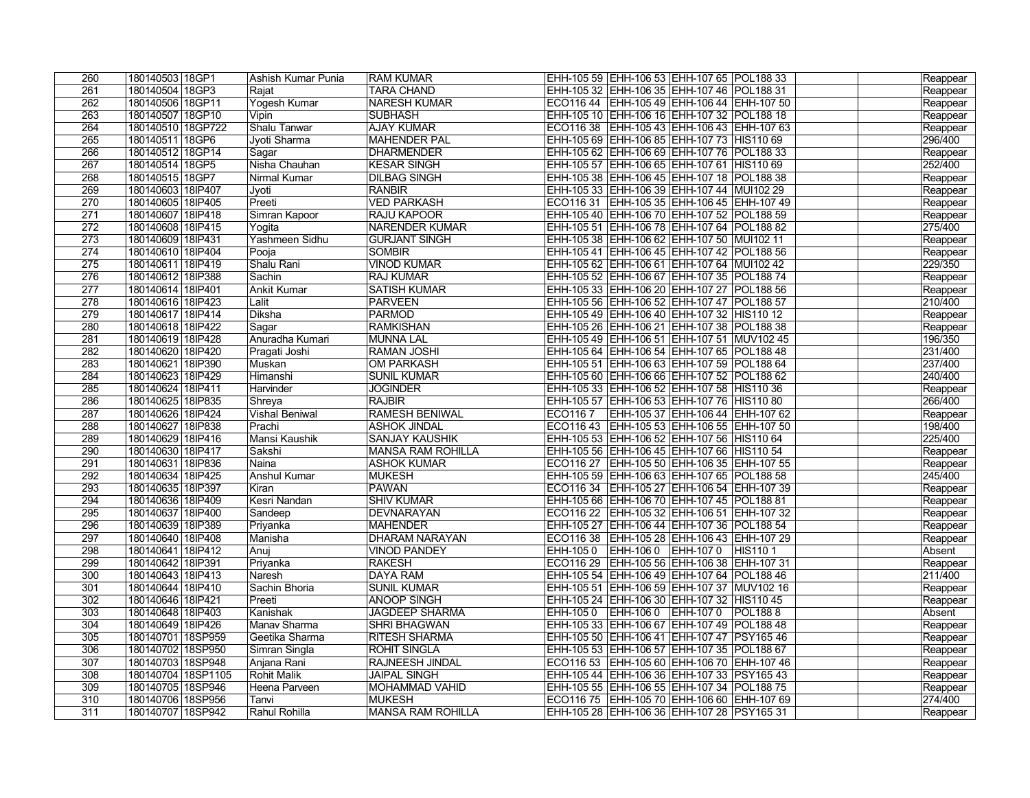| 260              | 180140503 18GP1     | Ashish Kumar Punia    | <b>RAM KUMAR</b>         | EHH-105 59 EHH-106 53 EHH-107 65 POL188 33       | Reappear |
|------------------|---------------------|-----------------------|--------------------------|--------------------------------------------------|----------|
| $\overline{261}$ | 180140504 18GP3     | Rajat                 | <b>TARA CHAND</b>        | EHH-105 32 EHH-106 35 EHH-107 46 POL188 31       | Reappear |
| 262              | 180140506 18GP11    | Yogesh Kumar          | <b>NARESH KUMAR</b>      | ECO116 44   EHH-105 49   EHH-106 44   EHH-107 50 | Reappear |
| $\overline{263}$ | 180140507 18GP10    | Vipin                 | <b>SUBHASH</b>           | EHH-105 10 EHH-106 16 EHH-107 32 POL188 18       | Reappear |
| 264              | 180140510 18GP722   | Shalu Tanwar          | <b>AJAY KUMAR</b>        | ECO116 38   EHH-105 43   EHH-106 43   EHH-107 63 | Reappear |
| $\overline{265}$ | 180140511 18GP6     | Jyoti Sharma          | <b>MAHENDER PAL</b>      | EHH-105 69 EHH-106 85 EHH-107 73 HIS110 69       | 296/400  |
| 266              | 180140512 18GP14    | Sagar                 | <b>DHARMENDER</b>        | EHH-105 62 EHH-106 69 EHH-107 76 POL188 33       | Reappear |
| 267              | 180140514 18GP5     | Nisha Chauhan         | <b>KESAR SINGH</b>       | EHH-105 57 EHH-106 65 EHH-107 61 HIS110 69       | 252/400  |
| 268              | 180140515 18GP7     | Nirmal Kumar          | <b>DILBAG SINGH</b>      | EHH-105 38 EHH-106 45 EHH-107 18 POL188 38       | Reappear |
| 269              | 180140603 18IP407   | Jyoti                 | <b>RANBIR</b>            | EHH-105 33 EHH-106 39 EHH-107 44 MUI102 29       | Reappear |
| 270              | 180140605 18IP405   | Preeti                | <b>VED PARKASH</b>       | ECO116 31   EHH-105 35   EHH-106 45   EHH-107 49 | Reappear |
| 271              | 180140607 18IP418   | Simran Kapoor         | <b>RAJU KAPOOR</b>       | EHH-105 40 EHH-106 70 EHH-107 52 POL188 59       | Reappear |
| 272              | 180140608 18IP415   | Yogita                | <b>NARENDER KUMAR</b>    | EHH-105 51 EHH-106 78 EHH-107 64 POL188 82       | 275/400  |
| 273              | 180140609 18lP431   | Yashmeen Sidhu        | <b>GURJANT SINGH</b>     | EHH-105 38 EHH-106 62 EHH-107 50 MUI102 11       | Reappear |
| 274              | 180140610 18IP404   | Pooja                 | <b>SOMBIR</b>            | EHH-105 41 EHH-106 45 EHH-107 42 POL188 56       | Reappear |
| 275              | 180140611 18IP419   | Shalu Rani            | <b>VINOD KUMAR</b>       | EHH-105 62 EHH-106 61 EHH-107 64 MUI102 42       | 229/350  |
| 276              | 180140612 18 P388   | Sachin                | <b>RAJ KUMAR</b>         | EHH-105 52 EHH-106 67 EHH-107 35 POL188 74       | Reappear |
| 277              | 180140614 18IP401   | Ankit Kumar           | <b>SATISH KUMAR</b>      | EHH-105 33 EHH-106 20 EHH-107 27 POL188 56       | Reappear |
| 278              | 180140616 18IP423   | Lalit                 | <b>PARVEEN</b>           | EHH-105 56 EHH-106 52 EHH-107 47 POL188 57       | 210/400  |
| 279              | 180140617 18IP414   | Diksha                | <b>PARMOD</b>            | EHH-105 49 EHH-106 40 EHH-107 32 HIS110 12       | Reappear |
| 280              | 180140618 18IP422   | Sagar                 | <b>RAMKISHAN</b>         | EHH-105 26 EHH-106 21 EHH-107 38 POL188 38       | Reappear |
| $\overline{281}$ | 180140619 18IP428   | Anuradha Kumari       | <b>MUNNA LAL</b>         | EHH-105 49 EHH-106 51 EHH-107 51 MUV102 45       | 196/350  |
| 282              | 180140620 18IP420   | Pragati Joshi         | <b>RAMAN JOSHI</b>       | EHH-105 64 EHH-106 54 EHH-107 65 POL188 48       | 231/400  |
| 283              | 180140621 18IP390   | Muskan                | <b>OM PARKASH</b>        | EHH-105 51 EHH-106 63 EHH-107 59 POL188 64       | 237/400  |
| 284              | 180140623 18IP429   | Himanshi              | <b>SUNIL KUMAR</b>       | EHH-105 60 EHH-106 66 EHH-107 52 POL188 62       | 240/400  |
| 285              | 180140624 18lP411   | Harvinder             | <b>JOGINDER</b>          | EHH-105 33 EHH-106 52 EHH-107 58 HIS110 36       | Reappear |
| 286              | 180140625 18IP835   | Shreya                | <b>RAJBIR</b>            | EHH-105 57 EHH-106 53 EHH-107 76 HIS110 80       | 266/400  |
| 287              | 180140626 18IP424   | <b>Vishal Beniwal</b> | <b>RAMESH BENIWAL</b>    | ECO116 7   EHH-105 37   EHH-106 44   EHH-107 62  | Reappear |
| 288              | 180140627 18IP838   | Prachi                | <b>ASHOK JINDAL</b>      | ECO116 43 EHH-105 53 EHH-106 55 EHH-107 50       | 198/400  |
| 289              | 180140629 18IP416   | Mansi Kaushik         | <b>SANJAY KAUSHIK</b>    | EHH-105 53 EHH-106 52 EHH-107 56 HIS110 64       | 225/400  |
| 290              | 180140630 18IP417   | Sakshi                | <b>MANSA RAM ROHILLA</b> | EHH-105 56 EHH-106 45 EHH-107 66 HIS110 54       | Reappear |
| 291              | 180140631 18lP836   | Naina                 | <b>ASHOK KUMAR</b>       | ECO116 27   EHH-105 50   EHH-106 35   EHH-107 55 | Reappear |
| 292              | 180140634 18P425    | Anshul Kumar          | <b>MUKESH</b>            | EHH-105 59 EHH-106 63 EHH-107 65 POL188 58       | 245/400  |
| 293              | 180140635 18IP397   | Kiran                 | <b>PAWAN</b>             | ECO116 34   EHH-105 27   EHH-106 54   EHH-107 39 | Reappear |
| 294              | 180140636 18IP409   | Kesri Nandan          | <b>SHIV KUMAR</b>        | EHH-105 66 EHH-106 70 EHH-107 45 POL188 81       | Reappear |
| 295              | 180140637 18IP400   | Sandeep               | DEVNARAYAN               | ECO116 22 EHH-105 32 EHH-106 51 EHH-107 32       | Reappear |
| 296              | 180140639 18IP389   | Priyanka              | MAHENDER                 | EHH-105 27 EHH-106 44 EHH-107 36 POL188 54       | Reappear |
| 297              | 180140640 18IP408   | Manisha               | DHARAM NARAYAN           | ECO116 38   EHH-105 28   EHH-106 43   EHH-107 29 | Reappear |
| 298              | 180140641 18IP412   | Anuj                  | <b>VINOD PANDEY</b>      | EHH-105 0 EHH-106 0 EHH-107 0 HIS110 1           | Absent   |
| 299              | 180140642 18IP391   | Priyanka              | <b>RAKESH</b>            | ECO116 29   EHH-105 56   EHH-106 38   EHH-107 31 | Reappear |
| 300              | 180140643 18IP413   | Naresh                | <b>DAYA RAM</b>          | EHH-105 54 EHH-106 49 EHH-107 64 POL188 46       | 211/400  |
| 301              | 180140644 18IP410   | Sachin Bhoria         | <b>SUNIL KUMAR</b>       | EHH-105 51 EHH-106 59 EHH-107 37 MUV102 16       | Reappear |
| 302              | 180140646 18IP421   | Preeti                | <b>ANOOP SINGH</b>       | EHH-105 24   EHH-106 30   EHH-107 32   HIS110 45 | Reappear |
| 303              | 180140648 18IP403   | Kanishak              | <b>JAGDEEP SHARMA</b>    | EHH-105 0   EHH-106 0   EHH-107 0   POL188 8     | Absent   |
| 304              | 180140649   18IP426 | Manay Sharma          | <b>SHRI BHAGWAN</b>      | EHH-105 33 EHH-106 67 EHH-107 49 POL188 48       | Reappear |
| 305              | 180140701 18SP959   | Geetika Sharma        | <b>RITESH SHARMA</b>     | EHH-105 50 EHH-106 41 EHH-107 47 PSY165 46       | Reappear |
| 306              | 180140702 18SP950   | Simran Singla         | <b>ROHIT SINGLA</b>      | EHH-105 53 EHH-106 57 EHH-107 35 POL188 67       | Reappear |
| 307              | 180140703 18SP948   | Anjana Rani           | RAJNEESH JINDAL          | ECO116 53 EHH-105 60 EHH-106 70 EHH-107 46       | Reappear |
| 308              | 180140704 18SP1105  | Rohit Malik           | <b>JAIPAL SINGH</b>      | EHH-105 44 EHH-106 36 EHH-107 33 PSY165 43       | Reappear |
| 309              | 180140705 18SP946   | Heena Parveen         | <b>MOHAMMAD VAHID</b>    | EHH-105 55 EHH-106 55 EHH-107 34 POL188 75       | Reappear |
| 310              | 180140706 18SP956   | Tanvi                 | MUKESH                   | ECO116 75   EHH-105 70   EHH-106 60   EHH-107 69 | 274/400  |
| 311              | 180140707 18SP942   | Rahul Rohilla         | <b>MANSA RAM ROHILLA</b> | EHH-105 28 EHH-106 36 EHH-107 28 PSY165 31       | Reappear |
|                  |                     |                       |                          |                                                  |          |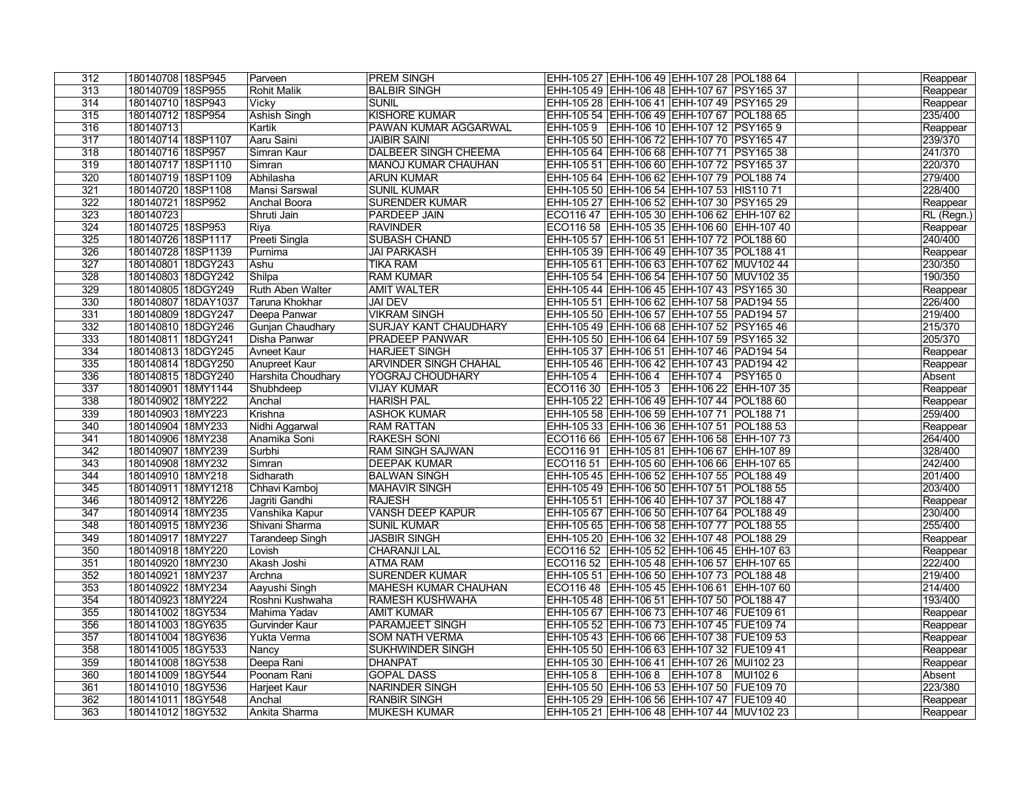| 312 | 180140708 18SP945                      | Parveen                 | <b>PREM SINGH</b>            | EHH-105 27 EHH-106 49 EHH-107 28 POL188 64       | Reappear           |
|-----|----------------------------------------|-------------------------|------------------------------|--------------------------------------------------|--------------------|
| 313 | 180140709 18SP955                      | <b>Rohit Malik</b>      | <b>BALBIR SINGH</b>          | EHH-105 49 EHH-106 48 EHH-107 67 PSY165 37       | Reappear           |
| 314 | 180140710 18SP943                      | <b>Vicky</b>            | <b>SUNIL</b>                 | EHH-105 28 EHH-106 41 EHH-107 49 PSY165 29       | Reappear           |
| 315 | 180140712 18SP954                      | <b>Ashish Singh</b>     | <b>KISHORE KUMAR</b>         | EHH-105 54 EHH-106 49 EHH-107 67 POL188 65       | 235/400            |
| 316 | 180140713                              | Kartik                  | PAWAN KUMAR AGGARWAL         | EHH-105 9 EHH-106 10 EHH-107 12 PSY165 9         | Reappear           |
| 317 | 180140714 18SP1107                     | Aaru Saini              | <b>JAIBIR SAINI</b>          | EHH-105 50 EHH-106 72 EHH-107 70 PSY165 47       | 239/370            |
| 318 | 180140716 18SP957                      | Simran Kaur             | <b>DALBEER SINGH CHEEMA</b>  | EHH-105 64 EHH-106 68 EHH-107 71 PSY165 38       | 241/370            |
| 319 | 180140717 18SP1110                     | Simran                  | <b>MANOJ KUMAR CHAUHAN</b>   | EHH-105 51 EHH-106 60 EHH-107 72 PSY165 37       | 220/370            |
| 320 | 180140719 18SP1109                     | Abhilasha               | <b>ARUN KUMAR</b>            | EHH-105 64   EHH-106 62   EHH-107 79   POL188 74 | 279/400            |
| 321 | 180140720 18SP1108                     | Mansi Sarswal           | <b>SUNIL KUMAR</b>           | EHH-105 50 EHH-106 54 EHH-107 53 HIS110 71       | 228/400            |
| 322 | 180140721 18SP952                      | <b>Anchal Boora</b>     | <b>SURENDER KUMAR</b>        | EHH-105 27 EHH-106 52 EHH-107 30 PSY165 29       | Reappear           |
| 323 | 180140723                              | Shruti Jain             | <b>PARDEEP JAIN</b>          | ECO116 47   EHH-105 30   EHH-106 62   EHH-107 62 | RL (Regn.)         |
| 324 | 180140725 18SP953                      | Riya                    | <b>RAVINDER</b>              | ECO116 58 EHH-105 35 EHH-106 60 EHH-107 40       | Reappear           |
| 325 | 180140726 18SP1117                     | Preeti Singla           | <b>SUBASH CHAND</b>          | EHH-105 57 EHH-106 51 EHH-107 72 POL188 60       | 240/400            |
| 326 | 180140728 18SP1139                     | Purnima                 | <b>JAI PARKASH</b>           | EHH-105 39 EHH-106 49 EHH-107 35 POL188 41       | Reappear           |
| 327 | 180140801 18DGY243                     | Ashu                    | <b>TIKA RAM</b>              | EHH-105 61 EHH-106 63 EHH-107 62 MUV102 44       | 230/350            |
| 328 | 180140803 18DGY242                     | Shilpa                  | <b>RAM KUMAR</b>             | EHH-105 54 EHH-106 54 EHH-107 50 MUV102 35       | 190/350            |
| 329 | 180140805 18DGY249                     | <b>Ruth Aben Walter</b> | <b>AMIT WALTER</b>           | EHH-105 44 EHH-106 45 EHH-107 43 PSY165 30       | Reappear           |
| 330 | 180140807 18DAY1037                    | Taruna Khokhar          | <b>JAI DEV</b>               | EHH-105 51 EHH-106 62 EHH-107 58 PAD194 55       | 226/400            |
| 331 | 180140809 18DGY247                     | Deepa Panwar            | <b>VIKRAM SINGH</b>          | EHH-105 50 EHH-106 57 EHH-107 55 PAD194 57       | 219/400            |
| 332 | 180140810 18DGY246                     | Gunjan Chaudhary        | <b>SURJAY KANT CHAUDHARY</b> | EHH-105 49 EHH-106 68 EHH-107 52 PSY165 46       | 215/370            |
| 333 | 180140811 18DGY241                     | Disha Panwar            | <b>PRADEEP PANWAR</b>        | EHH-105 50 EHH-106 64 EHH-107 59 PSY165 32       | 205/370            |
| 334 | 180140813 18DGY245                     | Avneet Kaur             | <b>HARJEET SINGH</b>         | EHH-105 37   EHH-106 51   EHH-107 46   PAD194 54 | Reappear           |
| 335 | 180140814 18DGY250                     | Anupreet Kaur           | <b>ARVINDER SINGH CHAHAL</b> | EHH-105 46   EHH-106 42   EHH-107 43   PAD194 42 | Reappear           |
| 336 | 180140815 18DGY240                     | Harshita Choudhary      | YOGRAJ CHOUDHARY             | EHH-105 4   EHH-106 4   EHH-107 4   PSY165 0     | Absent             |
| 337 | 180140901 18MY1144                     | Shubhdeep               | <b>VIJAY KUMAR</b>           | ECO116 30   EHH-105 3   EHH-106 22   EHH-107 35  | Reappear           |
| 338 | 180140902 18MY222                      | Anchal                  | <b>HARISH PAL</b>            | EHH-105 22 EHH-106 49 EHH-107 44 POL188 60       | Reappear           |
| 339 | 180140903 18MY223                      | Krishna                 | <b>ASHOK KUMAR</b>           | EHH-105 58 EHH-106 59 EHH-107 71 POL188 71       | 259/400            |
| 340 | 180140904 18MY233                      | Nidhi Aggarwal          | <b>RAM RATTAN</b>            | EHH-105 33 EHH-106 36 EHH-107 51 POL188 53       | Reappear           |
| 341 | 180140906 18MY238                      | Anamika Soni            | <b>RAKESH SONI</b>           | ECO116 66   EHH-105 67   EHH-106 58   EHH-107 73 | 264/400            |
| 342 | 180140907 18MY239                      | Surbhi                  | <b>RAM SINGH SAJWAN</b>      | ECO116 91   EHH-105 81   EHH-106 67   EHH-107 89 | 328/400            |
| 343 | 180140908 18MY232                      | Simran                  | <b>DEEPAK KUMAR</b>          | ECO116 51 EHH-105 60 EHH-106 66 EHH-107 65       | 242/400            |
| 344 | 180140910 18MY218                      | Sidharath               | <b>BALWAN SINGH</b>          | EHH-105 45 EHH-106 52 EHH-107 55 POL188 49       | 201/400            |
| 345 | 180140911 18MY1218                     | Chhavi Kamboj           | MAHAVIR SINGH                | EHH-105 49 EHH-106 50 EHH-107 51 POL188 55       | 203/400            |
| 346 | 180140912 18MY226                      | Jagriti Gandhi          | <b>RAJESH</b>                | EHH-105 51 EHH-106 40 EHH-107 37 POL188 47       |                    |
| 347 |                                        |                         | <b>VANSH DEEP KAPUR</b>      |                                                  | Reappear           |
| 348 | 180140914 18MY235<br>180140915 18MY236 | Vanshika Kapur          |                              | EHH-105 67   EHH-106 50   EHH-107 64   POL188 49 | 230/400<br>255/400 |
|     |                                        | Shivani Sharma          | <b>SUNIL KUMAR</b>           | EHH-105 65 EHH-106 58 EHH-107 77 POL188 55       |                    |
| 349 | 180140917 18MY227                      | Tarandeep Singh         | <b>JASBIR SINGH</b>          | EHH-105 20 EHH-106 32 EHH-107 48 POL188 29       | Reappear           |
| 350 | 180140918 18MY220                      | Lovish                  | <b>CHARANJI LAL</b>          | ECO116 52   EHH-105 52   EHH-106 45   EHH-107 63 | Reappear           |
| 351 | 180140920 18MY230                      | Akash Joshi             | <b>ATMA RAM</b>              | ECO116 52   EHH-105 48   EHH-106 57   EHH-107 65 | 222/400            |
| 352 | 180140921 18MY237                      | Archna                  | <b>SURENDER KUMAR</b>        | EHH-105 51   EHH-106 50   EHH-107 73   POL188 48 | 219/400            |
| 353 | 180140922 18MY234                      | Aayushi Singh           | <b>MAHESH KUMAR CHAUHAN</b>  | ECO116 48   EHH-105 45   EHH-106 61   EHH-107 60 | 214/400            |
| 354 | 180140923 18MY224                      | Roshni Kushwaha         | <b>RAMESH KUSHWAHA</b>       | EHH-105 48 EHH-106 51 EHH-107 50 POL188 47       | 193/400            |
| 355 | 180141002 18GY534                      | Mahima Yadav            | <b>AMIT KUMAR</b>            | EHH-105 67   EHH-106 73   EHH-107 46   FUE109 61 | Reappear           |
| 356 | 180141003 18GY635                      | Gurvinder Kaur          | PARAMJEET SINGH              | EHH-105 52 EHH-106 73 EHH-107 45 FUE109 74       | Reappear           |
| 357 | 180141004 18GY636                      | Yukta Verma             | <b>SOM NATH VERMA</b>        | EHH-105 43 EHH-106 66 EHH-107 38 FUE109 53       | Reappear           |
| 358 | 180141005 18GY533                      | Nancy                   | SUKHWINDER SINGH             | EHH-105 50 EHH-106 63 EHH-107 32 FUE109 41       | Reappear           |
| 359 | 180141008 18GY538                      | Deepa Rani              | <b>DHANPAT</b>               | EHH-105 30 EHH-106 41 EHH-107 26 MUI102 23       | Reappear           |
| 360 | 180141009 18GY544                      | Poonam Rani             | <b>GOPAL DASS</b>            | EHH-105 8 EHH-106 8 EHH-107 8 MUI102 6           | Absent             |
| 361 | 180141010 18GY536                      | Harjeet Kaur            | <b>NARINDER SINGH</b>        | EHH-105 50 EHH-106 53 EHH-107 50 FUE109 70       | 223/380            |
| 362 | 180141011 18GY548                      | Anchal                  | <b>RANBIR SINGH</b>          | EHH-105 29 EHH-106 56 EHH-107 47 FUE109 40       | Reappear           |
| 363 | 180141012 18GY532                      | Ankita Sharma           | <b>MUKESH KUMAR</b>          | EHH-105 21 EHH-106 48 EHH-107 44 MUV102 23       | Reappear           |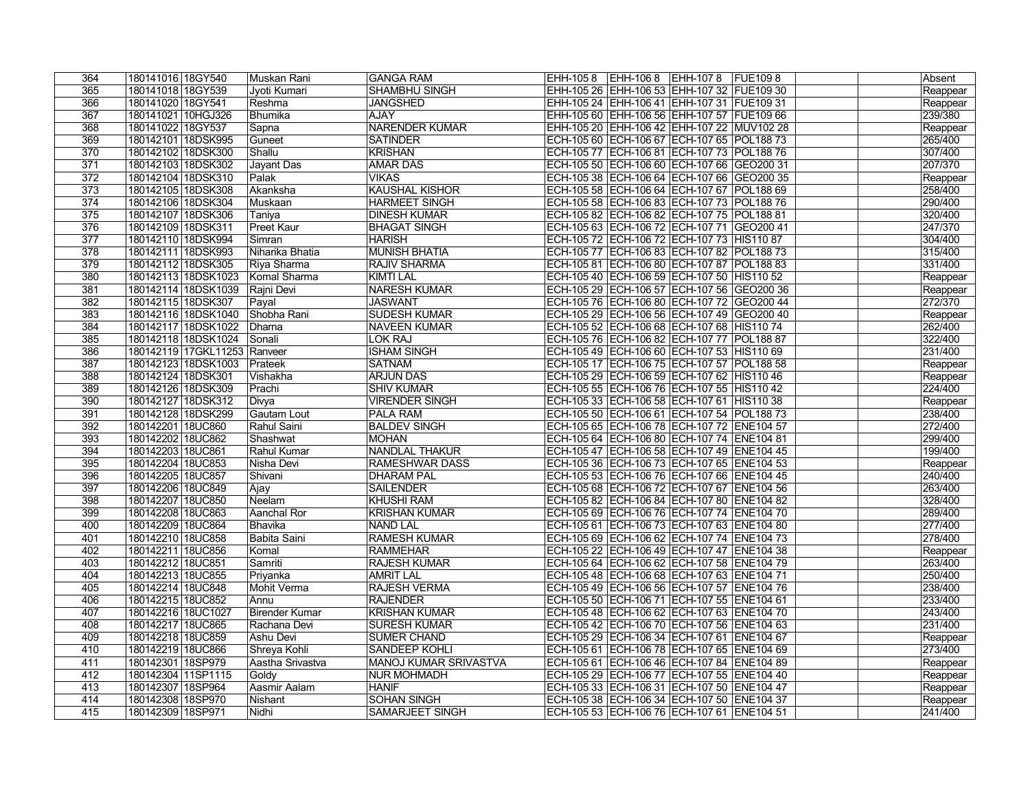| 364 | 180141016 18GY540            | Muskan Rani      | <b>GANGA RAM</b>       | EHH-105 8 EHH-106 8 EHH-107 8 FUE109 8     | Absent               |
|-----|------------------------------|------------------|------------------------|--------------------------------------------|----------------------|
| 365 | 180141018 18GY539            | Jyoti Kumari     | <b>SHAMBHU SINGH</b>   | EHH-105 26 EHH-106 53 EHH-107 32 FUE109 30 | Reappear             |
| 366 | 180141020 18GY541            | Reshma           | <b>JANGSHED</b>        | EHH-105 24 EHH-106 41 EHH-107 31 FUE109 31 | Reappear             |
| 367 | 180141021 10HGJ326           | Bhumika          | <b>AJAY</b>            | EHH-105 60 EHH-106 56 EHH-107 57 FUE109 66 | 239/380              |
| 368 | 180141022 18GY537            | Sapna            | <b>NARENDER KUMAR</b>  | EHH-105 20 EHH-106 42 EHH-107 22 MUV102 28 | Reappear             |
| 369 | 180142101 18DSK995           | Guneet           | <b>SATINDER</b>        | ECH-105 60 ECH-106 67 ECH-107 65 POL188 73 | 265/400              |
| 370 | 180142102 18DSK300           | Shallu           | <b>KRISHAN</b>         | ECH-105 77 ECH-106 81 ECH-107 73 POL188 76 | 307/400              |
| 371 | 180142103 18DSK302           | Jayant Das       | <b>AMAR DAS</b>        | ECH-105 50 ECH-106 60 ECH-107 66 GEO200 31 | 207/370              |
| 372 | 180142104 18DSK310           | Palak            | <b>VIKAS</b>           | ECH-105 38 ECH-106 64 ECH-107 66 GEO200 35 | Reappear             |
| 373 | 180142105 18DSK308           | Akanksha         | <b>KAUSHAL KISHOR</b>  | ECH-105 58 ECH-106 64 ECH-107 67 POL188 69 | 258/400              |
| 374 | 180142106 18DSK304           | Muskaan          | <b>HARMEET SINGH</b>   | ECH-105 58 ECH-106 83 ECH-107 73 POL188 76 | 290/400              |
| 375 | 180142107 18DSK306           | Taniya           | <b>DINESH KUMAR</b>    | ECH-105 82 ECH-106 82 ECH-107 75 POL188 81 | 320/400              |
| 376 | 180142109 18DSK311           | Preet Kaur       | <b>BHAGAT SINGH</b>    | ECH-105 63 ECH-106 72 ECH-107 71 GEO200 41 | 247/370              |
| 377 | 180142110 18DSK994           | Simran           | <b>HARISH</b>          | ECH-105 72 ECH-106 72 ECH-107 73 HIS110 87 | 304/400              |
| 378 | 180142111 18DSK993           | Niharika Bhatia  | MUNISH BHATIA          | ECH-105 77 ECH-106 83 ECH-107 82 POL188 73 | 315/400              |
| 379 | 180142112 18DSK305           | Riya Sharma      | <b>RAJIV SHARMA</b>    | ECH-105 81 ECH-106 80 ECH-107 87 POL188 83 | 331/400              |
| 380 | 180142113 18DSK1023          | Komal Sharma     | <b>KIMTI LAL</b>       | ECH-105 40 ECH-106 59 ECH-107 50 HIS110 52 | Reappear             |
| 381 | 180142114 18DSK1039          | Rajni Devi       | <b>NARESH KUMAR</b>    | ECH-105 29 ECH-106 57 ECH-107 56 GEO200 36 | Reappear             |
| 382 | 180142115 18DSK307           | Payal            | <b>JASWANT</b>         | ECH-105 76 ECH-106 80 ECH-107 72 GEO200 44 | 272/370              |
| 383 | 180142116 18DSK1040          | Shobha Rani      | <b>SUDESH KUMAR</b>    | ECH-105 29 ECH-106 56 ECH-107 49 GEO200 40 | Reappear             |
| 384 | 180142117 18DSK1022          | Dharna           | <b>NAVEEN KUMAR</b>    | ECH-105 52 ECH-106 68 ECH-107 68 HIS110 74 | 262/400              |
| 385 | 180142118 18DSK1024          | Sonali           | <b>LOK RAJ</b>         | ECH-105 76 ECH-106 82 ECH-107 77 POL188 87 | 322/400              |
| 386 | 180142119 17GKL11253 Ranveer |                  | <b>ISHAM SINGH</b>     | ECH-105 49 ECH-106 60 ECH-107 53 HIS110 69 | 231/400              |
| 387 | 180142123 18DSK1003          | Prateek          | <b>SATNAM</b>          | ECH-105 17 ECH-106 75 ECH-107 57 POL188 58 | Reappear             |
| 388 | 180142124 18DSK301           | ∣Vishakha        | <b>ARJUN DAS</b>       | ECH-105 29 ECH-106 59 ECH-107 62 HIS110 46 | Reappear             |
| 389 | 180142126 18DSK309           | Prachi           | <b>SHIV KUMAR</b>      | ECH-105 55 ECH-106 76 ECH-107 55 HIS110 42 | 224/400              |
| 390 | 180142127 18DSK312           | Divya            | <b>VIRENDER SINGH</b>  | ECH-105 33 ECH-106 58 ECH-107 61 HIS110 38 | Reappear             |
| 391 | 180142128 18DSK299           | Gautam Lout      | <b>PALA RAM</b>        | ECH-105 50 ECH-106 61 ECH-107 54 POL188 73 | 238/400              |
| 392 | 180142201 18UC860            | Rahul Saini      | <b>BALDEV SINGH</b>    | ECH-105 65 ECH-106 78 ECH-107 72 ENE104 57 | 272/400              |
| 393 | 180142202 18UC862            | Shashwat         | <b>MOHAN</b>           | ECH-105 64 ECH-106 80 ECH-107 74 ENE104 81 | 299/400              |
| 394 | 180142203 18UC861            | Rahul Kumar      | <b>NANDLAL THAKUR</b>  | ECH-105 47 ECH-106 58 ECH-107 49 ENE104 45 | 199/400              |
| 395 | 180142204 18UC853            | Nisha Devi       | <b>RAMESHWAR DASS</b>  | ECH-105 36 ECH-106 73 ECH-107 65 ENE104 53 | Reappear             |
| 396 | 180142205 18UC857            | Shivani          | <b>DHARAM PAL</b>      | ECH-105 53 ECH-106 76 ECH-107 66 ENE104 45 | 240/400              |
| 397 | 180142206 18UC849            | Ajay             | <b>SAILENDER</b>       | ECH-105 68 ECH-106 72 ECH-107 67 ENE104 56 | 263/400              |
| 398 | 180142207 18UC850            | Neelam           | <b>KHUSHI RAM</b>      | ECH-105 82 ECH-106 84 ECH-107 80 ENE104 82 | 328/400              |
| 399 | 180142208 18UC863            | Aanchal Ror      | <b>KRISHAN KUMAR</b>   | ECH-105 69 ECH-106 76 ECH-107 74 ENE104 70 | 289/400              |
| 400 | 180142209 18UC864            | Bhavika          | <b>NAND LAL</b>        | ECH-105 61 ECH-106 73 ECH-107 63 ENE104 80 | 277/400              |
| 401 | 180142210 18UC858            | Babita Saini     | <b>RAMESH KUMAR</b>    | ECH-105 69 ECH-106 62 ECH-107 74 ENE104 73 | 278/400              |
| 402 | 180142211 18UC856            | Komal            | <b>RAMMEHAR</b>        | ECH-105 22 ECH-106 49 ECH-107 47 ENE104 38 | Reappear             |
| 403 | 180142212 18UC851            | Samriti          | <b>RAJESH KUMAR</b>    | ECH-105 64 ECH-106 62 ECH-107 58 ENE104 79 | 263/400              |
| 404 | 180142213 18UC855            | Priyanka         | <b>AMRIT LAL</b>       | ECH-105 48 ECH-106 68 ECH-107 63 ENE104 71 | 250/400              |
| 405 | 180142214 18UC848            | Mohit Verma      | <b>RAJESH VERMA</b>    | ECH-105 49 ECH-106 56 ECH-107 57 ENE104 76 | 238/400              |
| 406 | 180142215 18UC852            | Annu             | <b>RAJENDER</b>        | ECH-105 50 ECH-106 71 ECH-107 55 ENE104 61 | 233/400              |
| 407 | 180142216 18UC1027           | Birender Kumar   | <b>KRISHAN KUMAR</b>   | ECH-105 48 ECH-106 62 ECH-107 63 ENE104 70 | 243/400              |
| 408 | 180142217 18UC865            | Rachana Devi     | <b>SURESH KUMAR</b>    | ECH-105 42 ECH-106 70 ECH-107 56 ENE104 63 | 231/400              |
| 409 | 180142218 18UC859            | Ashu Devi        | <b>SUMER CHAND</b>     | ECH-105 29 ECH-106 34 ECH-107 61 ENE104 67 | Reappear             |
| 410 | 180142219 18UC866            | Shreya Kohli     | SANDEEP KOHLI          | ECH-105 61 ECH-106 78 ECH-107 65 ENE104 69 | 273/400              |
| 411 | 180142301 18SP979            | Aastha Srivastva | MANOJ KUMAR SRIVASTVA  | ECH-105 61 ECH-106 46 ECH-107 84 ENE104 89 |                      |
| 412 | 180142304 11SP1115           | Goldy            | <b>NUR MOHMADH</b>     | ECH-105 29 ECH-106 77 ECH-107 55 ENE104 40 | Reappear<br>Reappear |
| 413 | 180142307 18SP964            | Aasmir Aalam     | <b>HANIF</b>           | ECH-105 33 ECH-106 31 ECH-107 50 ENE104 47 | Reappear             |
| 414 | 180142308 18SP970            | Nishant          | <b>SOHAN SINGH</b>     | ECH-105 38 ECH-106 34 ECH-107 50 ENE104 37 | Reappear             |
| 415 | 180142309 18SP971            | Nidhi            | <b>SAMARJEET SINGH</b> | ECH-105 53 ECH-106 76 ECH-107 61 ENE104 51 | 241/400              |
|     |                              |                  |                        |                                            |                      |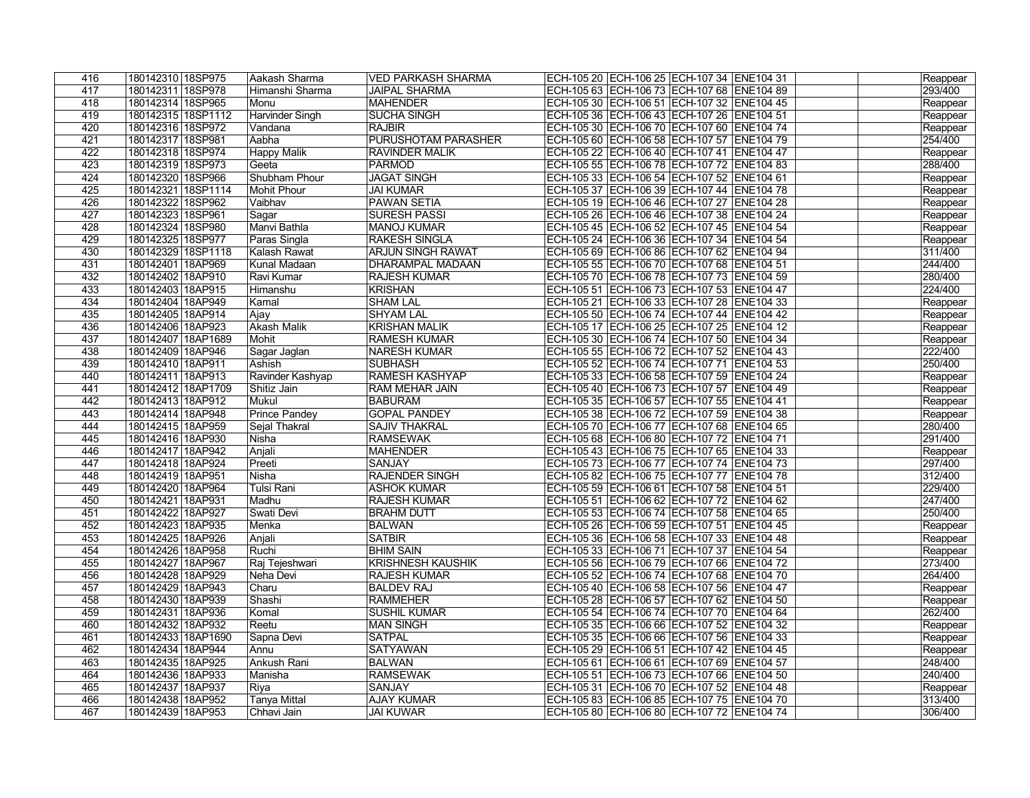| 416 | 180142310 18SP975  | Aakash Sharma        | <b>VED PARKASH SHARMA</b> | ECH-105 20 ECH-106 25 ECH-107 34 ENE104 31       | Reappear |
|-----|--------------------|----------------------|---------------------------|--------------------------------------------------|----------|
| 417 | 180142311 18SP978  | Himanshi Sharma      | <b>JAIPAL SHARMA</b>      | ECH-105 63 ECH-106 73 ECH-107 68 ENE104 89       | 293/400  |
| 418 | 180142314 18SP965  | Monu                 | <b>MAHENDER</b>           | ECH-105 30 ECH-106 51 ECH-107 32 ENE104 45       | Reappear |
| 419 | 180142315 18SP1112 | Harvinder Singh      | <b>SUCHA SINGH</b>        | ECH-105 36 ECH-106 43 ECH-107 26 ENE104 51       | Reappear |
| 420 | 180142316 18SP972  | Vandana              | <b>RAJBIR</b>             | ECH-105 30 ECH-106 70 ECH-107 60 ENE104 74       | Reappear |
| 421 | 180142317 18SP981  | Aabha                | PURUSHOTAM PARASHER       | ECH-105 60 ECH-106 58 ECH-107 57 ENE104 79       | 254/400  |
| 422 | 180142318 18SP974  | <b>Happy Malik</b>   | <b>RAVINDER MALIK</b>     | ECH-105 22 ECH-106 40 ECH-107 41 ENE104 47       | Reappear |
| 423 | 180142319 18SP973  | Geeta                | <b>PARMOD</b>             | ECH-105 55 ECH-106 78 ECH-107 72 ENE104 83       | 288/400  |
| 424 | 180142320 18SP966  | Shubham Phour        | <b>JAGAT SINGH</b>        | ECH-105 33 ECH-106 54 ECH-107 52 ENE104 61       | Reappear |
| 425 | 180142321 18SP1114 | Mohit Phour          | <b>JAI KUMAR</b>          | ECH-105 37 ECH-106 39 ECH-107 44 ENE104 78       | Reappear |
| 426 | 180142322 18SP962  | Vaibhav              | <b>PAWAN SETIA</b>        | ECH-105 19 ECH-106 46 ECH-107 27 ENE104 28       | Reappear |
| 427 | 180142323 18SP961  | Sagar                | <b>SURESH PASSI</b>       | ECH-105 26 ECH-106 46 ECH-107 38 ENE104 24       | Reappear |
| 428 | 180142324 18SP980  | Manvi Bathla         | <b>MANOJ KUMAR</b>        | ECH-105 45 ECH-106 52 ECH-107 45 ENE104 54       | Reappear |
| 429 | 180142325 18SP977  | Paras Singla         | <b>RAKESH SINGLA</b>      | ECH-105 24 ECH-106 36 ECH-107 34 ENE104 54       | Reappear |
| 430 | 180142329 18SP1118 | Kalash Rawat         | ARJUN SINGH RAWAT         | ECH-105 69 ECH-106 86 ECH-107 62 ENE104 94       | 311/400  |
| 431 | 180142401 18AP969  | Kunal Madaan         | <b>DHARAMPAL MADAAN</b>   | ECH-105 55 ECH-106 70 ECH-107 68 ENE104 51       | 244/400  |
| 432 | 180142402 18AP910  | Ravi Kumar           | <b>RAJESH KUMAR</b>       | ECH-105 70 ECH-106 78 ECH-107 73 ENE104 59       | 280/400  |
| 433 | 180142403 18AP915  | Himanshu             | <b>KRISHAN</b>            | ECH-105 51 ECH-106 73 ECH-107 53 ENE104 47       | 224/400  |
| 434 | 180142404 18AP949  | Kamal                | <b>SHAM LAL</b>           | ECH-105 21 ECH-106 33 ECH-107 28 ENE104 33       | Reappear |
| 435 | 180142405 18AP914  | Ajay                 | <b>SHYAM LAL</b>          | ECH-105 50 ECH-106 74 ECH-107 44 ENE104 42       | Reappear |
| 436 | 180142406 18AP923  | <b>Akash Malik</b>   | <b>KRISHAN MALIK</b>      | ECH-105 17 ECH-106 25 ECH-107 25 ENE104 12       | Reappear |
| 437 | 180142407 18AP1689 | Mohit                | <b>RAMESH KUMAR</b>       | ECH-105 30 ECH-106 74 ECH-107 50 ENE104 34       | Reappear |
| 438 | 180142409 18AP946  | Sagar Jaglan         | <b>NARESH KUMAR</b>       | ECH-105 55 ECH-106 72 ECH-107 52 ENE104 43       | 222/400  |
| 439 | 180142410 18AP911  | Ashish               | <b>SUBHASH</b>            | ECH-105 52 ECH-106 74 ECH-107 71 ENE104 53       | 250/400  |
| 440 | 180142411 18AP913  | Ravinder Kashyap     | <b>RAMESH KASHYAP</b>     | ECH-105 33 ECH-106 58 ECH-107 59 ENE104 24       | Reappear |
| 441 | 180142412 18AP1709 | Shitiz Jain          | <b>RAM MEHAR JAIN</b>     | ECH-105 40   ECH-106 73   ECH-107 57   ENE104 49 | Reappear |
| 442 | 180142413 18AP912  | Mukul                | <b>BABURAM</b>            | ECH-105 35 ECH-106 57 ECH-107 55 ENE104 41       | Reappear |
| 443 | 180142414 18AP948  | <b>Prince Pandey</b> | <b>GOPAL PANDEY</b>       | ECH-105 38 ECH-106 72 ECH-107 59 ENE104 38       | Reappear |
| 444 | 180142415 18AP959  | Sejal Thakral        | <b>SAJIV THAKRAL</b>      | ECH-105 70 ECH-106 77 ECH-107 68 ENE104 65       | 280/400  |
| 445 | 180142416 18AP930  | Nisha                | <b>RAMSEWAK</b>           | ECH-105 68 ECH-106 80 ECH-107 72 ENE104 71       | 291/400  |
| 446 | 180142417 18AP942  | Anjali               | <b>MAHENDER</b>           | ECH-105 43 ECH-106 75 ECH-107 65 ENE104 33       | Reappear |
| 447 | 180142418 18AP924  | Preeti               | <b>SANJAY</b>             | ECH-105 73 ECH-106 77 ECH-107 74 ENE104 73       | 297/400  |
| 448 | 180142419 18AP951  | Nisha                | <b>RAJENDER SINGH</b>     | ECH-105 82 ECH-106 75 ECH-107 77 ENE104 78       | 312/400  |
| 449 | 180142420 18AP964  | Tulsi Rani           | <b>ASHOK KUMAR</b>        | ECH-105 59 ECH-106 61 ECH-107 58 ENE104 51       | 229/400  |
| 450 | 180142421 18AP931  | Madhu                | <b>RAJESH KUMAR</b>       | ECH-105 51 ECH-106 62 ECH-107 72 ENE104 62       | 247/400  |
| 451 | 180142422 18AP927  | Swati Devi           | <b>BRAHM DUTT</b>         | ECH-105 53 ECH-106 74 ECH-107 58 ENE104 65       | 250/400  |
| 452 | 180142423 18AP935  | Menka                | <b>BALWAN</b>             | ECH-105 26 ECH-106 59 ECH-107 51 ENE104 45       | Reappear |
| 453 | 180142425 18AP926  | Anjali               | <b>SATBIR</b>             | ECH-105 36 ECH-106 58 ECH-107 33 ENE104 48       | Reappear |
| 454 | 180142426 18AP958  | Ruchi                | <b>BHIM SAIN</b>          | ECH-105 33 ECH-106 71 ECH-107 37 ENE104 54       | Reappear |
| 455 | 180142427 18AP967  | Raj Tejeshwari       | <b>KRISHNESH KAUSHIK</b>  | ECH-105 56 ECH-106 79 ECH-107 66 ENE104 72       | 273/400  |
| 456 | 180142428 18AP929  | Neha Devi            | <b>RAJESH KUMAR</b>       | ECH-105 52 ECH-106 74 ECH-107 68 ENE104 70       | 264/400  |
| 457 | 180142429 18AP943  | Charu                | <b>BALDEV RAJ</b>         | ECH-105 40   ECH-106 58   ECH-107 56   ENE104 47 | Reappear |
| 458 | 180142430 18AP939  | Shashi               | <b>RAMMEHER</b>           | ECH-105 28 ECH-106 57 ECH-107 62 ENE104 50       | Reappear |
| 459 | 180142431 18AP936  | Komal                | <b>SUSHIL KUMAR</b>       | ECH-105 54 ECH-106 74 ECH-107 70 ENE104 64       | 262/400  |
| 460 | 180142432 18AP932  | Reetu                | <b>MAN SINGH</b>          | ECH-105 35 ECH-106 66 ECH-107 52 ENE104 32       | Reappear |
| 461 | 180142433 18AP1690 | Sapna Devi           | <b>SATPAL</b>             | ECH-105 35 ECH-106 66 ECH-107 56 ENE104 33       | Reappear |
| 462 | 180142434 18AP944  | Annu                 | SATYAWAN                  | ECH-105 29 ECH-106 51 ECH-107 42 ENE104 45       | Reappear |
| 463 | 180142435 18AP925  | Ankush Rani          | <b>BALWAN</b>             | ECH-105 61 ECH-106 61 ECH-107 69 ENE104 57       | 248/400  |
| 464 | 180142436 18AP933  | Manisha              | <b>RAMSEWAK</b>           | ECH-105 51 ECH-106 73 ECH-107 66 ENE104 50       | 240/400  |
| 465 | 180142437 18AP937  | Riya                 | <b>SANJAY</b>             | ECH-105 31 ECH-106 70 ECH-107 52 ENE104 48       | Reappear |
| 466 | 180142438 18AP952  | Tanya Mittal         | <b>AJAY KUMAR</b>         | ECH-105 83 ECH-106 85 ECH-107 75 ENE104 70       | 313/400  |
| 467 | 180142439 18AP953  | Chhavi Jain          | <b>JAI KUWAR</b>          | ECH-105 80 ECH-106 80 ECH-107 72 ENE104 74       | 306/400  |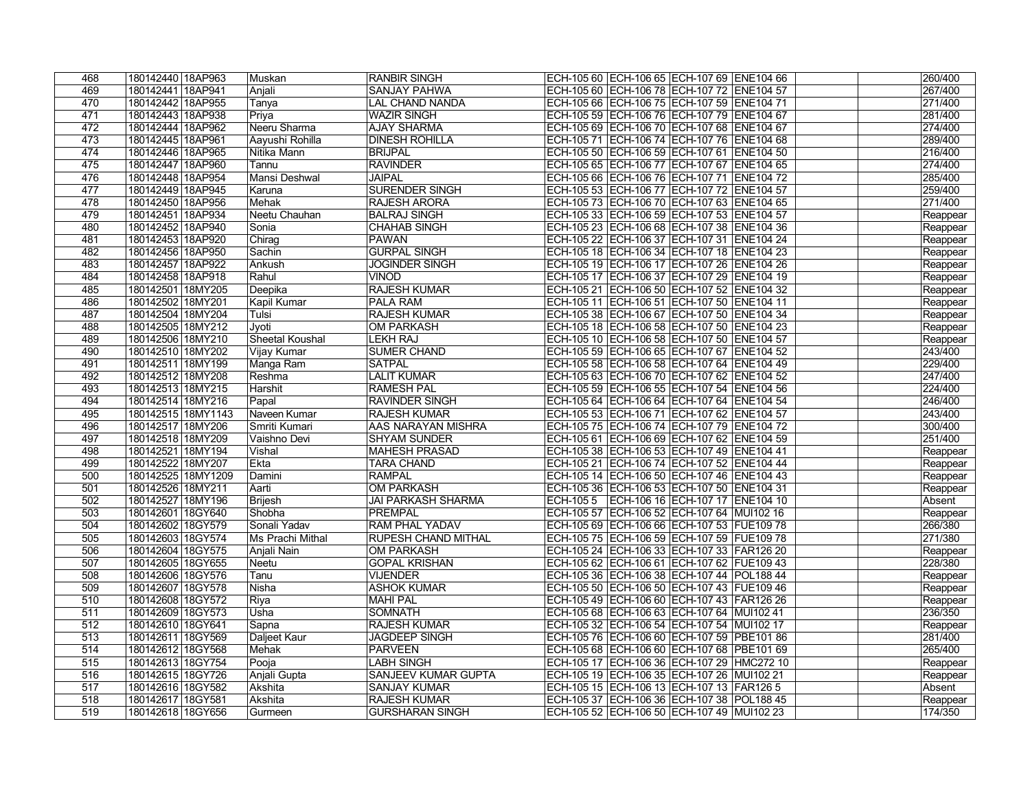| ECH-105 60 ECH-106 78 ECH-107 72 ENE104 57<br>469<br>180142441 18AP941<br><b>SANJAY PAHWA</b><br>267/400<br>Anjali<br>180142442 18AP955<br>271/400<br>470<br><b>LAL CHAND NANDA</b><br>ECH-105 66 ECH-106 75 ECH-107 59 ENE104 71<br>Tanya<br>471<br><b>WAZIR SINGH</b><br>281/400<br>180142443 18AP938<br>Priya<br>ECH-105 59 ECH-106 76 ECH-107 79 ENE104 67<br>Neeru Sharma<br>274/400<br>472<br>180142444 18AP962<br><b>AJAY SHARMA</b><br>ECH-105 69 ECH-106 70 ECH-107 68 ENE104 67<br>289/400<br>180142445 18AP961<br>Aayushi Rohilla<br><b>DINESH ROHILLA</b><br>ECH-105 71 ECH-106 74 ECH-107 76 ENE104 68<br>473<br>216/400<br>474<br>Nitika Mann<br><b>BRIJPAL</b><br>180142446 18AP965<br>ECH-105 50 ECH-106 59 ECH-107 61 ENE104 50<br>274/400<br>475<br>180142447 18AP960<br><b>RAVINDER</b><br>ECH-105 65 ECH-106 77 ECH-107 67 ENE104 65<br>Tannu<br>Mansi Deshwal<br>285/400<br>476<br>180142448 18AP954<br><b>JAIPAL</b><br>ECH-105 66 ECH-106 76 ECH-107 71 ENE104 72<br><b>SURENDER SINGH</b><br>259/400<br>180142449 18AP945<br>ECH-105 53 ECH-106 77 ECH-107 72 ENE104 57<br>477<br>Karuna<br>271/400<br>478<br>180142450 18AP956<br>Mehak<br><b>RAJESH ARORA</b><br>ECH-105 73 ECH-106 70 ECH-107 63 ENE104 65<br>Neetu Chauhan<br>ECH-105 33 ECH-106 59 ECH-107 53 ENE104 57<br>479<br>180142451 18AP934<br><b>BALRAJ SINGH</b><br>Reappear<br>ECH-105 23 ECH-106 68 ECH-107 38 ENE104 36<br>480<br>180142452 18AP940<br><b>CHAHAB SINGH</b><br>Sonia<br>Reappear<br>481<br>180142453 18AP920<br><b>PAWAN</b><br>ECH-105 22 ECH-106 37 ECH-107 31 ENE104 24<br>Chirag<br>Reappear<br>482<br>180142456 18AP950<br>Sachin<br><b>GURPAL SINGH</b><br>ECH-105 18 ECH-106 34 ECH-107 18 ENE104 23<br>Reappear<br>483<br>180142457 18AP922<br><b>JOGINDER SINGH</b><br>ECH-105 19 ECH-106 17 ECH-107 26 ENE104 26<br>Ankush<br>Reappear<br>180142458 18AP918<br>Rahul<br><b>VINOD</b><br>ECH-105 17 ECH-106 37 ECH-107 29 ENE104 19<br>484<br>Reappear<br><b>RAJESH KUMAR</b><br>485<br>180142501 18MY205<br>ECH-105 21 ECH-106 50 ECH-107 52 ENE104 32<br>Deepika<br>Reappear<br>486<br>180142502 18MY201<br><b>PALA RAM</b><br>ECH-105 11 ECH-106 51 ECH-107 50 ENE104 11<br>Kapil Kumar<br>Reappear<br>487<br>180142504 18MY204<br>Tulsi<br><b>RAJESH KUMAR</b><br>ECH-105 38 ECH-106 67 ECH-107 50 ENE104 34<br>Reappear<br>488<br>180142505 18MY212<br><b>OM PARKASH</b><br>ECH-105 18 ECH-106 58 ECH-107 50 ENE104 23<br>Jyoti<br>Reappear<br><b>Sheetal Koushal</b><br>489<br>180142506 18MY210<br><b>LEKH RAJ</b><br>ECH-105 10 ECH-106 58 ECH-107 50 ENE104 57<br>Reappear<br>ECH-105 59 ECH-106 65 ECH-107 67 ENE104 52<br>490<br>180142510 18MY202<br><b>SUMER CHAND</b><br>243/400<br>Vijay Kumar<br>229/400<br><b>SATPAL</b><br>ECH-105 58 ECH-106 58 ECH-107 64 ENE104 49<br>491<br>180142511   18MY199<br>Manga Ram<br>247/400<br><b>LALIT KUMAR</b><br>ECH-105 63 ECH-106 70 ECH-107 62 ENE104 52<br>492<br>180142512 18MY208<br>Reshma<br><b>RAMESH PAL</b><br>ECH-105 59 ECH-106 55 ECH-107 54 ENE104 56<br>224/400<br>493<br>180142513 18MY215<br>Harshit<br>246/400<br>180142514 18MY216<br><b>RAVINDER SINGH</b><br>ECH-105 64 ECH-106 64 ECH-107 64 ENE104 54<br>494<br>Papal<br>180142515 18MY1143<br>Naveen Kumar<br><b>RAJESH KUMAR</b><br>ECH-105 53 ECH-106 71 ECH-107 62 ENE104 57<br>243/400<br>495<br>300/400<br>496<br>180142517 18MY206<br>Smriti Kumari<br>AAS NARAYAN MISHRA<br>ECH-105 75 ECH-106 74 ECH-107 79 ENE104 72<br>251/400<br>ECH-105 61 ECH-106 69 ECH-107 62 ENE104 59<br>497<br>180142518 18MY209<br><b>SHYAM SUNDER</b><br>Vaishno Devi<br>180142521 18MY194<br><b>MAHESH PRASAD</b><br>ECH-105 38 ECH-106 53 ECH-107 49 ENE104 41<br>498<br>Reappear<br>Vishal<br>180142522 18MY207<br>ECH-105 21 ECH-106 74 ECH-107 52 ENE104 44<br>499<br>Ekta<br><b>TARA CHAND</b><br>Reappear<br><b>RAMPAL</b><br>500<br>180142525 18MY1209<br>ECH-105 14 ECH-106 50 ECH-107 46 ENE104 43<br>Damini<br>Reappear<br>180142526 18MY211<br>501<br>Aarti<br><b>OM PARKASH</b><br>ECH-105 36 ECH-106 53 ECH-107 50 ENE104 31<br>Reappear<br>502<br>180142527 18MY196<br><b>Brijesh</b><br>JAI PARKASH SHARMA<br>Absent<br>503<br>180142601 18GY640<br>Shobha<br>ECH-105 57 ECH-106 52 ECH-107 64 MUI102 16<br><b>PREMPAL</b><br>Reappear<br>504<br>180142602 18GY579<br>ECH-105 69 ECH-106 66 ECH-107 53 FUE109 78<br>Sonali Yadav<br><b>RAM PHAL YADAV</b><br>266/380<br>505<br>180142603 18GY574<br>ECH-105 75 ECH-106 59 ECH-107 59 FUE109 78<br>271/380<br>Ms Prachi Mithal<br><b>RUPESH CHAND MITHAL</b><br>506<br>180142604 18GY575<br>Anjali Nain<br><b>OM PARKASH</b><br>ECH-105 24 ECH-106 33 ECH-107 33 FAR126 20<br>Reappear<br>507<br>180142605 18GY655<br><b>GOPAL KRISHAN</b><br>ECH-105 62 ECH-106 61 ECH-107 62 FUE109 43<br>228/380<br><b>Neetu</b><br>508<br>180142606 18GY576<br>ECH-105 36 ECH-106 38 ECH-107 44 POL188 44<br><b>VIJENDER</b><br>Tanu<br>Reappear<br>509<br>180142607 18GY578<br><b>ASHOK KUMAR</b><br>ECH-105 50 ECH-106 50 ECH-107 43 FUE109 46<br>Nisha<br>Reappear<br>510<br>180142608 18GY572<br><b>MAHI PAL</b><br>ECH-105 49 ECH-106 60 ECH-107 43 FAR126 26<br>Reappear<br>Riya<br><b>SOMNATH</b><br>236/350<br>511<br>180142609 18GY573<br>Usha<br>ECH-105 68 ECH-106 63 ECH-107 64 MUI102 41<br>512<br>180142610 18GY641<br><b>RAJESH KUMAR</b><br>ECH-105 32 ECH-106 54 ECH-107 54 MUI102 17<br>Sapna<br>Reappear<br>513<br>ECH-105 76 ECH-106 60 ECH-107 59 PBE101 86<br>281/400<br>180142611 18GY569<br>Daljeet Kaur<br><b>JAGDEEP SINGH</b><br>514<br>ECH-105 68 ECH-106 60 ECH-107 68 PBE101 69<br>265/400<br>180142612 18GY568<br><b>PARVEEN</b><br>Mehak<br>ECH-105 17 ECH-106 36 ECH-107 29 HMC272 10<br>515<br>180142613 18GY754<br>Pooja<br><b>LABH SINGH</b><br>Reappear<br>ECH-105 19 ECH-106 35 ECH-107 26 MUI102 21<br>516<br>180142615 18GY726<br>Anjali Gupta<br><b>SANJEEV KUMAR GUPTA</b><br>Reappear<br>517<br>180142616 18GY582<br><b>SANJAY KUMAR</b><br>ECH-105 15 ECH-106 13 ECH-107 13 FAR126 5<br>Akshita<br>Absent<br>518<br>180142617 18GY581<br><b>RAJESH KUMAR</b><br>ECH-105 37 ECH-106 36 ECH-107 38 POL188 45<br>Akshita<br>Reappear<br>519<br>180142618 18GY656<br>174/350<br><b>GURSHARAN SINGH</b><br>ECH-105 52 ECH-106 50 ECH-107 49 MUI102 23<br>Gurmeen | 468 | 180142440 18AP963 | Muskan | <b>RANBIR SINGH</b> | ECH-105 60 ECH-106 65 ECH-107 69 ENE104 66 | 260/400 |
|-------------------------------------------------------------------------------------------------------------------------------------------------------------------------------------------------------------------------------------------------------------------------------------------------------------------------------------------------------------------------------------------------------------------------------------------------------------------------------------------------------------------------------------------------------------------------------------------------------------------------------------------------------------------------------------------------------------------------------------------------------------------------------------------------------------------------------------------------------------------------------------------------------------------------------------------------------------------------------------------------------------------------------------------------------------------------------------------------------------------------------------------------------------------------------------------------------------------------------------------------------------------------------------------------------------------------------------------------------------------------------------------------------------------------------------------------------------------------------------------------------------------------------------------------------------------------------------------------------------------------------------------------------------------------------------------------------------------------------------------------------------------------------------------------------------------------------------------------------------------------------------------------------------------------------------------------------------------------------------------------------------------------------------------------------------------------------------------------------------------------------------------------------------------------------------------------------------------------------------------------------------------------------------------------------------------------------------------------------------------------------------------------------------------------------------------------------------------------------------------------------------------------------------------------------------------------------------------------------------------------------------------------------------------------------------------------------------------------------------------------------------------------------------------------------------------------------------------------------------------------------------------------------------------------------------------------------------------------------------------------------------------------------------------------------------------------------------------------------------------------------------------------------------------------------------------------------------------------------------------------------------------------------------------------------------------------------------------------------------------------------------------------------------------------------------------------------------------------------------------------------------------------------------------------------------------------------------------------------------------------------------------------------------------------------------------------------------------------------------------------------------------------------------------------------------------------------------------------------------------------------------------------------------------------------------------------------------------------------------------------------------------------------------------------------------------------------------------------------------------------------------------------------------------------------------------------------------------------------------------------------------------------------------------------------------------------------------------------------------------------------------------------------------------------------------------------------------------------------------------------------------------------------------------------------------------------------------------------------------------------------------------------------------------------------------------------------------------------------------------------------------------------------------------------------------------------------------------------------------------------------------------------------------------------------------------------------------------------------------------------------------------------------------------------------------------------------------------------------------------------------------------------------------------------------------------------------------------------------------------------------------------------------------------------------------------------------------------------------------------------------------------------------------------------------------------------------------------------------------------------------------------------------------------------------------------------------------------------------------------------------------------------------------------------------------------------------------------------------------------------------------------------------------------------------------------------------------------------------------------------------------------------------------------------------------------------------------------------------------------------------------------------------------------------------------------------------------------------------------------------------------------------------------------------------------------------------------------------------------------------------------------------------------------------|-----|-------------------|--------|---------------------|--------------------------------------------|---------|
|                                                                                                                                                                                                                                                                                                                                                                                                                                                                                                                                                                                                                                                                                                                                                                                                                                                                                                                                                                                                                                                                                                                                                                                                                                                                                                                                                                                                                                                                                                                                                                                                                                                                                                                                                                                                                                                                                                                                                                                                                                                                                                                                                                                                                                                                                                                                                                                                                                                                                                                                                                                                                                                                                                                                                                                                                                                                                                                                                                                                                                                                                                                                                                                                                                                                                                                                                                                                                                                                                                                                                                                                                                                                                                                                                                                                                                                                                                                                                                                                                                                                                                                                                                                                                                                                                                                                                                                                                                                                                                                                                                                                                                                                                                                                                                                                                                                                                                                                                                                                                                                                                                                                                                                                                                                                                                                                                                                                                                                                                                                                                                                                                                                                                                                                                                                                                                                                                                                                                                                                                                                                                                                                                                                                                                                                                                 |     |                   |        |                     |                                            |         |
|                                                                                                                                                                                                                                                                                                                                                                                                                                                                                                                                                                                                                                                                                                                                                                                                                                                                                                                                                                                                                                                                                                                                                                                                                                                                                                                                                                                                                                                                                                                                                                                                                                                                                                                                                                                                                                                                                                                                                                                                                                                                                                                                                                                                                                                                                                                                                                                                                                                                                                                                                                                                                                                                                                                                                                                                                                                                                                                                                                                                                                                                                                                                                                                                                                                                                                                                                                                                                                                                                                                                                                                                                                                                                                                                                                                                                                                                                                                                                                                                                                                                                                                                                                                                                                                                                                                                                                                                                                                                                                                                                                                                                                                                                                                                                                                                                                                                                                                                                                                                                                                                                                                                                                                                                                                                                                                                                                                                                                                                                                                                                                                                                                                                                                                                                                                                                                                                                                                                                                                                                                                                                                                                                                                                                                                                                                 |     |                   |        |                     |                                            |         |
|                                                                                                                                                                                                                                                                                                                                                                                                                                                                                                                                                                                                                                                                                                                                                                                                                                                                                                                                                                                                                                                                                                                                                                                                                                                                                                                                                                                                                                                                                                                                                                                                                                                                                                                                                                                                                                                                                                                                                                                                                                                                                                                                                                                                                                                                                                                                                                                                                                                                                                                                                                                                                                                                                                                                                                                                                                                                                                                                                                                                                                                                                                                                                                                                                                                                                                                                                                                                                                                                                                                                                                                                                                                                                                                                                                                                                                                                                                                                                                                                                                                                                                                                                                                                                                                                                                                                                                                                                                                                                                                                                                                                                                                                                                                                                                                                                                                                                                                                                                                                                                                                                                                                                                                                                                                                                                                                                                                                                                                                                                                                                                                                                                                                                                                                                                                                                                                                                                                                                                                                                                                                                                                                                                                                                                                                                                 |     |                   |        |                     |                                            |         |
|                                                                                                                                                                                                                                                                                                                                                                                                                                                                                                                                                                                                                                                                                                                                                                                                                                                                                                                                                                                                                                                                                                                                                                                                                                                                                                                                                                                                                                                                                                                                                                                                                                                                                                                                                                                                                                                                                                                                                                                                                                                                                                                                                                                                                                                                                                                                                                                                                                                                                                                                                                                                                                                                                                                                                                                                                                                                                                                                                                                                                                                                                                                                                                                                                                                                                                                                                                                                                                                                                                                                                                                                                                                                                                                                                                                                                                                                                                                                                                                                                                                                                                                                                                                                                                                                                                                                                                                                                                                                                                                                                                                                                                                                                                                                                                                                                                                                                                                                                                                                                                                                                                                                                                                                                                                                                                                                                                                                                                                                                                                                                                                                                                                                                                                                                                                                                                                                                                                                                                                                                                                                                                                                                                                                                                                                                                 |     |                   |        |                     |                                            |         |
|                                                                                                                                                                                                                                                                                                                                                                                                                                                                                                                                                                                                                                                                                                                                                                                                                                                                                                                                                                                                                                                                                                                                                                                                                                                                                                                                                                                                                                                                                                                                                                                                                                                                                                                                                                                                                                                                                                                                                                                                                                                                                                                                                                                                                                                                                                                                                                                                                                                                                                                                                                                                                                                                                                                                                                                                                                                                                                                                                                                                                                                                                                                                                                                                                                                                                                                                                                                                                                                                                                                                                                                                                                                                                                                                                                                                                                                                                                                                                                                                                                                                                                                                                                                                                                                                                                                                                                                                                                                                                                                                                                                                                                                                                                                                                                                                                                                                                                                                                                                                                                                                                                                                                                                                                                                                                                                                                                                                                                                                                                                                                                                                                                                                                                                                                                                                                                                                                                                                                                                                                                                                                                                                                                                                                                                                                                 |     |                   |        |                     |                                            |         |
|                                                                                                                                                                                                                                                                                                                                                                                                                                                                                                                                                                                                                                                                                                                                                                                                                                                                                                                                                                                                                                                                                                                                                                                                                                                                                                                                                                                                                                                                                                                                                                                                                                                                                                                                                                                                                                                                                                                                                                                                                                                                                                                                                                                                                                                                                                                                                                                                                                                                                                                                                                                                                                                                                                                                                                                                                                                                                                                                                                                                                                                                                                                                                                                                                                                                                                                                                                                                                                                                                                                                                                                                                                                                                                                                                                                                                                                                                                                                                                                                                                                                                                                                                                                                                                                                                                                                                                                                                                                                                                                                                                                                                                                                                                                                                                                                                                                                                                                                                                                                                                                                                                                                                                                                                                                                                                                                                                                                                                                                                                                                                                                                                                                                                                                                                                                                                                                                                                                                                                                                                                                                                                                                                                                                                                                                                                 |     |                   |        |                     |                                            |         |
|                                                                                                                                                                                                                                                                                                                                                                                                                                                                                                                                                                                                                                                                                                                                                                                                                                                                                                                                                                                                                                                                                                                                                                                                                                                                                                                                                                                                                                                                                                                                                                                                                                                                                                                                                                                                                                                                                                                                                                                                                                                                                                                                                                                                                                                                                                                                                                                                                                                                                                                                                                                                                                                                                                                                                                                                                                                                                                                                                                                                                                                                                                                                                                                                                                                                                                                                                                                                                                                                                                                                                                                                                                                                                                                                                                                                                                                                                                                                                                                                                                                                                                                                                                                                                                                                                                                                                                                                                                                                                                                                                                                                                                                                                                                                                                                                                                                                                                                                                                                                                                                                                                                                                                                                                                                                                                                                                                                                                                                                                                                                                                                                                                                                                                                                                                                                                                                                                                                                                                                                                                                                                                                                                                                                                                                                                                 |     |                   |        |                     |                                            |         |
|                                                                                                                                                                                                                                                                                                                                                                                                                                                                                                                                                                                                                                                                                                                                                                                                                                                                                                                                                                                                                                                                                                                                                                                                                                                                                                                                                                                                                                                                                                                                                                                                                                                                                                                                                                                                                                                                                                                                                                                                                                                                                                                                                                                                                                                                                                                                                                                                                                                                                                                                                                                                                                                                                                                                                                                                                                                                                                                                                                                                                                                                                                                                                                                                                                                                                                                                                                                                                                                                                                                                                                                                                                                                                                                                                                                                                                                                                                                                                                                                                                                                                                                                                                                                                                                                                                                                                                                                                                                                                                                                                                                                                                                                                                                                                                                                                                                                                                                                                                                                                                                                                                                                                                                                                                                                                                                                                                                                                                                                                                                                                                                                                                                                                                                                                                                                                                                                                                                                                                                                                                                                                                                                                                                                                                                                                                 |     |                   |        |                     |                                            |         |
|                                                                                                                                                                                                                                                                                                                                                                                                                                                                                                                                                                                                                                                                                                                                                                                                                                                                                                                                                                                                                                                                                                                                                                                                                                                                                                                                                                                                                                                                                                                                                                                                                                                                                                                                                                                                                                                                                                                                                                                                                                                                                                                                                                                                                                                                                                                                                                                                                                                                                                                                                                                                                                                                                                                                                                                                                                                                                                                                                                                                                                                                                                                                                                                                                                                                                                                                                                                                                                                                                                                                                                                                                                                                                                                                                                                                                                                                                                                                                                                                                                                                                                                                                                                                                                                                                                                                                                                                                                                                                                                                                                                                                                                                                                                                                                                                                                                                                                                                                                                                                                                                                                                                                                                                                                                                                                                                                                                                                                                                                                                                                                                                                                                                                                                                                                                                                                                                                                                                                                                                                                                                                                                                                                                                                                                                                                 |     |                   |        |                     |                                            |         |
|                                                                                                                                                                                                                                                                                                                                                                                                                                                                                                                                                                                                                                                                                                                                                                                                                                                                                                                                                                                                                                                                                                                                                                                                                                                                                                                                                                                                                                                                                                                                                                                                                                                                                                                                                                                                                                                                                                                                                                                                                                                                                                                                                                                                                                                                                                                                                                                                                                                                                                                                                                                                                                                                                                                                                                                                                                                                                                                                                                                                                                                                                                                                                                                                                                                                                                                                                                                                                                                                                                                                                                                                                                                                                                                                                                                                                                                                                                                                                                                                                                                                                                                                                                                                                                                                                                                                                                                                                                                                                                                                                                                                                                                                                                                                                                                                                                                                                                                                                                                                                                                                                                                                                                                                                                                                                                                                                                                                                                                                                                                                                                                                                                                                                                                                                                                                                                                                                                                                                                                                                                                                                                                                                                                                                                                                                                 |     |                   |        |                     |                                            |         |
|                                                                                                                                                                                                                                                                                                                                                                                                                                                                                                                                                                                                                                                                                                                                                                                                                                                                                                                                                                                                                                                                                                                                                                                                                                                                                                                                                                                                                                                                                                                                                                                                                                                                                                                                                                                                                                                                                                                                                                                                                                                                                                                                                                                                                                                                                                                                                                                                                                                                                                                                                                                                                                                                                                                                                                                                                                                                                                                                                                                                                                                                                                                                                                                                                                                                                                                                                                                                                                                                                                                                                                                                                                                                                                                                                                                                                                                                                                                                                                                                                                                                                                                                                                                                                                                                                                                                                                                                                                                                                                                                                                                                                                                                                                                                                                                                                                                                                                                                                                                                                                                                                                                                                                                                                                                                                                                                                                                                                                                                                                                                                                                                                                                                                                                                                                                                                                                                                                                                                                                                                                                                                                                                                                                                                                                                                                 |     |                   |        |                     |                                            |         |
|                                                                                                                                                                                                                                                                                                                                                                                                                                                                                                                                                                                                                                                                                                                                                                                                                                                                                                                                                                                                                                                                                                                                                                                                                                                                                                                                                                                                                                                                                                                                                                                                                                                                                                                                                                                                                                                                                                                                                                                                                                                                                                                                                                                                                                                                                                                                                                                                                                                                                                                                                                                                                                                                                                                                                                                                                                                                                                                                                                                                                                                                                                                                                                                                                                                                                                                                                                                                                                                                                                                                                                                                                                                                                                                                                                                                                                                                                                                                                                                                                                                                                                                                                                                                                                                                                                                                                                                                                                                                                                                                                                                                                                                                                                                                                                                                                                                                                                                                                                                                                                                                                                                                                                                                                                                                                                                                                                                                                                                                                                                                                                                                                                                                                                                                                                                                                                                                                                                                                                                                                                                                                                                                                                                                                                                                                                 |     |                   |        |                     |                                            |         |
|                                                                                                                                                                                                                                                                                                                                                                                                                                                                                                                                                                                                                                                                                                                                                                                                                                                                                                                                                                                                                                                                                                                                                                                                                                                                                                                                                                                                                                                                                                                                                                                                                                                                                                                                                                                                                                                                                                                                                                                                                                                                                                                                                                                                                                                                                                                                                                                                                                                                                                                                                                                                                                                                                                                                                                                                                                                                                                                                                                                                                                                                                                                                                                                                                                                                                                                                                                                                                                                                                                                                                                                                                                                                                                                                                                                                                                                                                                                                                                                                                                                                                                                                                                                                                                                                                                                                                                                                                                                                                                                                                                                                                                                                                                                                                                                                                                                                                                                                                                                                                                                                                                                                                                                                                                                                                                                                                                                                                                                                                                                                                                                                                                                                                                                                                                                                                                                                                                                                                                                                                                                                                                                                                                                                                                                                                                 |     |                   |        |                     |                                            |         |
|                                                                                                                                                                                                                                                                                                                                                                                                                                                                                                                                                                                                                                                                                                                                                                                                                                                                                                                                                                                                                                                                                                                                                                                                                                                                                                                                                                                                                                                                                                                                                                                                                                                                                                                                                                                                                                                                                                                                                                                                                                                                                                                                                                                                                                                                                                                                                                                                                                                                                                                                                                                                                                                                                                                                                                                                                                                                                                                                                                                                                                                                                                                                                                                                                                                                                                                                                                                                                                                                                                                                                                                                                                                                                                                                                                                                                                                                                                                                                                                                                                                                                                                                                                                                                                                                                                                                                                                                                                                                                                                                                                                                                                                                                                                                                                                                                                                                                                                                                                                                                                                                                                                                                                                                                                                                                                                                                                                                                                                                                                                                                                                                                                                                                                                                                                                                                                                                                                                                                                                                                                                                                                                                                                                                                                                                                                 |     |                   |        |                     |                                            |         |
|                                                                                                                                                                                                                                                                                                                                                                                                                                                                                                                                                                                                                                                                                                                                                                                                                                                                                                                                                                                                                                                                                                                                                                                                                                                                                                                                                                                                                                                                                                                                                                                                                                                                                                                                                                                                                                                                                                                                                                                                                                                                                                                                                                                                                                                                                                                                                                                                                                                                                                                                                                                                                                                                                                                                                                                                                                                                                                                                                                                                                                                                                                                                                                                                                                                                                                                                                                                                                                                                                                                                                                                                                                                                                                                                                                                                                                                                                                                                                                                                                                                                                                                                                                                                                                                                                                                                                                                                                                                                                                                                                                                                                                                                                                                                                                                                                                                                                                                                                                                                                                                                                                                                                                                                                                                                                                                                                                                                                                                                                                                                                                                                                                                                                                                                                                                                                                                                                                                                                                                                                                                                                                                                                                                                                                                                                                 |     |                   |        |                     |                                            |         |
|                                                                                                                                                                                                                                                                                                                                                                                                                                                                                                                                                                                                                                                                                                                                                                                                                                                                                                                                                                                                                                                                                                                                                                                                                                                                                                                                                                                                                                                                                                                                                                                                                                                                                                                                                                                                                                                                                                                                                                                                                                                                                                                                                                                                                                                                                                                                                                                                                                                                                                                                                                                                                                                                                                                                                                                                                                                                                                                                                                                                                                                                                                                                                                                                                                                                                                                                                                                                                                                                                                                                                                                                                                                                                                                                                                                                                                                                                                                                                                                                                                                                                                                                                                                                                                                                                                                                                                                                                                                                                                                                                                                                                                                                                                                                                                                                                                                                                                                                                                                                                                                                                                                                                                                                                                                                                                                                                                                                                                                                                                                                                                                                                                                                                                                                                                                                                                                                                                                                                                                                                                                                                                                                                                                                                                                                                                 |     |                   |        |                     |                                            |         |
|                                                                                                                                                                                                                                                                                                                                                                                                                                                                                                                                                                                                                                                                                                                                                                                                                                                                                                                                                                                                                                                                                                                                                                                                                                                                                                                                                                                                                                                                                                                                                                                                                                                                                                                                                                                                                                                                                                                                                                                                                                                                                                                                                                                                                                                                                                                                                                                                                                                                                                                                                                                                                                                                                                                                                                                                                                                                                                                                                                                                                                                                                                                                                                                                                                                                                                                                                                                                                                                                                                                                                                                                                                                                                                                                                                                                                                                                                                                                                                                                                                                                                                                                                                                                                                                                                                                                                                                                                                                                                                                                                                                                                                                                                                                                                                                                                                                                                                                                                                                                                                                                                                                                                                                                                                                                                                                                                                                                                                                                                                                                                                                                                                                                                                                                                                                                                                                                                                                                                                                                                                                                                                                                                                                                                                                                                                 |     |                   |        |                     |                                            |         |
|                                                                                                                                                                                                                                                                                                                                                                                                                                                                                                                                                                                                                                                                                                                                                                                                                                                                                                                                                                                                                                                                                                                                                                                                                                                                                                                                                                                                                                                                                                                                                                                                                                                                                                                                                                                                                                                                                                                                                                                                                                                                                                                                                                                                                                                                                                                                                                                                                                                                                                                                                                                                                                                                                                                                                                                                                                                                                                                                                                                                                                                                                                                                                                                                                                                                                                                                                                                                                                                                                                                                                                                                                                                                                                                                                                                                                                                                                                                                                                                                                                                                                                                                                                                                                                                                                                                                                                                                                                                                                                                                                                                                                                                                                                                                                                                                                                                                                                                                                                                                                                                                                                                                                                                                                                                                                                                                                                                                                                                                                                                                                                                                                                                                                                                                                                                                                                                                                                                                                                                                                                                                                                                                                                                                                                                                                                 |     |                   |        |                     |                                            |         |
|                                                                                                                                                                                                                                                                                                                                                                                                                                                                                                                                                                                                                                                                                                                                                                                                                                                                                                                                                                                                                                                                                                                                                                                                                                                                                                                                                                                                                                                                                                                                                                                                                                                                                                                                                                                                                                                                                                                                                                                                                                                                                                                                                                                                                                                                                                                                                                                                                                                                                                                                                                                                                                                                                                                                                                                                                                                                                                                                                                                                                                                                                                                                                                                                                                                                                                                                                                                                                                                                                                                                                                                                                                                                                                                                                                                                                                                                                                                                                                                                                                                                                                                                                                                                                                                                                                                                                                                                                                                                                                                                                                                                                                                                                                                                                                                                                                                                                                                                                                                                                                                                                                                                                                                                                                                                                                                                                                                                                                                                                                                                                                                                                                                                                                                                                                                                                                                                                                                                                                                                                                                                                                                                                                                                                                                                                                 |     |                   |        |                     |                                            |         |
|                                                                                                                                                                                                                                                                                                                                                                                                                                                                                                                                                                                                                                                                                                                                                                                                                                                                                                                                                                                                                                                                                                                                                                                                                                                                                                                                                                                                                                                                                                                                                                                                                                                                                                                                                                                                                                                                                                                                                                                                                                                                                                                                                                                                                                                                                                                                                                                                                                                                                                                                                                                                                                                                                                                                                                                                                                                                                                                                                                                                                                                                                                                                                                                                                                                                                                                                                                                                                                                                                                                                                                                                                                                                                                                                                                                                                                                                                                                                                                                                                                                                                                                                                                                                                                                                                                                                                                                                                                                                                                                                                                                                                                                                                                                                                                                                                                                                                                                                                                                                                                                                                                                                                                                                                                                                                                                                                                                                                                                                                                                                                                                                                                                                                                                                                                                                                                                                                                                                                                                                                                                                                                                                                                                                                                                                                                 |     |                   |        |                     |                                            |         |
|                                                                                                                                                                                                                                                                                                                                                                                                                                                                                                                                                                                                                                                                                                                                                                                                                                                                                                                                                                                                                                                                                                                                                                                                                                                                                                                                                                                                                                                                                                                                                                                                                                                                                                                                                                                                                                                                                                                                                                                                                                                                                                                                                                                                                                                                                                                                                                                                                                                                                                                                                                                                                                                                                                                                                                                                                                                                                                                                                                                                                                                                                                                                                                                                                                                                                                                                                                                                                                                                                                                                                                                                                                                                                                                                                                                                                                                                                                                                                                                                                                                                                                                                                                                                                                                                                                                                                                                                                                                                                                                                                                                                                                                                                                                                                                                                                                                                                                                                                                                                                                                                                                                                                                                                                                                                                                                                                                                                                                                                                                                                                                                                                                                                                                                                                                                                                                                                                                                                                                                                                                                                                                                                                                                                                                                                                                 |     |                   |        |                     |                                            |         |
|                                                                                                                                                                                                                                                                                                                                                                                                                                                                                                                                                                                                                                                                                                                                                                                                                                                                                                                                                                                                                                                                                                                                                                                                                                                                                                                                                                                                                                                                                                                                                                                                                                                                                                                                                                                                                                                                                                                                                                                                                                                                                                                                                                                                                                                                                                                                                                                                                                                                                                                                                                                                                                                                                                                                                                                                                                                                                                                                                                                                                                                                                                                                                                                                                                                                                                                                                                                                                                                                                                                                                                                                                                                                                                                                                                                                                                                                                                                                                                                                                                                                                                                                                                                                                                                                                                                                                                                                                                                                                                                                                                                                                                                                                                                                                                                                                                                                                                                                                                                                                                                                                                                                                                                                                                                                                                                                                                                                                                                                                                                                                                                                                                                                                                                                                                                                                                                                                                                                                                                                                                                                                                                                                                                                                                                                                                 |     |                   |        |                     |                                            |         |
|                                                                                                                                                                                                                                                                                                                                                                                                                                                                                                                                                                                                                                                                                                                                                                                                                                                                                                                                                                                                                                                                                                                                                                                                                                                                                                                                                                                                                                                                                                                                                                                                                                                                                                                                                                                                                                                                                                                                                                                                                                                                                                                                                                                                                                                                                                                                                                                                                                                                                                                                                                                                                                                                                                                                                                                                                                                                                                                                                                                                                                                                                                                                                                                                                                                                                                                                                                                                                                                                                                                                                                                                                                                                                                                                                                                                                                                                                                                                                                                                                                                                                                                                                                                                                                                                                                                                                                                                                                                                                                                                                                                                                                                                                                                                                                                                                                                                                                                                                                                                                                                                                                                                                                                                                                                                                                                                                                                                                                                                                                                                                                                                                                                                                                                                                                                                                                                                                                                                                                                                                                                                                                                                                                                                                                                                                                 |     |                   |        |                     |                                            |         |
|                                                                                                                                                                                                                                                                                                                                                                                                                                                                                                                                                                                                                                                                                                                                                                                                                                                                                                                                                                                                                                                                                                                                                                                                                                                                                                                                                                                                                                                                                                                                                                                                                                                                                                                                                                                                                                                                                                                                                                                                                                                                                                                                                                                                                                                                                                                                                                                                                                                                                                                                                                                                                                                                                                                                                                                                                                                                                                                                                                                                                                                                                                                                                                                                                                                                                                                                                                                                                                                                                                                                                                                                                                                                                                                                                                                                                                                                                                                                                                                                                                                                                                                                                                                                                                                                                                                                                                                                                                                                                                                                                                                                                                                                                                                                                                                                                                                                                                                                                                                                                                                                                                                                                                                                                                                                                                                                                                                                                                                                                                                                                                                                                                                                                                                                                                                                                                                                                                                                                                                                                                                                                                                                                                                                                                                                                                 |     |                   |        |                     |                                            |         |
|                                                                                                                                                                                                                                                                                                                                                                                                                                                                                                                                                                                                                                                                                                                                                                                                                                                                                                                                                                                                                                                                                                                                                                                                                                                                                                                                                                                                                                                                                                                                                                                                                                                                                                                                                                                                                                                                                                                                                                                                                                                                                                                                                                                                                                                                                                                                                                                                                                                                                                                                                                                                                                                                                                                                                                                                                                                                                                                                                                                                                                                                                                                                                                                                                                                                                                                                                                                                                                                                                                                                                                                                                                                                                                                                                                                                                                                                                                                                                                                                                                                                                                                                                                                                                                                                                                                                                                                                                                                                                                                                                                                                                                                                                                                                                                                                                                                                                                                                                                                                                                                                                                                                                                                                                                                                                                                                                                                                                                                                                                                                                                                                                                                                                                                                                                                                                                                                                                                                                                                                                                                                                                                                                                                                                                                                                                 |     |                   |        |                     |                                            |         |
|                                                                                                                                                                                                                                                                                                                                                                                                                                                                                                                                                                                                                                                                                                                                                                                                                                                                                                                                                                                                                                                                                                                                                                                                                                                                                                                                                                                                                                                                                                                                                                                                                                                                                                                                                                                                                                                                                                                                                                                                                                                                                                                                                                                                                                                                                                                                                                                                                                                                                                                                                                                                                                                                                                                                                                                                                                                                                                                                                                                                                                                                                                                                                                                                                                                                                                                                                                                                                                                                                                                                                                                                                                                                                                                                                                                                                                                                                                                                                                                                                                                                                                                                                                                                                                                                                                                                                                                                                                                                                                                                                                                                                                                                                                                                                                                                                                                                                                                                                                                                                                                                                                                                                                                                                                                                                                                                                                                                                                                                                                                                                                                                                                                                                                                                                                                                                                                                                                                                                                                                                                                                                                                                                                                                                                                                                                 |     |                   |        |                     |                                            |         |
|                                                                                                                                                                                                                                                                                                                                                                                                                                                                                                                                                                                                                                                                                                                                                                                                                                                                                                                                                                                                                                                                                                                                                                                                                                                                                                                                                                                                                                                                                                                                                                                                                                                                                                                                                                                                                                                                                                                                                                                                                                                                                                                                                                                                                                                                                                                                                                                                                                                                                                                                                                                                                                                                                                                                                                                                                                                                                                                                                                                                                                                                                                                                                                                                                                                                                                                                                                                                                                                                                                                                                                                                                                                                                                                                                                                                                                                                                                                                                                                                                                                                                                                                                                                                                                                                                                                                                                                                                                                                                                                                                                                                                                                                                                                                                                                                                                                                                                                                                                                                                                                                                                                                                                                                                                                                                                                                                                                                                                                                                                                                                                                                                                                                                                                                                                                                                                                                                                                                                                                                                                                                                                                                                                                                                                                                                                 |     |                   |        |                     |                                            |         |
|                                                                                                                                                                                                                                                                                                                                                                                                                                                                                                                                                                                                                                                                                                                                                                                                                                                                                                                                                                                                                                                                                                                                                                                                                                                                                                                                                                                                                                                                                                                                                                                                                                                                                                                                                                                                                                                                                                                                                                                                                                                                                                                                                                                                                                                                                                                                                                                                                                                                                                                                                                                                                                                                                                                                                                                                                                                                                                                                                                                                                                                                                                                                                                                                                                                                                                                                                                                                                                                                                                                                                                                                                                                                                                                                                                                                                                                                                                                                                                                                                                                                                                                                                                                                                                                                                                                                                                                                                                                                                                                                                                                                                                                                                                                                                                                                                                                                                                                                                                                                                                                                                                                                                                                                                                                                                                                                                                                                                                                                                                                                                                                                                                                                                                                                                                                                                                                                                                                                                                                                                                                                                                                                                                                                                                                                                                 |     |                   |        |                     |                                            |         |
|                                                                                                                                                                                                                                                                                                                                                                                                                                                                                                                                                                                                                                                                                                                                                                                                                                                                                                                                                                                                                                                                                                                                                                                                                                                                                                                                                                                                                                                                                                                                                                                                                                                                                                                                                                                                                                                                                                                                                                                                                                                                                                                                                                                                                                                                                                                                                                                                                                                                                                                                                                                                                                                                                                                                                                                                                                                                                                                                                                                                                                                                                                                                                                                                                                                                                                                                                                                                                                                                                                                                                                                                                                                                                                                                                                                                                                                                                                                                                                                                                                                                                                                                                                                                                                                                                                                                                                                                                                                                                                                                                                                                                                                                                                                                                                                                                                                                                                                                                                                                                                                                                                                                                                                                                                                                                                                                                                                                                                                                                                                                                                                                                                                                                                                                                                                                                                                                                                                                                                                                                                                                                                                                                                                                                                                                                                 |     |                   |        |                     |                                            |         |
|                                                                                                                                                                                                                                                                                                                                                                                                                                                                                                                                                                                                                                                                                                                                                                                                                                                                                                                                                                                                                                                                                                                                                                                                                                                                                                                                                                                                                                                                                                                                                                                                                                                                                                                                                                                                                                                                                                                                                                                                                                                                                                                                                                                                                                                                                                                                                                                                                                                                                                                                                                                                                                                                                                                                                                                                                                                                                                                                                                                                                                                                                                                                                                                                                                                                                                                                                                                                                                                                                                                                                                                                                                                                                                                                                                                                                                                                                                                                                                                                                                                                                                                                                                                                                                                                                                                                                                                                                                                                                                                                                                                                                                                                                                                                                                                                                                                                                                                                                                                                                                                                                                                                                                                                                                                                                                                                                                                                                                                                                                                                                                                                                                                                                                                                                                                                                                                                                                                                                                                                                                                                                                                                                                                                                                                                                                 |     |                   |        |                     |                                            |         |
|                                                                                                                                                                                                                                                                                                                                                                                                                                                                                                                                                                                                                                                                                                                                                                                                                                                                                                                                                                                                                                                                                                                                                                                                                                                                                                                                                                                                                                                                                                                                                                                                                                                                                                                                                                                                                                                                                                                                                                                                                                                                                                                                                                                                                                                                                                                                                                                                                                                                                                                                                                                                                                                                                                                                                                                                                                                                                                                                                                                                                                                                                                                                                                                                                                                                                                                                                                                                                                                                                                                                                                                                                                                                                                                                                                                                                                                                                                                                                                                                                                                                                                                                                                                                                                                                                                                                                                                                                                                                                                                                                                                                                                                                                                                                                                                                                                                                                                                                                                                                                                                                                                                                                                                                                                                                                                                                                                                                                                                                                                                                                                                                                                                                                                                                                                                                                                                                                                                                                                                                                                                                                                                                                                                                                                                                                                 |     |                   |        |                     |                                            |         |
|                                                                                                                                                                                                                                                                                                                                                                                                                                                                                                                                                                                                                                                                                                                                                                                                                                                                                                                                                                                                                                                                                                                                                                                                                                                                                                                                                                                                                                                                                                                                                                                                                                                                                                                                                                                                                                                                                                                                                                                                                                                                                                                                                                                                                                                                                                                                                                                                                                                                                                                                                                                                                                                                                                                                                                                                                                                                                                                                                                                                                                                                                                                                                                                                                                                                                                                                                                                                                                                                                                                                                                                                                                                                                                                                                                                                                                                                                                                                                                                                                                                                                                                                                                                                                                                                                                                                                                                                                                                                                                                                                                                                                                                                                                                                                                                                                                                                                                                                                                                                                                                                                                                                                                                                                                                                                                                                                                                                                                                                                                                                                                                                                                                                                                                                                                                                                                                                                                                                                                                                                                                                                                                                                                                                                                                                                                 |     |                   |        |                     |                                            |         |
|                                                                                                                                                                                                                                                                                                                                                                                                                                                                                                                                                                                                                                                                                                                                                                                                                                                                                                                                                                                                                                                                                                                                                                                                                                                                                                                                                                                                                                                                                                                                                                                                                                                                                                                                                                                                                                                                                                                                                                                                                                                                                                                                                                                                                                                                                                                                                                                                                                                                                                                                                                                                                                                                                                                                                                                                                                                                                                                                                                                                                                                                                                                                                                                                                                                                                                                                                                                                                                                                                                                                                                                                                                                                                                                                                                                                                                                                                                                                                                                                                                                                                                                                                                                                                                                                                                                                                                                                                                                                                                                                                                                                                                                                                                                                                                                                                                                                                                                                                                                                                                                                                                                                                                                                                                                                                                                                                                                                                                                                                                                                                                                                                                                                                                                                                                                                                                                                                                                                                                                                                                                                                                                                                                                                                                                                                                 |     |                   |        |                     |                                            |         |
|                                                                                                                                                                                                                                                                                                                                                                                                                                                                                                                                                                                                                                                                                                                                                                                                                                                                                                                                                                                                                                                                                                                                                                                                                                                                                                                                                                                                                                                                                                                                                                                                                                                                                                                                                                                                                                                                                                                                                                                                                                                                                                                                                                                                                                                                                                                                                                                                                                                                                                                                                                                                                                                                                                                                                                                                                                                                                                                                                                                                                                                                                                                                                                                                                                                                                                                                                                                                                                                                                                                                                                                                                                                                                                                                                                                                                                                                                                                                                                                                                                                                                                                                                                                                                                                                                                                                                                                                                                                                                                                                                                                                                                                                                                                                                                                                                                                                                                                                                                                                                                                                                                                                                                                                                                                                                                                                                                                                                                                                                                                                                                                                                                                                                                                                                                                                                                                                                                                                                                                                                                                                                                                                                                                                                                                                                                 |     |                   |        |                     |                                            |         |
|                                                                                                                                                                                                                                                                                                                                                                                                                                                                                                                                                                                                                                                                                                                                                                                                                                                                                                                                                                                                                                                                                                                                                                                                                                                                                                                                                                                                                                                                                                                                                                                                                                                                                                                                                                                                                                                                                                                                                                                                                                                                                                                                                                                                                                                                                                                                                                                                                                                                                                                                                                                                                                                                                                                                                                                                                                                                                                                                                                                                                                                                                                                                                                                                                                                                                                                                                                                                                                                                                                                                                                                                                                                                                                                                                                                                                                                                                                                                                                                                                                                                                                                                                                                                                                                                                                                                                                                                                                                                                                                                                                                                                                                                                                                                                                                                                                                                                                                                                                                                                                                                                                                                                                                                                                                                                                                                                                                                                                                                                                                                                                                                                                                                                                                                                                                                                                                                                                                                                                                                                                                                                                                                                                                                                                                                                                 |     |                   |        |                     |                                            |         |
|                                                                                                                                                                                                                                                                                                                                                                                                                                                                                                                                                                                                                                                                                                                                                                                                                                                                                                                                                                                                                                                                                                                                                                                                                                                                                                                                                                                                                                                                                                                                                                                                                                                                                                                                                                                                                                                                                                                                                                                                                                                                                                                                                                                                                                                                                                                                                                                                                                                                                                                                                                                                                                                                                                                                                                                                                                                                                                                                                                                                                                                                                                                                                                                                                                                                                                                                                                                                                                                                                                                                                                                                                                                                                                                                                                                                                                                                                                                                                                                                                                                                                                                                                                                                                                                                                                                                                                                                                                                                                                                                                                                                                                                                                                                                                                                                                                                                                                                                                                                                                                                                                                                                                                                                                                                                                                                                                                                                                                                                                                                                                                                                                                                                                                                                                                                                                                                                                                                                                                                                                                                                                                                                                                                                                                                                                                 |     |                   |        |                     |                                            |         |
|                                                                                                                                                                                                                                                                                                                                                                                                                                                                                                                                                                                                                                                                                                                                                                                                                                                                                                                                                                                                                                                                                                                                                                                                                                                                                                                                                                                                                                                                                                                                                                                                                                                                                                                                                                                                                                                                                                                                                                                                                                                                                                                                                                                                                                                                                                                                                                                                                                                                                                                                                                                                                                                                                                                                                                                                                                                                                                                                                                                                                                                                                                                                                                                                                                                                                                                                                                                                                                                                                                                                                                                                                                                                                                                                                                                                                                                                                                                                                                                                                                                                                                                                                                                                                                                                                                                                                                                                                                                                                                                                                                                                                                                                                                                                                                                                                                                                                                                                                                                                                                                                                                                                                                                                                                                                                                                                                                                                                                                                                                                                                                                                                                                                                                                                                                                                                                                                                                                                                                                                                                                                                                                                                                                                                                                                                                 |     |                   |        |                     |                                            |         |
|                                                                                                                                                                                                                                                                                                                                                                                                                                                                                                                                                                                                                                                                                                                                                                                                                                                                                                                                                                                                                                                                                                                                                                                                                                                                                                                                                                                                                                                                                                                                                                                                                                                                                                                                                                                                                                                                                                                                                                                                                                                                                                                                                                                                                                                                                                                                                                                                                                                                                                                                                                                                                                                                                                                                                                                                                                                                                                                                                                                                                                                                                                                                                                                                                                                                                                                                                                                                                                                                                                                                                                                                                                                                                                                                                                                                                                                                                                                                                                                                                                                                                                                                                                                                                                                                                                                                                                                                                                                                                                                                                                                                                                                                                                                                                                                                                                                                                                                                                                                                                                                                                                                                                                                                                                                                                                                                                                                                                                                                                                                                                                                                                                                                                                                                                                                                                                                                                                                                                                                                                                                                                                                                                                                                                                                                                                 |     |                   |        |                     |                                            |         |
|                                                                                                                                                                                                                                                                                                                                                                                                                                                                                                                                                                                                                                                                                                                                                                                                                                                                                                                                                                                                                                                                                                                                                                                                                                                                                                                                                                                                                                                                                                                                                                                                                                                                                                                                                                                                                                                                                                                                                                                                                                                                                                                                                                                                                                                                                                                                                                                                                                                                                                                                                                                                                                                                                                                                                                                                                                                                                                                                                                                                                                                                                                                                                                                                                                                                                                                                                                                                                                                                                                                                                                                                                                                                                                                                                                                                                                                                                                                                                                                                                                                                                                                                                                                                                                                                                                                                                                                                                                                                                                                                                                                                                                                                                                                                                                                                                                                                                                                                                                                                                                                                                                                                                                                                                                                                                                                                                                                                                                                                                                                                                                                                                                                                                                                                                                                                                                                                                                                                                                                                                                                                                                                                                                                                                                                                                                 |     |                   |        |                     |                                            |         |
|                                                                                                                                                                                                                                                                                                                                                                                                                                                                                                                                                                                                                                                                                                                                                                                                                                                                                                                                                                                                                                                                                                                                                                                                                                                                                                                                                                                                                                                                                                                                                                                                                                                                                                                                                                                                                                                                                                                                                                                                                                                                                                                                                                                                                                                                                                                                                                                                                                                                                                                                                                                                                                                                                                                                                                                                                                                                                                                                                                                                                                                                                                                                                                                                                                                                                                                                                                                                                                                                                                                                                                                                                                                                                                                                                                                                                                                                                                                                                                                                                                                                                                                                                                                                                                                                                                                                                                                                                                                                                                                                                                                                                                                                                                                                                                                                                                                                                                                                                                                                                                                                                                                                                                                                                                                                                                                                                                                                                                                                                                                                                                                                                                                                                                                                                                                                                                                                                                                                                                                                                                                                                                                                                                                                                                                                                                 |     |                   |        |                     |                                            |         |
|                                                                                                                                                                                                                                                                                                                                                                                                                                                                                                                                                                                                                                                                                                                                                                                                                                                                                                                                                                                                                                                                                                                                                                                                                                                                                                                                                                                                                                                                                                                                                                                                                                                                                                                                                                                                                                                                                                                                                                                                                                                                                                                                                                                                                                                                                                                                                                                                                                                                                                                                                                                                                                                                                                                                                                                                                                                                                                                                                                                                                                                                                                                                                                                                                                                                                                                                                                                                                                                                                                                                                                                                                                                                                                                                                                                                                                                                                                                                                                                                                                                                                                                                                                                                                                                                                                                                                                                                                                                                                                                                                                                                                                                                                                                                                                                                                                                                                                                                                                                                                                                                                                                                                                                                                                                                                                                                                                                                                                                                                                                                                                                                                                                                                                                                                                                                                                                                                                                                                                                                                                                                                                                                                                                                                                                                                                 |     |                   |        |                     |                                            |         |
|                                                                                                                                                                                                                                                                                                                                                                                                                                                                                                                                                                                                                                                                                                                                                                                                                                                                                                                                                                                                                                                                                                                                                                                                                                                                                                                                                                                                                                                                                                                                                                                                                                                                                                                                                                                                                                                                                                                                                                                                                                                                                                                                                                                                                                                                                                                                                                                                                                                                                                                                                                                                                                                                                                                                                                                                                                                                                                                                                                                                                                                                                                                                                                                                                                                                                                                                                                                                                                                                                                                                                                                                                                                                                                                                                                                                                                                                                                                                                                                                                                                                                                                                                                                                                                                                                                                                                                                                                                                                                                                                                                                                                                                                                                                                                                                                                                                                                                                                                                                                                                                                                                                                                                                                                                                                                                                                                                                                                                                                                                                                                                                                                                                                                                                                                                                                                                                                                                                                                                                                                                                                                                                                                                                                                                                                                                 |     |                   |        |                     |                                            |         |
|                                                                                                                                                                                                                                                                                                                                                                                                                                                                                                                                                                                                                                                                                                                                                                                                                                                                                                                                                                                                                                                                                                                                                                                                                                                                                                                                                                                                                                                                                                                                                                                                                                                                                                                                                                                                                                                                                                                                                                                                                                                                                                                                                                                                                                                                                                                                                                                                                                                                                                                                                                                                                                                                                                                                                                                                                                                                                                                                                                                                                                                                                                                                                                                                                                                                                                                                                                                                                                                                                                                                                                                                                                                                                                                                                                                                                                                                                                                                                                                                                                                                                                                                                                                                                                                                                                                                                                                                                                                                                                                                                                                                                                                                                                                                                                                                                                                                                                                                                                                                                                                                                                                                                                                                                                                                                                                                                                                                                                                                                                                                                                                                                                                                                                                                                                                                                                                                                                                                                                                                                                                                                                                                                                                                                                                                                                 |     |                   |        |                     |                                            |         |
|                                                                                                                                                                                                                                                                                                                                                                                                                                                                                                                                                                                                                                                                                                                                                                                                                                                                                                                                                                                                                                                                                                                                                                                                                                                                                                                                                                                                                                                                                                                                                                                                                                                                                                                                                                                                                                                                                                                                                                                                                                                                                                                                                                                                                                                                                                                                                                                                                                                                                                                                                                                                                                                                                                                                                                                                                                                                                                                                                                                                                                                                                                                                                                                                                                                                                                                                                                                                                                                                                                                                                                                                                                                                                                                                                                                                                                                                                                                                                                                                                                                                                                                                                                                                                                                                                                                                                                                                                                                                                                                                                                                                                                                                                                                                                                                                                                                                                                                                                                                                                                                                                                                                                                                                                                                                                                                                                                                                                                                                                                                                                                                                                                                                                                                                                                                                                                                                                                                                                                                                                                                                                                                                                                                                                                                                                                 |     |                   |        |                     |                                            |         |
|                                                                                                                                                                                                                                                                                                                                                                                                                                                                                                                                                                                                                                                                                                                                                                                                                                                                                                                                                                                                                                                                                                                                                                                                                                                                                                                                                                                                                                                                                                                                                                                                                                                                                                                                                                                                                                                                                                                                                                                                                                                                                                                                                                                                                                                                                                                                                                                                                                                                                                                                                                                                                                                                                                                                                                                                                                                                                                                                                                                                                                                                                                                                                                                                                                                                                                                                                                                                                                                                                                                                                                                                                                                                                                                                                                                                                                                                                                                                                                                                                                                                                                                                                                                                                                                                                                                                                                                                                                                                                                                                                                                                                                                                                                                                                                                                                                                                                                                                                                                                                                                                                                                                                                                                                                                                                                                                                                                                                                                                                                                                                                                                                                                                                                                                                                                                                                                                                                                                                                                                                                                                                                                                                                                                                                                                                                 |     |                   |        |                     |                                            |         |
|                                                                                                                                                                                                                                                                                                                                                                                                                                                                                                                                                                                                                                                                                                                                                                                                                                                                                                                                                                                                                                                                                                                                                                                                                                                                                                                                                                                                                                                                                                                                                                                                                                                                                                                                                                                                                                                                                                                                                                                                                                                                                                                                                                                                                                                                                                                                                                                                                                                                                                                                                                                                                                                                                                                                                                                                                                                                                                                                                                                                                                                                                                                                                                                                                                                                                                                                                                                                                                                                                                                                                                                                                                                                                                                                                                                                                                                                                                                                                                                                                                                                                                                                                                                                                                                                                                                                                                                                                                                                                                                                                                                                                                                                                                                                                                                                                                                                                                                                                                                                                                                                                                                                                                                                                                                                                                                                                                                                                                                                                                                                                                                                                                                                                                                                                                                                                                                                                                                                                                                                                                                                                                                                                                                                                                                                                                 |     |                   |        |                     |                                            |         |
|                                                                                                                                                                                                                                                                                                                                                                                                                                                                                                                                                                                                                                                                                                                                                                                                                                                                                                                                                                                                                                                                                                                                                                                                                                                                                                                                                                                                                                                                                                                                                                                                                                                                                                                                                                                                                                                                                                                                                                                                                                                                                                                                                                                                                                                                                                                                                                                                                                                                                                                                                                                                                                                                                                                                                                                                                                                                                                                                                                                                                                                                                                                                                                                                                                                                                                                                                                                                                                                                                                                                                                                                                                                                                                                                                                                                                                                                                                                                                                                                                                                                                                                                                                                                                                                                                                                                                                                                                                                                                                                                                                                                                                                                                                                                                                                                                                                                                                                                                                                                                                                                                                                                                                                                                                                                                                                                                                                                                                                                                                                                                                                                                                                                                                                                                                                                                                                                                                                                                                                                                                                                                                                                                                                                                                                                                                 |     |                   |        |                     |                                            |         |
|                                                                                                                                                                                                                                                                                                                                                                                                                                                                                                                                                                                                                                                                                                                                                                                                                                                                                                                                                                                                                                                                                                                                                                                                                                                                                                                                                                                                                                                                                                                                                                                                                                                                                                                                                                                                                                                                                                                                                                                                                                                                                                                                                                                                                                                                                                                                                                                                                                                                                                                                                                                                                                                                                                                                                                                                                                                                                                                                                                                                                                                                                                                                                                                                                                                                                                                                                                                                                                                                                                                                                                                                                                                                                                                                                                                                                                                                                                                                                                                                                                                                                                                                                                                                                                                                                                                                                                                                                                                                                                                                                                                                                                                                                                                                                                                                                                                                                                                                                                                                                                                                                                                                                                                                                                                                                                                                                                                                                                                                                                                                                                                                                                                                                                                                                                                                                                                                                                                                                                                                                                                                                                                                                                                                                                                                                                 |     |                   |        |                     |                                            |         |
|                                                                                                                                                                                                                                                                                                                                                                                                                                                                                                                                                                                                                                                                                                                                                                                                                                                                                                                                                                                                                                                                                                                                                                                                                                                                                                                                                                                                                                                                                                                                                                                                                                                                                                                                                                                                                                                                                                                                                                                                                                                                                                                                                                                                                                                                                                                                                                                                                                                                                                                                                                                                                                                                                                                                                                                                                                                                                                                                                                                                                                                                                                                                                                                                                                                                                                                                                                                                                                                                                                                                                                                                                                                                                                                                                                                                                                                                                                                                                                                                                                                                                                                                                                                                                                                                                                                                                                                                                                                                                                                                                                                                                                                                                                                                                                                                                                                                                                                                                                                                                                                                                                                                                                                                                                                                                                                                                                                                                                                                                                                                                                                                                                                                                                                                                                                                                                                                                                                                                                                                                                                                                                                                                                                                                                                                                                 |     |                   |        |                     |                                            |         |
|                                                                                                                                                                                                                                                                                                                                                                                                                                                                                                                                                                                                                                                                                                                                                                                                                                                                                                                                                                                                                                                                                                                                                                                                                                                                                                                                                                                                                                                                                                                                                                                                                                                                                                                                                                                                                                                                                                                                                                                                                                                                                                                                                                                                                                                                                                                                                                                                                                                                                                                                                                                                                                                                                                                                                                                                                                                                                                                                                                                                                                                                                                                                                                                                                                                                                                                                                                                                                                                                                                                                                                                                                                                                                                                                                                                                                                                                                                                                                                                                                                                                                                                                                                                                                                                                                                                                                                                                                                                                                                                                                                                                                                                                                                                                                                                                                                                                                                                                                                                                                                                                                                                                                                                                                                                                                                                                                                                                                                                                                                                                                                                                                                                                                                                                                                                                                                                                                                                                                                                                                                                                                                                                                                                                                                                                                                 |     |                   |        |                     |                                            |         |
|                                                                                                                                                                                                                                                                                                                                                                                                                                                                                                                                                                                                                                                                                                                                                                                                                                                                                                                                                                                                                                                                                                                                                                                                                                                                                                                                                                                                                                                                                                                                                                                                                                                                                                                                                                                                                                                                                                                                                                                                                                                                                                                                                                                                                                                                                                                                                                                                                                                                                                                                                                                                                                                                                                                                                                                                                                                                                                                                                                                                                                                                                                                                                                                                                                                                                                                                                                                                                                                                                                                                                                                                                                                                                                                                                                                                                                                                                                                                                                                                                                                                                                                                                                                                                                                                                                                                                                                                                                                                                                                                                                                                                                                                                                                                                                                                                                                                                                                                                                                                                                                                                                                                                                                                                                                                                                                                                                                                                                                                                                                                                                                                                                                                                                                                                                                                                                                                                                                                                                                                                                                                                                                                                                                                                                                                                                 |     |                   |        |                     |                                            |         |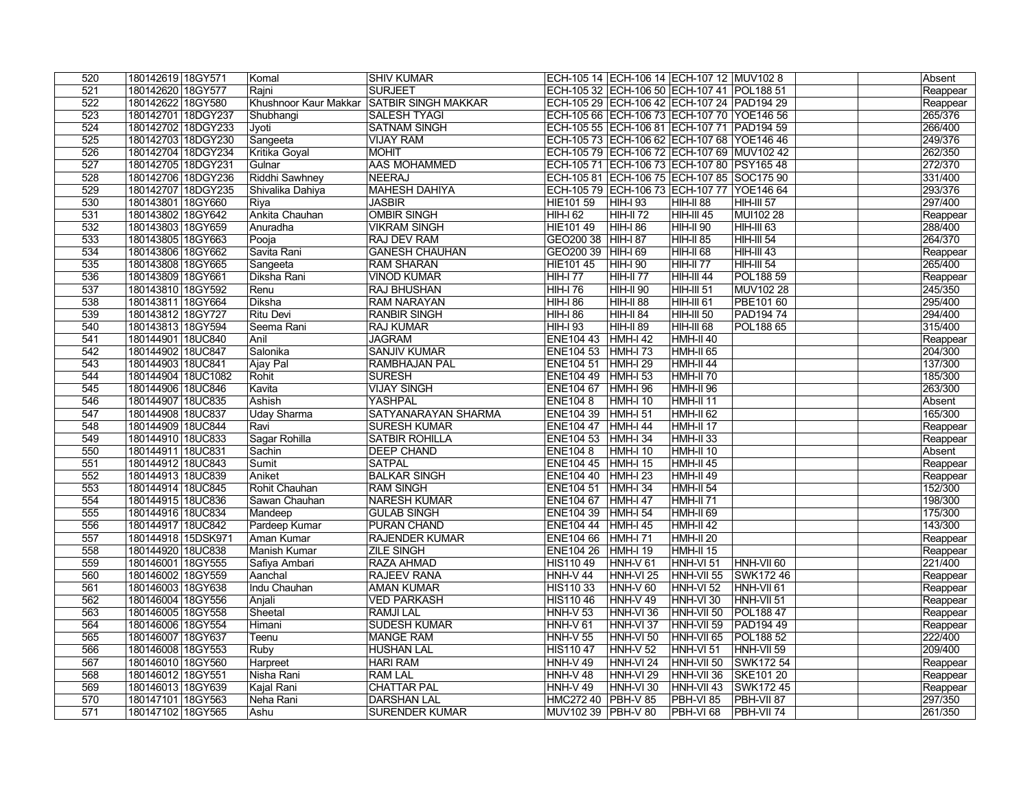| 520              | 180142619 18GY571   | Komal            | <b>SHIV KUMAR</b>                         |                      | ECH-105 14 ECH-106 14 ECH-107 12 MUV102 8  |                      |                                | Absent   |
|------------------|---------------------|------------------|-------------------------------------------|----------------------|--------------------------------------------|----------------------|--------------------------------|----------|
| 521              | 180142620 18GY577   | Rajni            | <b>SURJEET</b>                            |                      | ECH-105 32 ECH-106 50 ECH-107 41 POL188 51 |                      |                                | Reappear |
| 522              | 180142622 18GY580   |                  | Khushnoor Kaur Makkar SATBIR SINGH MAKKAR |                      | ECH-105 29 ECH-106 42 ECH-107 24 PAD194 29 |                      |                                | Reappear |
| 523              | 180142701 18DGY237  | Shubhangi        | <b>SALESH TYAGI</b>                       |                      | ECH-105 66 ECH-106 73 ECH-107 70 YOE146 56 |                      |                                | 265/376  |
| 524              | 180142702 18DGY233  | Jyoti            | <b>SATNAM SINGH</b>                       |                      | ECH-105 55 ECH-106 81 ECH-107 71 PAD194 59 |                      |                                | 266/400  |
| 525              | 180142703 18DGY230  | Sangeeta         | <b>VIJAY RAM</b>                          |                      | ECH-105 73 ECH-106 62 ECH-107 68 YOE146 46 |                      |                                | 249/376  |
| 526              | 180142704 18DGY234  | Kritika Goyal    | <b>MOHIT</b>                              |                      | ECH-105 79 ECH-106 72 ECH-107 69 MUV102 42 |                      |                                | 262/350  |
| 527              | 180142705 18DGY231  | Gulnar           | <b>AAS MOHAMMED</b>                       |                      | ECH-105 71 ECH-106 73 ECH-107 80 PSY165 48 |                      |                                | 272/370  |
| 528              | 180142706 18DGY236  | Riddhi Sawhney   | NEERAJ                                    |                      | ECH-105 81 ECH-106 75 ECH-107 85 SOC175 90 |                      |                                | 331/400  |
| 529              | 180142707 18DGY235  | Shivalika Dahiya | <b>MAHESH DAHIYA</b>                      |                      | ECH-105 79 ECH-106 73 ECH-107 77 YOE146 64 |                      |                                | 293/376  |
| 530              | 180143801 18GY660   | Riya             | <b>JASBIR</b>                             | <b>HIE101 59</b>     | HIH-I 93                                   | HIH-II 88            | $\overline{H}$ HiH-III 57      | 297/400  |
| 531              | 180143802 18GY642   | Ankita Chauhan   | <b>OMBIR SINGH</b>                        | <b>HIH-I 62</b>      | $HH-H 72$                                  | $HH-HI 45$           | MUI102 28                      | Reappear |
| 532              | 180143803 18GY659   | Anuradha         | <b>VIKRAM SINGH</b>                       | <b>HIE10149</b>      | $ HH$ - $ 86$                              | <b>HIH-II 90</b>     | <b>HIH-III 63</b>              | 288/400  |
| 533              | 180143805 18GY663   | Pooja            | <b>RAJ DEV RAM</b>                        | GEO200 38 HIH-187    |                                            | <b>HIH-II 85</b>     | <b>HIH-III 54</b>              | 264/370  |
| 534              | 180143806 18GY662   | Savita Rani      | <b>GANESH CHAUHAN</b>                     | GEO200 39   HIH-I 69 |                                            | HIH-II 68            | <b>HIH-III 43</b>              | Reappear |
| 535              | 180143808 18GY665   | Sangeeta         | <b>RAM SHARAN</b>                         | <b>HIE10145</b>      | $ HH$ -I 90                                | <b>HIH-II 77</b>     | <b>HIH-III 54</b>              | 265/400  |
| 536              | 180143809 18GY661   | Diksha Rani      | <b>VINOD KUMAR</b>                        | <b>HIH-I 77</b>      | $HH-H 77$                                  | HIH-III 44           | POL188 59                      | Reappear |
| $\overline{537}$ | 180143810 18GY592   | Renu             | <b>RAJ BHUSHAN</b>                        | <b>HIH-I 76</b>      | <b>HIH-II 90</b>                           | <b>HIH-III 51</b>    | MUV102 28                      | 245/350  |
| 538              | 180143811 18GY664   | Diksha           | <b>RAM NARAYAN</b>                        | <b>HIH-I 86</b>      | <b>HIH-II 88</b>                           | <b>HIH-III 61</b>    | PBE101 60                      | 295/400  |
| 539              | 180143812 18GY727   | Ritu Devi        | <b>RANBIR SINGH</b>                       | <b>HIH-I 86</b>      | $HH-H 84$                                  | <b>HIH-III 50</b>    | <b>PAD19474</b>                | 294/400  |
| 540              | 180143813 18GY594   | Seema Rani       | <b>RAJ KUMAR</b>                          | <b>HIH-I 93</b>      | <b>HIH-II 89</b>                           | <b>HIH-III 68</b>    | POL188 65                      | 315/400  |
| 541              | 180144901 18UC840   | Anil             | <b>JAGRAM</b>                             | ENE104 43 HMH-I 42   |                                            | HMH-II 40            |                                | Reappear |
| 542              | 180144902 18UC847   | Salonika         | <b>SANJIV KUMAR</b>                       | ENE104 53 HMH-I 73   |                                            | <b>HMH-II 65</b>     |                                | 204/300  |
| 543              | 180144903 18UC841   | Ajay Pal         | <b>RAMBHAJAN PAL</b>                      | ENE104 51   HMH-I 29 |                                            | HMH-II 44            |                                | 137/300  |
| 544              | 180144904 18UC1082  | Rohit            | <b>SURESH</b>                             | ENE104 49   HMH-I 53 |                                            | HMH-II 70            |                                | 185/300  |
| 545              | 180144906 18UC846   | Kavita           | <b>VIJAY SINGH</b>                        | ENE104 67   HMH-I 96 |                                            | <b>HMH-II 96</b>     |                                | 263/300  |
| 546              | 180144907 18UC835   | Ashish           | YASHPAL                                   | ERE1048              | <b>HMH-I 10</b>                            | <b>HMH-II 11</b>     |                                | Absent   |
| 547              | 180144908 18UC837   | Uday Sharma      | SATYANARAYAN SHARMA                       | ENE104 39 HMH-I 51   |                                            | HMH-II <sub>62</sub> |                                | 165/300  |
| 548              | 180144909 18UC844   | Ravi             | <b>SURESH KUMAR</b>                       | ENE104 47 HMH-I 44   |                                            | HMH-II <sub>17</sub> |                                | Reappear |
| 549              | 180144910 18UC833   | Sagar Rohilla    | <b>SATBIR ROHILLA</b>                     | ENE104 53 HMH-I 34   |                                            | <b>HMH-II 33</b>     |                                | Reappear |
| 550              | 180144911 18UC831   | Sachin           | <b>DEEP CHAND</b>                         | <b>ENE1048</b>       | <b>HMH-I 10</b>                            | HMH-II 10            |                                | Absent   |
| 551              | 180144912 18UC843   | Sumit            | <b>SATPAL</b>                             | ENE104 45 HMH-I 15   |                                            | <b>HMH-II 45</b>     |                                | Reappear |
| 552              | 180144913 18UC839   | Aniket           | <b>BALKAR SINGH</b>                       | ENE104 40 HMH-I 23   |                                            | <b>HMH-II 49</b>     |                                | Reappear |
| 553              | 180144914 18UC845   | Rohit Chauhan    | <b>RAM SINGH</b>                          | ENE104 51 HMH-I 34   |                                            | HMH-II 54            |                                | 152/300  |
| 554              | 180144915 18UC836   | Sawan Chauhan    | <b>NARESH KUMAR</b>                       | ENE104 67   HMH-I 47 |                                            | HMH-II <sub>71</sub> |                                | 198/300  |
| 555              | 180144916 18UC834   | Mandeep          | <b>GULAB SINGH</b>                        | ENE104 39 HMH-I 54   |                                            | HMH-II 69            |                                | 175/300  |
| 556              | 180144917 18UC842   | Pardeep Kumar    | <b>PURAN CHAND</b>                        | ENE104 44 HMH-I 45   |                                            | $HMH-II 42$          |                                | 143/300  |
| 557              | 180144918 15DSK971  | Aman Kumar       | <b>RAJENDER KUMAR</b>                     | ENE104 66   HMH-I 71 |                                            | HMH-II <sub>20</sub> |                                | Reappear |
| 558              | 180144920 18UC838   | Manish Kumar     | <b>ZILE SINGH</b>                         | ENE104 26   HMH-I 19 |                                            | HMH-II 15            |                                | Reappear |
| 559              | 180146001 18GY555   | Safiya Ambari    | RAZA AHMAD                                | <b>HIS11049</b>      | $HNH-V$ 61                                 | HNH-VI <sub>51</sub> | HNH-VII 60                     | 221/400  |
| 560              | 180146002 18GY559   | Aanchal          | <b>RAJEEV RANA</b>                        | HNH-V 44             | HNH-VI <sub>25</sub>                       | HNH-VII 55           | SWK17246                       | Reappear |
| 561              | 180146003 18GY638   | Indu Chauhan     | <b>AMAN KUMAR</b>                         | HIS110 33            | $ HMH-V60$                                 | HNH-VI 52            | HNH-VII 61                     | Reappear |
| 562              | 180146004   18GY556 | Anjali           | <b>VED PARKASH</b>                        | HIS11046             | $ HMH-V 49 $                               | HNH-VI 30            | HNH-VII 51                     | Reappear |
| 563              | 180146005   18GY558 | Sheetal          | <b>RAMJILAL</b>                           | HNH-V <sub>53</sub>  | $ HMH-VI36 $                               | HNH-VII 50           | <b>POL18847</b>                | Reappear |
| 564              | 180146006 18GY554   | Himani           | <b>SUDESH KUMAR</b>                       | <b>HNH-V 61</b>      | HNH-VI 37                                  | HNH-VII 59           | <b>PAD194 49</b>               | Reappear |
| 565              | 180146007 18GY637   | Teenu            | <b>MANGE RAM</b>                          | HNH-V <sub>55</sub>  | $ HMH-VI50$                                | HNH-VII 65           | <b>POL188 52</b>               | 222/400  |
| 566              | 180146008 18GY553   | <b>Ruby</b>      | <b>HUSHAN LAL</b>                         | <b>HIS11047</b>      | $HNH-V$ 52                                 | HNH-VI 51            | $\overline{\text{HMH-VII}}$ 59 | 209/400  |
| 567              | 180146010 18GY560   | Harpreet         | <b>HARI RAM</b>                           | <b>HNH-V 49</b>      | HNH-VI <sub>24</sub>                       | HNH-VII 50           | SWK172 54                      | Reappear |
| 568              | 180146012 18GY551   | Nisha Rani       | <b>RAM LAL</b>                            | <b>HNH-V 48</b>      | HNH-VI <sub>29</sub>                       | HNH-VII 36           | SKE101 20                      | Reappear |
| 569              | 180146013 18GY639   | Kajal Rani       | <b>CHATTAR PAL</b>                        | <b>HNH-V 49</b>      | HNH-VI 30                                  | HNH-VII 43           | SWK17245                       | Reappear |
| 570              | 180147101 18GY563   | Neha Rani        | <b>DARSHAN LAL</b>                        | HMC272 40 PBH-V 85   |                                            | PBH-VI <sub>85</sub> | PBH-VII 87                     | 297/350  |
| 571              | 180147102 18GY565   | Ashu             | <b>SURENDER KUMAR</b>                     | MUV102 39 PBH-V 80   |                                            | PBH-VI 68            | $PBH-VII$ 74                   | 261/350  |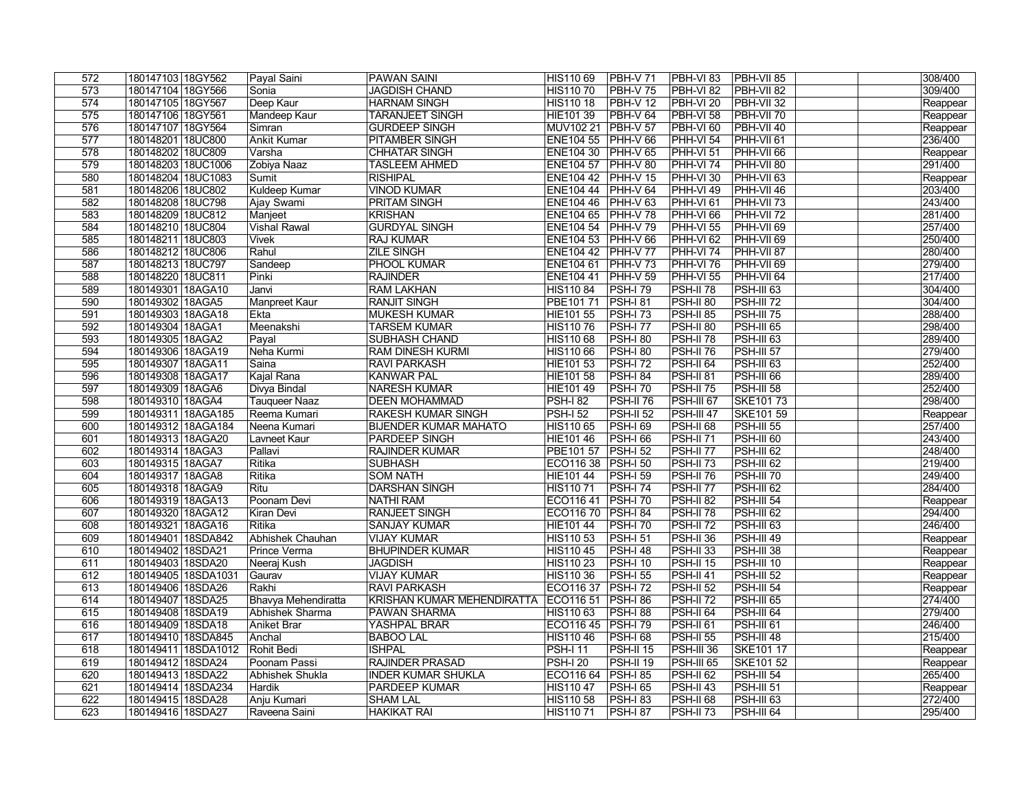| 572        | 180147103 18GY562                        | Payal Saini                                   | <b>PAWAN SAINI</b>                                       | HIS110 69              | $ PBH-V 71$                        | <b>PBH-VI 83</b>                    | <b>PBH-VII 85</b>     |  | 308/400             |
|------------|------------------------------------------|-----------------------------------------------|----------------------------------------------------------|------------------------|------------------------------------|-------------------------------------|-----------------------|--|---------------------|
| 573        | 180147104 18GY566                        | Sonia                                         | <b>JAGDISH CHAND</b>                                     | <b>HIS11070</b>        | <b>PBH-V75</b>                     | PBH-VI 82                           | <b>PBH-VII 82</b>     |  | 309/400             |
| 574        | 180147105 18GY567                        | Deep Kaur                                     | <b>HARNAM SINGH</b>                                      | <b>HIS11018</b>        | $PBH-V12$                          | PBH-VI <sub>20</sub>                | <b>PBH-VII 32</b>     |  | Reappear            |
| 575        | 180147106 18GY561                        | Mandeep Kaur                                  | <b>TARANJEET SINGH</b>                                   | HIE101 39              | $PBH-V64$                          | PBH-VI 58                           | <b>PBH-VII 70</b>     |  | Reappear            |
| 576        | 180147107 18GY564                        | Simran                                        | <b>GURDEEP SINGH</b>                                     | MUV102 21              | $P$ BH-V 57                        | $PBH-VI60$                          | $PBH-VII$ 40          |  | Reappear            |
| 577        | 180148201 18UC800                        | <b>Ankit Kumar</b>                            | <b>PITAMBER SINGH</b>                                    | <b>ENE104 55</b>       | $ $ PHH-V 66                       | PHH-VI 54                           | PHH-VII 61            |  | 236/400             |
| 578        | 180148202 18UC809                        | Varsha                                        | <b>CHHATAR SINGH</b>                                     | ENE104 30 PHH-V 65     |                                    | PHH-VI <sub>51</sub>                | PHH-VII <sub>66</sub> |  | Reappear            |
| 579        | 180148203 18UC1006                       | Zobiya Naaz                                   | <b>TASLEEM AHMED</b>                                     | ENE104 57 PHH-V 80     |                                    | <b>PHH-VI74</b>                     | PHH-VII 80            |  | 291/400             |
| 580        | 180148204 18UC1083                       | Sumit                                         | <b>RISHIPAL</b>                                          | ENE104 42 PHH-V 15     |                                    | $ $ PHH-VI 30                       | $ $ PHH-VII 63        |  | Reappear            |
| 581        | 180148206 18UC802                        | <b>Kuldeep Kumar</b>                          | <b>VINOD KUMAR</b>                                       | ENE104 44 PHH-V 64     |                                    | $\overline{\text{PHH-W}}$ 49        | $ $ PHH-VII 46        |  | 203/400             |
| 582        | 180148208 18UC798                        | Ajay Swami                                    | <b>PRITAM SINGH</b>                                      | ENE104 46 PHH-V 63     |                                    | $PHH-VI$ 61                         | $ $ PHH-VII 73        |  | 243/400             |
| 583        | 180148209 18UC812                        | Manjeet                                       | <b>KRISHAN</b>                                           | ENE104 65 PHH-V 78     |                                    | $PHH-VI$ 66                         | $ $ PHH-VII 72        |  | 281/400             |
| 584        | 180148210 18UC804                        | <b>Vishal Rawal</b>                           | <b>GURDYAL SINGH</b>                                     | ENE104 54 PHH-V 79     |                                    | PHH-VI 55                           | <b>PHH-VII 69</b>     |  | 257/400             |
| 585        | 180148211 18UC803                        | <b>Vivek</b>                                  | <b>RAJ KUMAR</b>                                         | <b>ENE104 53</b>       | $PHH-V66$                          | $PHH-VI$ 62                         | PHH-VII <sub>69</sub> |  | 250/400             |
| 586        | 180148212 18UC806                        | Rahul                                         | <b>ZILE SINGH</b>                                        | ENE104 42 PHH-V 77     |                                    | PHH-VI <sub>74</sub>                | PHH-VII <sub>87</sub> |  | 280/400             |
| 587        | 180148213 18UC797                        | Sandeep                                       | PHOOL KUMAR                                              | <b>ENE104 61</b>       | $ $ PHH-V 73                       | $PHH-VI$ 76                         | PHH-VII <sub>69</sub> |  | 279/400             |
| 588        | 180148220 18UC811                        | Pinki                                         | <b>RAJINDER</b>                                          | <b>ENE10441</b>        | $ $ PHH-V 59                       | $PHH-VI$ 55                         | PHH-VII <sub>64</sub> |  | 217/400             |
| 589        | 180149301 18AGA10                        | Janvi                                         | <b>RAM LAKHAN</b>                                        | <b>HIS11084</b>        | $PSH-I$ 79                         | <b>PSH-II 78</b>                    | $PSH-III 63$          |  | 304/400             |
| 590        | 180149302 18AGA5                         | <b>Manpreet Kaur</b>                          | <b>RANJIT SINGH</b>                                      | PBE101 71              | $PSH-I 81$                         | <b>PSH-II 80</b>                    | $PSH-III$ 72          |  | 304/400             |
| 591        | 180149303 18AGA18                        | Ekta                                          | <b>MUKESH KUMAR</b>                                      | <b>HIE101 55</b>       | <b>PSH-I 73</b>                    | <b>PSH-II 85</b>                    | $PSH-III$ 75          |  | 288/400             |
| 592        | 180149304 18AGA1                         | Meenakshi                                     | <b>TARSEM KUMAR</b>                                      | <b>HIS11076</b>        | <b>PSH-I 77</b>                    | $PSH-II$ 80                         | <b>PSH-III 65</b>     |  | 298/400             |
| 593        | 180149305 18AGA2                         | Payal                                         | <b>SUBHASH CHAND</b>                                     | <b>HIS11068</b>        | <b>PSH-I 80</b>                    | PSH-II <sub>78</sub>                | <b>PSH-III 63</b>     |  | 289/400             |
| 594        | 180149306 18AGA19                        | Neha Kurmi                                    | <b>RAM DINESH KURMI</b>                                  | <b>HIS110 66</b>       | <b>PSH-I 80</b>                    | PSH-II <sub>76</sub>                | <b>PSH-III 57</b>     |  | 279/400             |
| 595        | 180149307 18AGA11                        | Saina                                         | <b>RAVI PARKASH</b>                                      | <b>HIE101 53</b>       | <b>PSH-I 72</b>                    | PSH-II <sub>64</sub>                | PSH-III 63            |  | 252/400             |
| 596        | 180149308 18AGA17                        | Kajal Rana                                    | <b>KANWAR PAL</b>                                        | <b>HIE101 58</b>       | <b>PSH-I 84</b>                    | PSH-II 81                           | PSH-III 66            |  | 289/400             |
| 597        | 180149309 18AGA6                         | Divya Bindal                                  | NARESH KUMAR                                             | HIE101 49              | <b>PSH-I 70</b>                    | $PSH-II75$                          | <b>PSH-III 58</b>     |  | 252/400             |
| 598        | 180149310 18AGA4                         | <b>Tauqueer Naaz</b>                          | <b>DEEN MOHAMMAD</b>                                     | $PSH-182$              | <b>PSH-II 76</b>                   | <b>PSH-III 67</b>                   | <b>SKE10173</b>       |  | 298/400             |
| 599        | 180149311 18AGA185                       | Reema Kumari                                  | <b>RAKESH KUMAR SINGH</b>                                | $PSH-I 52$             | <b>PSH-II 52</b>                   | PSH-III <sub>47</sub>               | SKE101 59             |  | Reappear            |
| 600        | 180149312 18AGA184                       | Neena Kumari                                  | <b>BIJENDER KUMAR MAHATO</b>                             | <b>HIS110 65</b>       | <b>PSH-I 69</b>                    | $PSH-II68$                          | <b>PSH-III 55</b>     |  | 257/400             |
| 601        | 180149313 18AGA20                        | Lavneet Kaur                                  | <b>PARDEEP SINGH</b>                                     | <b>HIE10146</b>        | <b>PSH-I 66</b>                    | <b>PSH-II 71</b>                    | $PSH-III$ 60          |  | 243/400             |
| 602        | 180149314 18AGA3                         | Pallavi                                       | <b>RAJINDER KUMAR</b>                                    | <b>PBE101 57</b>       | $PSH-I$ 52                         | PSH-II <sub>77</sub>                | $PSH-II162$           |  | 248/400             |
| 603        | 180149315 18AGA7                         | Ritika                                        | <b>SUBHASH</b>                                           | ECO116 38              | $PSH-I$ 50                         | <b>PSH-II 73</b>                    | $PSH-II162$           |  | 219/400             |
| 604        | 180149317 18AGA8                         | Ritika                                        | <b>SOM NATH</b>                                          | <b>HIE10144</b>        | <b>PSH-I 59</b>                    | <b>PSH-II 76</b>                    | $PSH-III$ 70          |  | 249/400             |
| 605        | 180149318 18AGA9                         | Ritu                                          | <b>DARSHAN SINGH</b>                                     | <b>HIS11071</b>        | $PSH-I 74$                         | PSH-II <sub>77</sub>                | $PSH-II162$           |  | 284/400             |
| 606        | 180149319 18AGA13                        | Poonam Devi                                   | <b>NATHI RAM</b>                                         | ECO11641               | $PSH-I$ 70                         | <b>PSH-II 82</b>                    | $PSH-III$ 54          |  | Reappear            |
| 607        | 180149320 18AGA12                        | Kiran Devi                                    | <b>RANJEET SINGH</b>                                     | ECO116 70 PSH-I 84     |                                    | PSH-II <sub>78</sub>                | <b>PSH-III 62</b>     |  | 294/400             |
| 608        | 180149321 18AGA16                        | Ritika                                        | <b>SANJAY KUMAR</b>                                      | HIE101 44              | $PSH-I$ 70                         | $PSH-II 72$                         | PSH-III <sub>63</sub> |  | 246/400             |
| 609        | 180149401 18SDA842                       | Abhishek Chauhan                              | <b>VIJAY KUMAR</b>                                       | HIS110 53              | <b>PSH-I 51</b>                    | <b>PSH-II 36</b>                    | $PSH-III$ 49          |  | Reappear            |
| 610        | 180149402 18SDA21                        | Prince Verma                                  | <b>BHUPINDER KUMAR</b>                                   | HIS11045               | <b>PSH-I 48</b>                    | <b>PSH-II 33</b>                    | <b>PSH-III 38</b>     |  | Reappear            |
| 611        | 180149403 18SDA20                        | Neeraj Kush                                   | <b>JAGDISH</b>                                           | HIS110 23              | <b>PSH-I 10</b>                    | <b>PSH-II 15</b>                    | PSH-III 10            |  | Reappear            |
| 612        | 180149405 18SDA1031                      | Gaurav                                        | <b>VIJAY KUMAR</b>                                       | HIS110 36              | <b>PSH-I 55</b>                    | PSH-II 41                           | $PSH-III$ 52          |  |                     |
| 613        | 180149406   18SDA26                      | Rakhi                                         | <b>RAVI PARKASH</b>                                      | ECO116 37              | $PSH-I 72$                         | <b>PSH-II 52</b>                    | PSH-III 54            |  | Reappear            |
|            |                                          |                                               |                                                          |                        |                                    |                                     | <b>PSH-III 65</b>     |  | Reappear<br>274/400 |
| 614<br>615 | 180149407   18SDA25<br>180149408 18SDA19 | <b>Bhavya Mehendiratta</b><br>Abhishek Sharma | <b>KRISHAN KUMAR MEHENDIRATTA</b><br><b>PAWAN SHARMA</b> | ECO116 51<br>HIS110 63 | <b>PSH-I 86</b><br><b>PSH-I 88</b> | $PSH-II 72$<br>PSH-II <sub>64</sub> | <b>PSH-III 64</b>     |  | 279/400             |
|            |                                          |                                               |                                                          |                        |                                    |                                     |                       |  |                     |
| 616        | 180149409 18SDA18                        | <b>Aniket Brar</b>                            | YASHPAL BRAR                                             | ECO116 45              | $PSH-I 79$                         | PSH-II 61                           | PSH-III 61            |  | 246/400<br>215/400  |
| 617        | 180149410 18SDA845                       | Anchal<br>Rohit Bedi                          | <b>BABOO LAL</b>                                         | HIS11046               | <b>PSH-I 68</b>                    | <b>PSH-II 55</b>                    | PSH-III 48            |  |                     |
| 618        | 180149411 18SDA1012                      |                                               | <b>ISHPAL</b>                                            | <b>PSH-I 11</b>        | <b>PSH-II 15</b>                   | PSH-III 36                          | SKE101 17             |  | Reappear            |
| 619        | 180149412 18SDA24                        | Poonam Passi                                  | <b>RAJINDER PRASAD</b>                                   | $PSH-I 20$             | <b>PSH-II 19</b>                   | PSH-III 65                          | SKE101 52             |  | Reappear<br>265/400 |
| 620        | 180149413 18SDA22                        | Abhishek Shukla                               | <b>INDER KUMAR SHUKLA</b>                                | ECO116 64              | $PSH-I 85$                         | $PSH-II 62$                         | <b>PSH-III 54</b>     |  |                     |
| 621        | 180149414 18SDA234                       | Hardik                                        | <b>PARDEEP KUMAR</b>                                     | <b>HIS11047</b>        | $PSH-I 65$                         | $PSH-II$ 43                         | $PSH-III$ 51          |  | Reappear            |
| 622        | 180149415 18SDA28                        | Anju Kumari                                   | <b>SHAM LAL</b>                                          | <b>HIS110 58</b>       | <b>PSH-I 83</b>                    | <b>PSH-II 68</b>                    | PSH-III 63            |  | 272/400             |
| 623        | 180149416 18SDA27                        | Raveena Saini                                 | <b>HAKIKAT RAI</b>                                       | HIS110 71              | <b>PSH-I 87</b>                    | <b>PSH-II 73</b>                    | PSH-III 64            |  | 295/400             |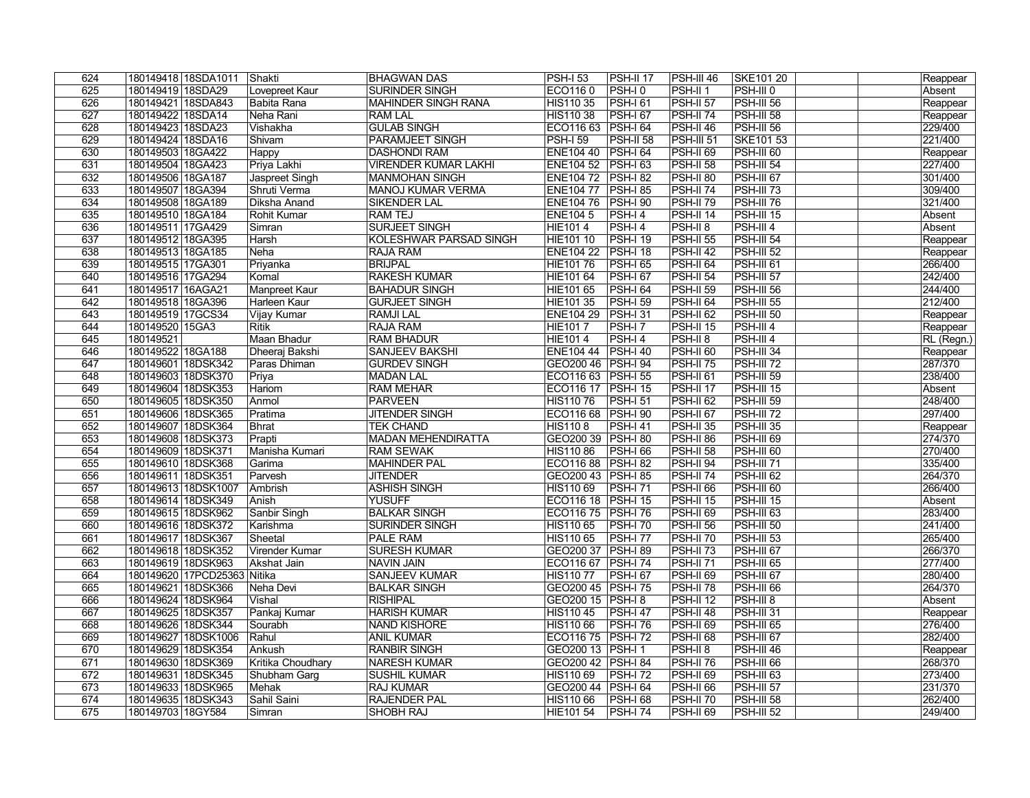| 180149419 18SDA29<br>Lovepreet Kaur<br>ECO1160<br><b>PSH-III 0</b><br>625<br>SURINDER SINGH<br>$PSH-I$ 0<br>PSH-II <sub>1</sub><br>Absent<br>626<br>HIS110 35<br><b>PSH-161</b><br><b>PSH-II 57</b><br><b>PSH-III 56</b><br>180149421 18SDA843<br>Babita Rana<br><b>MAHINDER SINGH RANA</b><br>Reappear<br>627<br>180149422 18SDA14<br>Neha Rani<br><b>HIS11038</b><br><b>PSH-167</b><br><b>PSH-II 74</b><br><b>PSH-III 58</b><br><b>RAM LAL</b><br>Reappear<br>628<br>180149423 18SDA23<br><b>GULAB SINGH</b><br>ECO116 63 PSH-I 64<br><b>PSH-II 46</b><br>$PSH-III 56$<br>229/400<br>Vishakha<br>221/400<br>629<br>$PSH-I$ 59<br>$PSH-II 58$<br>180149424 18SDA16<br><b>PARAMJEET SINGH</b><br><b>PSH-III 51</b><br><b>SKE101 53</b><br>Shivam<br>630<br>180149503 18GA422<br>ENE104 40   PSH-I 64<br><b>PSH-II 69</b><br>PSH-III 60<br>Reappear<br>Happy<br><b>DASHONDI RAM</b><br>631<br>Priya Lakhi<br>227/400<br>180149504 18GA423<br><b>VIRENDER KUMAR LAKHI</b><br>ENE104 52 PSH-I 63<br>PSH-II 58<br>PSH-III 54<br>301/400<br>Jaspreet Singh<br><b>PSH-II 80</b><br><b>PSH-III 67</b><br>632<br>180149506 18GA187<br>MANMOHAN SINGH<br>ENE104 72 PSH-I 82<br>309/400<br>Shruti Verma<br>PSH-II <sub>74</sub><br>$PSH-III$ 73<br>633<br>180149507   18GA394<br><b>MANOJ KUMAR VERMA</b><br>ENE104 77   PSH-I 85<br>321/400<br>634<br>ENE104 76 PSH-I 90<br><b>PSH-II 79</b><br>$PSH-III$ 76<br>180149508 18GA189<br>Diksha Anand<br>SIKENDER LAL<br>635<br><b>RAM TEJ</b><br><b>ENE1045</b><br>$PSH-I$ 4<br><b>PSH-II 14</b><br><b>PSH-III 15</b><br>Absent<br>180149510 18GA184<br>Rohit Kumar<br><b>SURJEET SINGH</b><br><b>HIE1014</b><br>PSH-II <sub>8</sub><br>636<br>$PSH-I$ 4<br>$PSH-HI$ 4<br>Absent<br>180149511 17GA429<br>Simran<br>637<br><b>PSH-II 55</b><br>$PSH-IIJ$ 54<br>180149512 18GA395<br>KOLESHWAR PARSAD SINGH<br><b>HIE10110</b><br><b>PSH-I 19</b><br>Harsh<br>Reappear<br><b>ENE104 22</b><br>$PSH-I$ 18<br><b>PSH-II 42</b><br><b>PSH-III 52</b><br>638<br>180149513 18GA185<br>Neha<br>RAJA RAM<br>Reappear<br>639<br><b>HIE10176</b><br><b>PSH-I 65</b><br><b>PSH-II 64</b><br>$PSH-III 61$<br>266/400<br>180149515 17GA301<br>Priyanka<br><b>BRIJPAL</b><br>242/400<br><b>RAKESH KUMAR</b><br><b>PSH-167</b><br><b>PSH-II 54</b><br>$PSH-IIJ$ 57<br>640<br>180149516 17GA294<br>Komal<br>HIE101 64<br>244/400<br><b>HIE101 65</b><br>$PSH-I 64$<br><b>PSH-II 59</b><br>$PSH-III 56$<br>641<br>180149517 16AGA21<br>Manpreet Kaur<br><b>BAHADUR SINGH</b><br><b>GURJEET SINGH</b><br><b>PSH-I 59</b><br><b>PSH-III 55</b><br>212/400<br>642<br>180149518 18GA396<br>Harleen Kaur<br>HIE101 35<br><b>PSH-II 64</b><br>180149519 17GCS34<br><b>RAMJILAL</b><br>$PSH-131$<br>$PSH-III$ 50<br>643<br>Vijay Kumar<br>ENE104 29<br><b>PSH-II 62</b><br>Reappear<br>644<br><b>RAJA RAM</b><br>PSH-I7<br>$PSH-HI$ 4<br>180149520 15GA3<br><b>Ritik</b><br><b>HIE1017</b><br><b>PSH-II 15</b><br>Reappear<br>180149521<br><b>Maan Bhadur</b><br><b>HIE1014</b><br>$PSH-I$ 4<br>PSH-II <sub>8</sub><br>$PSH-HI$ 4<br>645<br><b>RAM BHADUR</b><br>$\overline{\mathsf{RL}(\mathsf{Regn.})}$<br>180149522 18GA188<br><b>SANJEEV BAKSHI</b><br>$PSH-I$ 40<br><b>PSH-II 60</b><br>$PSH-III$ 34<br>646<br>Dheeraj Bakshi<br>ENE104 44<br>Reappear<br>287/370<br>647<br>180149601 18DSK342<br><b>GURDEV SINGH</b><br> GEO200 46  PSH-I 94<br><b>PSH-II 75</b><br>PSH-III 72<br>Paras Dhiman<br>238/400<br>648<br>180149603 18DSK370<br><b>MADAN LAL</b><br>ECO116 63 PSH-I 55<br><b>PSH-II 61</b><br>PSH-III 59<br>Priya<br>180149604 18DSK353<br>Hariom<br><b>RAM MEHAR</b><br>ECO116 17   PSH-I 15<br>PSH-II 17<br>PSH-III 15<br>Absent<br>649<br><b>PARVEEN</b><br>248/400<br>650<br>180149605 18DSK350<br><b>HIS11076</b><br><b>PSH-I 51</b><br><b>PSH-II 62</b><br><b>PSH-III 59</b><br>Anmol<br>ECO116 68   PSH-I 90<br><b>PSH-II 67</b><br>$PSH-III$ 72<br>297/400<br>651<br>180149606 18DSK365<br><b>JITENDER SINGH</b><br>Pratima<br>652<br>180149607 18DSK364<br><b>TEK CHAND</b><br><b>HIS1108</b><br>$PSH-I$ 41<br><b>PSH-II 35</b><br>$PSH-III$ 35<br><b>Bhrat</b><br>Reappear<br>GEO200 39 PSH-I 80<br><b>PSH-II 86</b><br>274/370<br>653<br>180149608 18DSK373<br><b>MADAN MEHENDIRATTA</b><br>$PSH-III 69$<br>Prapti<br><b>HIS110 86</b><br><b>PSH-II 58</b><br>270/400<br>654<br>180149609 18DSK371<br><b>RAM SEWAK</b><br><b>PSH-I 66</b><br>$PSH-III$ 60<br>Manisha Kumari<br>ECO116 88 PSH-I 82<br><b>PSH-II 94</b><br>335/400<br>655<br>180149610 18DSK368<br><b>MAHINDER PAL</b><br>$PSH-III$ 71<br>Garima<br>264/370<br><b>JITENDER</b><br>GEO200 43   PSH-I 85<br><b>PSH-II 74</b><br>$PSH-III 62$<br>656<br>180149611 18DSK351<br>Parvesh<br>266/400<br>657<br><b>ASHISH SINGH</b><br><b>HIS110 69</b><br>$PSH-I 71$<br><b>PSH-II 66</b><br><b>PSH-III 60</b><br>180149613 18DSK1007<br>Ambrish<br><b>YUSUFF</b><br>ECO116 18   PSH-I 15<br>$PSH-III$ 15<br>658<br>180149614 18DSK349<br>Anish<br><b>PSH-II 15</b><br>Absent<br>659<br><b>BALKAR SINGH</b><br>ECO116 75   PSH-I 76<br><b>PSH-III 63</b><br>283/400<br>180149615 18DSK962<br>Sanbir Singh<br><b>PSH-II 69</b><br>660<br>180149616 18DSK372<br>HIS110 65 PSH-I 70<br>241/400<br>Karishma<br><b>SURINDER SINGH</b><br>$PSH-II 56$<br><b>PSH-III 50</b><br>661<br>180149617 18DSK367<br>HIS110 65<br>$PSH-I 77$<br><b>PSH-II 70</b><br><b>PSH-III 53</b><br>265/400<br>Sheetal<br>PALE RAM<br>662<br>180149618 18DSK352<br><b>SURESH KUMAR</b><br>GEO200 37   PSH-I 89<br><b>PSH-II 73</b><br><b>PSH-III 67</b><br>266/370<br>Virender Kumar<br>663<br>180149619 18DSK963<br>ECO116 67   PSH-I 74<br><b>PSH-II 71</b><br>PSH-III 65<br>277/400<br>Akshat Jain<br><b>NAVIN JAIN</b><br>664<br>180149620 17PCD25363 Nitika<br><b>HIS11077</b><br><b>PSH-167</b><br><b>PSH-II 69</b><br>PSH-III 67<br>280/400<br><b>SANJEEV KUMAR</b><br>665<br>180149621 18DSK366<br>GEO200 45 PSH-I 75<br>264/370<br>Neha Devi<br><b>BALKAR SINGH</b><br><b>PSH-II 78</b><br>PSH-III 66<br>GEO200 15   PSH-I 8<br>PSH-III 8<br>666<br>180149624 18DSK964<br><b>RISHIPAL</b><br><b>PSH-II 12</b><br>Absent<br>Vishal<br>667<br><b>HARISH KUMAR</b><br>HIS11045<br>PSH-II 48<br>PSH-III 31<br>180149625 18DSK357<br>Pankaj Kumar<br>$PSH-I 47$<br>Reappear<br><b>HIS110 66</b><br>668<br>180149626 18DSK344<br><b>PSH-176</b><br><b>PSH-II 69</b><br>PSH-III 65<br>276/400<br><b>NAND KISHORE</b><br>Sourabh<br>669<br>180149627 18DSK1006<br>Rahul<br>ECO116 75  PSH-I 72<br><b>PSH-II 68</b><br>PSH-III 67<br>282/400<br><b>ANIL KUMAR</b><br>180149629 18DSK354<br>GEO200 13 PSH-I 1<br>PSH-II <sub>8</sub><br>670<br><b>RANBIR SINGH</b><br>PSH-III 46<br>Reappear<br>Ankush<br>Kritika Choudhary<br><b>PSH-II 76</b><br>268/370<br>671<br>180149630 18DSK369<br><b>NARESH KUMAR</b><br>GEO200 42   PSH-I 84<br>PSH-III 66<br>HIS110 69<br><b>PSH-II 69</b><br>273/400<br>672<br>180149631 18DSK345<br><b>PSH-I 72</b><br>PSH-III 63<br>Shubham Garg<br><b>SUSHIL KUMAR</b><br>GEO200 44   PSH-I 64<br>231/370<br>180149633 18DSK965<br>Mehak<br><b>RAJ KUMAR</b><br><b>PSH-II 66</b><br><b>PSH-III 57</b><br>673<br><b>HIS110 66</b><br>674<br>180149635 18DSK343<br>Sahil Saini<br><b>RAJENDER PAL</b><br><b>PSH-I 68</b><br><b>PSH-II 70</b><br><b>PSH-III 58</b><br>262/400<br>675<br>180149703 18GY584<br>SHOBH RAJ<br><b>PSH-I 74</b><br><b>PSH-III 52</b><br>249/400<br>Simran<br>HIE101 54<br><b>PSH-II 69</b> | 624 | 180149418 18SDA1011 | Shakti | <b>BHAGWAN DAS</b> | $PSH-I$ 53 | PSH-II 17 | <b>PSH-III 46</b> | SKE101 20 | Reappear |
|------------------------------------------------------------------------------------------------------------------------------------------------------------------------------------------------------------------------------------------------------------------------------------------------------------------------------------------------------------------------------------------------------------------------------------------------------------------------------------------------------------------------------------------------------------------------------------------------------------------------------------------------------------------------------------------------------------------------------------------------------------------------------------------------------------------------------------------------------------------------------------------------------------------------------------------------------------------------------------------------------------------------------------------------------------------------------------------------------------------------------------------------------------------------------------------------------------------------------------------------------------------------------------------------------------------------------------------------------------------------------------------------------------------------------------------------------------------------------------------------------------------------------------------------------------------------------------------------------------------------------------------------------------------------------------------------------------------------------------------------------------------------------------------------------------------------------------------------------------------------------------------------------------------------------------------------------------------------------------------------------------------------------------------------------------------------------------------------------------------------------------------------------------------------------------------------------------------------------------------------------------------------------------------------------------------------------------------------------------------------------------------------------------------------------------------------------------------------------------------------------------------------------------------------------------------------------------------------------------------------------------------------------------------------------------------------------------------------------------------------------------------------------------------------------------------------------------------------------------------------------------------------------------------------------------------------------------------------------------------------------------------------------------------------------------------------------------------------------------------------------------------------------------------------------------------------------------------------------------------------------------------------------------------------------------------------------------------------------------------------------------------------------------------------------------------------------------------------------------------------------------------------------------------------------------------------------------------------------------------------------------------------------------------------------------------------------------------------------------------------------------------------------------------------------------------------------------------------------------------------------------------------------------------------------------------------------------------------------------------------------------------------------------------------------------------------------------------------------------------------------------------------------------------------------------------------------------------------------------------------------------------------------------------------------------------------------------------------------------------------------------------------------------------------------------------------------------------------------------------------------------------------------------------------------------------------------------------------------------------------------------------------------------------------------------------------------------------------------------------------------------------------------------------------------------------------------------------------------------------------------------------------------------------------------------------------------------------------------------------------------------------------------------------------------------------------------------------------------------------------------------------------------------------------------------------------------------------------------------------------------------------------------------------------------------------------------------------------------------------------------------------------------------------------------------------------------------------------------------------------------------------------------------------------------------------------------------------------------------------------------------------------------------------------------------------------------------------------------------------------------------------------------------------------------------------------------------------------------------------------------------------------------------------------------------------------------------------------------------------------------------------------------------------------------------------------------------------------------------------------------------------------------------------------------------------------------------------------------------------------------------------------------------------------------------------------------------------------------------------------------------------------------------------------------------------------------------------------------------------------------------------------------------------------------------------------------------------------------------------------------------------------------------------------------------------------------------------------------------------------------------------------------------------------------------------------------------------------------------------------------------------------------------------------------------------------------------------------------------------------------------------------------------------------------------------------------------------------------------------------------------------------------------------------------------------------------------------------------------------------------------------------------------------------------------------------------------------------------------------------------------------------------------------|-----|---------------------|--------|--------------------|------------|-----------|-------------------|-----------|----------|
|                                                                                                                                                                                                                                                                                                                                                                                                                                                                                                                                                                                                                                                                                                                                                                                                                                                                                                                                                                                                                                                                                                                                                                                                                                                                                                                                                                                                                                                                                                                                                                                                                                                                                                                                                                                                                                                                                                                                                                                                                                                                                                                                                                                                                                                                                                                                                                                                                                                                                                                                                                                                                                                                                                                                                                                                                                                                                                                                                                                                                                                                                                                                                                                                                                                                                                                                                                                                                                                                                                                                                                                                                                                                                                                                                                                                                                                                                                                                                                                                                                                                                                                                                                                                                                                                                                                                                                                                                                                                                                                                                                                                                                                                                                                                                                                                                                                                                                                                                                                                                                                                                                                                                                                                                                                                                                                                                                                                                                                                                                                                                                                                                                                                                                                                                                                                                                                                                                                                                                                                                                                                                                                                                                                                                                                                                                                                                                                                                                                                                                                                                                                                                                                                                                                                                                                                                                                                                                                                                                                                                                                                                                                                                                                                                                                                                                                                                                                                                  |     |                     |        |                    |            |           |                   |           |          |
|                                                                                                                                                                                                                                                                                                                                                                                                                                                                                                                                                                                                                                                                                                                                                                                                                                                                                                                                                                                                                                                                                                                                                                                                                                                                                                                                                                                                                                                                                                                                                                                                                                                                                                                                                                                                                                                                                                                                                                                                                                                                                                                                                                                                                                                                                                                                                                                                                                                                                                                                                                                                                                                                                                                                                                                                                                                                                                                                                                                                                                                                                                                                                                                                                                                                                                                                                                                                                                                                                                                                                                                                                                                                                                                                                                                                                                                                                                                                                                                                                                                                                                                                                                                                                                                                                                                                                                                                                                                                                                                                                                                                                                                                                                                                                                                                                                                                                                                                                                                                                                                                                                                                                                                                                                                                                                                                                                                                                                                                                                                                                                                                                                                                                                                                                                                                                                                                                                                                                                                                                                                                                                                                                                                                                                                                                                                                                                                                                                                                                                                                                                                                                                                                                                                                                                                                                                                                                                                                                                                                                                                                                                                                                                                                                                                                                                                                                                                                                  |     |                     |        |                    |            |           |                   |           |          |
|                                                                                                                                                                                                                                                                                                                                                                                                                                                                                                                                                                                                                                                                                                                                                                                                                                                                                                                                                                                                                                                                                                                                                                                                                                                                                                                                                                                                                                                                                                                                                                                                                                                                                                                                                                                                                                                                                                                                                                                                                                                                                                                                                                                                                                                                                                                                                                                                                                                                                                                                                                                                                                                                                                                                                                                                                                                                                                                                                                                                                                                                                                                                                                                                                                                                                                                                                                                                                                                                                                                                                                                                                                                                                                                                                                                                                                                                                                                                                                                                                                                                                                                                                                                                                                                                                                                                                                                                                                                                                                                                                                                                                                                                                                                                                                                                                                                                                                                                                                                                                                                                                                                                                                                                                                                                                                                                                                                                                                                                                                                                                                                                                                                                                                                                                                                                                                                                                                                                                                                                                                                                                                                                                                                                                                                                                                                                                                                                                                                                                                                                                                                                                                                                                                                                                                                                                                                                                                                                                                                                                                                                                                                                                                                                                                                                                                                                                                                                                  |     |                     |        |                    |            |           |                   |           |          |
|                                                                                                                                                                                                                                                                                                                                                                                                                                                                                                                                                                                                                                                                                                                                                                                                                                                                                                                                                                                                                                                                                                                                                                                                                                                                                                                                                                                                                                                                                                                                                                                                                                                                                                                                                                                                                                                                                                                                                                                                                                                                                                                                                                                                                                                                                                                                                                                                                                                                                                                                                                                                                                                                                                                                                                                                                                                                                                                                                                                                                                                                                                                                                                                                                                                                                                                                                                                                                                                                                                                                                                                                                                                                                                                                                                                                                                                                                                                                                                                                                                                                                                                                                                                                                                                                                                                                                                                                                                                                                                                                                                                                                                                                                                                                                                                                                                                                                                                                                                                                                                                                                                                                                                                                                                                                                                                                                                                                                                                                                                                                                                                                                                                                                                                                                                                                                                                                                                                                                                                                                                                                                                                                                                                                                                                                                                                                                                                                                                                                                                                                                                                                                                                                                                                                                                                                                                                                                                                                                                                                                                                                                                                                                                                                                                                                                                                                                                                                                  |     |                     |        |                    |            |           |                   |           |          |
|                                                                                                                                                                                                                                                                                                                                                                                                                                                                                                                                                                                                                                                                                                                                                                                                                                                                                                                                                                                                                                                                                                                                                                                                                                                                                                                                                                                                                                                                                                                                                                                                                                                                                                                                                                                                                                                                                                                                                                                                                                                                                                                                                                                                                                                                                                                                                                                                                                                                                                                                                                                                                                                                                                                                                                                                                                                                                                                                                                                                                                                                                                                                                                                                                                                                                                                                                                                                                                                                                                                                                                                                                                                                                                                                                                                                                                                                                                                                                                                                                                                                                                                                                                                                                                                                                                                                                                                                                                                                                                                                                                                                                                                                                                                                                                                                                                                                                                                                                                                                                                                                                                                                                                                                                                                                                                                                                                                                                                                                                                                                                                                                                                                                                                                                                                                                                                                                                                                                                                                                                                                                                                                                                                                                                                                                                                                                                                                                                                                                                                                                                                                                                                                                                                                                                                                                                                                                                                                                                                                                                                                                                                                                                                                                                                                                                                                                                                                                                  |     |                     |        |                    |            |           |                   |           |          |
|                                                                                                                                                                                                                                                                                                                                                                                                                                                                                                                                                                                                                                                                                                                                                                                                                                                                                                                                                                                                                                                                                                                                                                                                                                                                                                                                                                                                                                                                                                                                                                                                                                                                                                                                                                                                                                                                                                                                                                                                                                                                                                                                                                                                                                                                                                                                                                                                                                                                                                                                                                                                                                                                                                                                                                                                                                                                                                                                                                                                                                                                                                                                                                                                                                                                                                                                                                                                                                                                                                                                                                                                                                                                                                                                                                                                                                                                                                                                                                                                                                                                                                                                                                                                                                                                                                                                                                                                                                                                                                                                                                                                                                                                                                                                                                                                                                                                                                                                                                                                                                                                                                                                                                                                                                                                                                                                                                                                                                                                                                                                                                                                                                                                                                                                                                                                                                                                                                                                                                                                                                                                                                                                                                                                                                                                                                                                                                                                                                                                                                                                                                                                                                                                                                                                                                                                                                                                                                                                                                                                                                                                                                                                                                                                                                                                                                                                                                                                                  |     |                     |        |                    |            |           |                   |           |          |
|                                                                                                                                                                                                                                                                                                                                                                                                                                                                                                                                                                                                                                                                                                                                                                                                                                                                                                                                                                                                                                                                                                                                                                                                                                                                                                                                                                                                                                                                                                                                                                                                                                                                                                                                                                                                                                                                                                                                                                                                                                                                                                                                                                                                                                                                                                                                                                                                                                                                                                                                                                                                                                                                                                                                                                                                                                                                                                                                                                                                                                                                                                                                                                                                                                                                                                                                                                                                                                                                                                                                                                                                                                                                                                                                                                                                                                                                                                                                                                                                                                                                                                                                                                                                                                                                                                                                                                                                                                                                                                                                                                                                                                                                                                                                                                                                                                                                                                                                                                                                                                                                                                                                                                                                                                                                                                                                                                                                                                                                                                                                                                                                                                                                                                                                                                                                                                                                                                                                                                                                                                                                                                                                                                                                                                                                                                                                                                                                                                                                                                                                                                                                                                                                                                                                                                                                                                                                                                                                                                                                                                                                                                                                                                                                                                                                                                                                                                                                                  |     |                     |        |                    |            |           |                   |           |          |
|                                                                                                                                                                                                                                                                                                                                                                                                                                                                                                                                                                                                                                                                                                                                                                                                                                                                                                                                                                                                                                                                                                                                                                                                                                                                                                                                                                                                                                                                                                                                                                                                                                                                                                                                                                                                                                                                                                                                                                                                                                                                                                                                                                                                                                                                                                                                                                                                                                                                                                                                                                                                                                                                                                                                                                                                                                                                                                                                                                                                                                                                                                                                                                                                                                                                                                                                                                                                                                                                                                                                                                                                                                                                                                                                                                                                                                                                                                                                                                                                                                                                                                                                                                                                                                                                                                                                                                                                                                                                                                                                                                                                                                                                                                                                                                                                                                                                                                                                                                                                                                                                                                                                                                                                                                                                                                                                                                                                                                                                                                                                                                                                                                                                                                                                                                                                                                                                                                                                                                                                                                                                                                                                                                                                                                                                                                                                                                                                                                                                                                                                                                                                                                                                                                                                                                                                                                                                                                                                                                                                                                                                                                                                                                                                                                                                                                                                                                                                                  |     |                     |        |                    |            |           |                   |           |          |
|                                                                                                                                                                                                                                                                                                                                                                                                                                                                                                                                                                                                                                                                                                                                                                                                                                                                                                                                                                                                                                                                                                                                                                                                                                                                                                                                                                                                                                                                                                                                                                                                                                                                                                                                                                                                                                                                                                                                                                                                                                                                                                                                                                                                                                                                                                                                                                                                                                                                                                                                                                                                                                                                                                                                                                                                                                                                                                                                                                                                                                                                                                                                                                                                                                                                                                                                                                                                                                                                                                                                                                                                                                                                                                                                                                                                                                                                                                                                                                                                                                                                                                                                                                                                                                                                                                                                                                                                                                                                                                                                                                                                                                                                                                                                                                                                                                                                                                                                                                                                                                                                                                                                                                                                                                                                                                                                                                                                                                                                                                                                                                                                                                                                                                                                                                                                                                                                                                                                                                                                                                                                                                                                                                                                                                                                                                                                                                                                                                                                                                                                                                                                                                                                                                                                                                                                                                                                                                                                                                                                                                                                                                                                                                                                                                                                                                                                                                                                                  |     |                     |        |                    |            |           |                   |           |          |
|                                                                                                                                                                                                                                                                                                                                                                                                                                                                                                                                                                                                                                                                                                                                                                                                                                                                                                                                                                                                                                                                                                                                                                                                                                                                                                                                                                                                                                                                                                                                                                                                                                                                                                                                                                                                                                                                                                                                                                                                                                                                                                                                                                                                                                                                                                                                                                                                                                                                                                                                                                                                                                                                                                                                                                                                                                                                                                                                                                                                                                                                                                                                                                                                                                                                                                                                                                                                                                                                                                                                                                                                                                                                                                                                                                                                                                                                                                                                                                                                                                                                                                                                                                                                                                                                                                                                                                                                                                                                                                                                                                                                                                                                                                                                                                                                                                                                                                                                                                                                                                                                                                                                                                                                                                                                                                                                                                                                                                                                                                                                                                                                                                                                                                                                                                                                                                                                                                                                                                                                                                                                                                                                                                                                                                                                                                                                                                                                                                                                                                                                                                                                                                                                                                                                                                                                                                                                                                                                                                                                                                                                                                                                                                                                                                                                                                                                                                                                                  |     |                     |        |                    |            |           |                   |           |          |
|                                                                                                                                                                                                                                                                                                                                                                                                                                                                                                                                                                                                                                                                                                                                                                                                                                                                                                                                                                                                                                                                                                                                                                                                                                                                                                                                                                                                                                                                                                                                                                                                                                                                                                                                                                                                                                                                                                                                                                                                                                                                                                                                                                                                                                                                                                                                                                                                                                                                                                                                                                                                                                                                                                                                                                                                                                                                                                                                                                                                                                                                                                                                                                                                                                                                                                                                                                                                                                                                                                                                                                                                                                                                                                                                                                                                                                                                                                                                                                                                                                                                                                                                                                                                                                                                                                                                                                                                                                                                                                                                                                                                                                                                                                                                                                                                                                                                                                                                                                                                                                                                                                                                                                                                                                                                                                                                                                                                                                                                                                                                                                                                                                                                                                                                                                                                                                                                                                                                                                                                                                                                                                                                                                                                                                                                                                                                                                                                                                                                                                                                                                                                                                                                                                                                                                                                                                                                                                                                                                                                                                                                                                                                                                                                                                                                                                                                                                                                                  |     |                     |        |                    |            |           |                   |           |          |
|                                                                                                                                                                                                                                                                                                                                                                                                                                                                                                                                                                                                                                                                                                                                                                                                                                                                                                                                                                                                                                                                                                                                                                                                                                                                                                                                                                                                                                                                                                                                                                                                                                                                                                                                                                                                                                                                                                                                                                                                                                                                                                                                                                                                                                                                                                                                                                                                                                                                                                                                                                                                                                                                                                                                                                                                                                                                                                                                                                                                                                                                                                                                                                                                                                                                                                                                                                                                                                                                                                                                                                                                                                                                                                                                                                                                                                                                                                                                                                                                                                                                                                                                                                                                                                                                                                                                                                                                                                                                                                                                                                                                                                                                                                                                                                                                                                                                                                                                                                                                                                                                                                                                                                                                                                                                                                                                                                                                                                                                                                                                                                                                                                                                                                                                                                                                                                                                                                                                                                                                                                                                                                                                                                                                                                                                                                                                                                                                                                                                                                                                                                                                                                                                                                                                                                                                                                                                                                                                                                                                                                                                                                                                                                                                                                                                                                                                                                                                                  |     |                     |        |                    |            |           |                   |           |          |
|                                                                                                                                                                                                                                                                                                                                                                                                                                                                                                                                                                                                                                                                                                                                                                                                                                                                                                                                                                                                                                                                                                                                                                                                                                                                                                                                                                                                                                                                                                                                                                                                                                                                                                                                                                                                                                                                                                                                                                                                                                                                                                                                                                                                                                                                                                                                                                                                                                                                                                                                                                                                                                                                                                                                                                                                                                                                                                                                                                                                                                                                                                                                                                                                                                                                                                                                                                                                                                                                                                                                                                                                                                                                                                                                                                                                                                                                                                                                                                                                                                                                                                                                                                                                                                                                                                                                                                                                                                                                                                                                                                                                                                                                                                                                                                                                                                                                                                                                                                                                                                                                                                                                                                                                                                                                                                                                                                                                                                                                                                                                                                                                                                                                                                                                                                                                                                                                                                                                                                                                                                                                                                                                                                                                                                                                                                                                                                                                                                                                                                                                                                                                                                                                                                                                                                                                                                                                                                                                                                                                                                                                                                                                                                                                                                                                                                                                                                                                                  |     |                     |        |                    |            |           |                   |           |          |
|                                                                                                                                                                                                                                                                                                                                                                                                                                                                                                                                                                                                                                                                                                                                                                                                                                                                                                                                                                                                                                                                                                                                                                                                                                                                                                                                                                                                                                                                                                                                                                                                                                                                                                                                                                                                                                                                                                                                                                                                                                                                                                                                                                                                                                                                                                                                                                                                                                                                                                                                                                                                                                                                                                                                                                                                                                                                                                                                                                                                                                                                                                                                                                                                                                                                                                                                                                                                                                                                                                                                                                                                                                                                                                                                                                                                                                                                                                                                                                                                                                                                                                                                                                                                                                                                                                                                                                                                                                                                                                                                                                                                                                                                                                                                                                                                                                                                                                                                                                                                                                                                                                                                                                                                                                                                                                                                                                                                                                                                                                                                                                                                                                                                                                                                                                                                                                                                                                                                                                                                                                                                                                                                                                                                                                                                                                                                                                                                                                                                                                                                                                                                                                                                                                                                                                                                                                                                                                                                                                                                                                                                                                                                                                                                                                                                                                                                                                                                                  |     |                     |        |                    |            |           |                   |           |          |
|                                                                                                                                                                                                                                                                                                                                                                                                                                                                                                                                                                                                                                                                                                                                                                                                                                                                                                                                                                                                                                                                                                                                                                                                                                                                                                                                                                                                                                                                                                                                                                                                                                                                                                                                                                                                                                                                                                                                                                                                                                                                                                                                                                                                                                                                                                                                                                                                                                                                                                                                                                                                                                                                                                                                                                                                                                                                                                                                                                                                                                                                                                                                                                                                                                                                                                                                                                                                                                                                                                                                                                                                                                                                                                                                                                                                                                                                                                                                                                                                                                                                                                                                                                                                                                                                                                                                                                                                                                                                                                                                                                                                                                                                                                                                                                                                                                                                                                                                                                                                                                                                                                                                                                                                                                                                                                                                                                                                                                                                                                                                                                                                                                                                                                                                                                                                                                                                                                                                                                                                                                                                                                                                                                                                                                                                                                                                                                                                                                                                                                                                                                                                                                                                                                                                                                                                                                                                                                                                                                                                                                                                                                                                                                                                                                                                                                                                                                                                                  |     |                     |        |                    |            |           |                   |           |          |
|                                                                                                                                                                                                                                                                                                                                                                                                                                                                                                                                                                                                                                                                                                                                                                                                                                                                                                                                                                                                                                                                                                                                                                                                                                                                                                                                                                                                                                                                                                                                                                                                                                                                                                                                                                                                                                                                                                                                                                                                                                                                                                                                                                                                                                                                                                                                                                                                                                                                                                                                                                                                                                                                                                                                                                                                                                                                                                                                                                                                                                                                                                                                                                                                                                                                                                                                                                                                                                                                                                                                                                                                                                                                                                                                                                                                                                                                                                                                                                                                                                                                                                                                                                                                                                                                                                                                                                                                                                                                                                                                                                                                                                                                                                                                                                                                                                                                                                                                                                                                                                                                                                                                                                                                                                                                                                                                                                                                                                                                                                                                                                                                                                                                                                                                                                                                                                                                                                                                                                                                                                                                                                                                                                                                                                                                                                                                                                                                                                                                                                                                                                                                                                                                                                                                                                                                                                                                                                                                                                                                                                                                                                                                                                                                                                                                                                                                                                                                                  |     |                     |        |                    |            |           |                   |           |          |
|                                                                                                                                                                                                                                                                                                                                                                                                                                                                                                                                                                                                                                                                                                                                                                                                                                                                                                                                                                                                                                                                                                                                                                                                                                                                                                                                                                                                                                                                                                                                                                                                                                                                                                                                                                                                                                                                                                                                                                                                                                                                                                                                                                                                                                                                                                                                                                                                                                                                                                                                                                                                                                                                                                                                                                                                                                                                                                                                                                                                                                                                                                                                                                                                                                                                                                                                                                                                                                                                                                                                                                                                                                                                                                                                                                                                                                                                                                                                                                                                                                                                                                                                                                                                                                                                                                                                                                                                                                                                                                                                                                                                                                                                                                                                                                                                                                                                                                                                                                                                                                                                                                                                                                                                                                                                                                                                                                                                                                                                                                                                                                                                                                                                                                                                                                                                                                                                                                                                                                                                                                                                                                                                                                                                                                                                                                                                                                                                                                                                                                                                                                                                                                                                                                                                                                                                                                                                                                                                                                                                                                                                                                                                                                                                                                                                                                                                                                                                                  |     |                     |        |                    |            |           |                   |           |          |
|                                                                                                                                                                                                                                                                                                                                                                                                                                                                                                                                                                                                                                                                                                                                                                                                                                                                                                                                                                                                                                                                                                                                                                                                                                                                                                                                                                                                                                                                                                                                                                                                                                                                                                                                                                                                                                                                                                                                                                                                                                                                                                                                                                                                                                                                                                                                                                                                                                                                                                                                                                                                                                                                                                                                                                                                                                                                                                                                                                                                                                                                                                                                                                                                                                                                                                                                                                                                                                                                                                                                                                                                                                                                                                                                                                                                                                                                                                                                                                                                                                                                                                                                                                                                                                                                                                                                                                                                                                                                                                                                                                                                                                                                                                                                                                                                                                                                                                                                                                                                                                                                                                                                                                                                                                                                                                                                                                                                                                                                                                                                                                                                                                                                                                                                                                                                                                                                                                                                                                                                                                                                                                                                                                                                                                                                                                                                                                                                                                                                                                                                                                                                                                                                                                                                                                                                                                                                                                                                                                                                                                                                                                                                                                                                                                                                                                                                                                                                                  |     |                     |        |                    |            |           |                   |           |          |
|                                                                                                                                                                                                                                                                                                                                                                                                                                                                                                                                                                                                                                                                                                                                                                                                                                                                                                                                                                                                                                                                                                                                                                                                                                                                                                                                                                                                                                                                                                                                                                                                                                                                                                                                                                                                                                                                                                                                                                                                                                                                                                                                                                                                                                                                                                                                                                                                                                                                                                                                                                                                                                                                                                                                                                                                                                                                                                                                                                                                                                                                                                                                                                                                                                                                                                                                                                                                                                                                                                                                                                                                                                                                                                                                                                                                                                                                                                                                                                                                                                                                                                                                                                                                                                                                                                                                                                                                                                                                                                                                                                                                                                                                                                                                                                                                                                                                                                                                                                                                                                                                                                                                                                                                                                                                                                                                                                                                                                                                                                                                                                                                                                                                                                                                                                                                                                                                                                                                                                                                                                                                                                                                                                                                                                                                                                                                                                                                                                                                                                                                                                                                                                                                                                                                                                                                                                                                                                                                                                                                                                                                                                                                                                                                                                                                                                                                                                                                                  |     |                     |        |                    |            |           |                   |           |          |
|                                                                                                                                                                                                                                                                                                                                                                                                                                                                                                                                                                                                                                                                                                                                                                                                                                                                                                                                                                                                                                                                                                                                                                                                                                                                                                                                                                                                                                                                                                                                                                                                                                                                                                                                                                                                                                                                                                                                                                                                                                                                                                                                                                                                                                                                                                                                                                                                                                                                                                                                                                                                                                                                                                                                                                                                                                                                                                                                                                                                                                                                                                                                                                                                                                                                                                                                                                                                                                                                                                                                                                                                                                                                                                                                                                                                                                                                                                                                                                                                                                                                                                                                                                                                                                                                                                                                                                                                                                                                                                                                                                                                                                                                                                                                                                                                                                                                                                                                                                                                                                                                                                                                                                                                                                                                                                                                                                                                                                                                                                                                                                                                                                                                                                                                                                                                                                                                                                                                                                                                                                                                                                                                                                                                                                                                                                                                                                                                                                                                                                                                                                                                                                                                                                                                                                                                                                                                                                                                                                                                                                                                                                                                                                                                                                                                                                                                                                                                                  |     |                     |        |                    |            |           |                   |           |          |
|                                                                                                                                                                                                                                                                                                                                                                                                                                                                                                                                                                                                                                                                                                                                                                                                                                                                                                                                                                                                                                                                                                                                                                                                                                                                                                                                                                                                                                                                                                                                                                                                                                                                                                                                                                                                                                                                                                                                                                                                                                                                                                                                                                                                                                                                                                                                                                                                                                                                                                                                                                                                                                                                                                                                                                                                                                                                                                                                                                                                                                                                                                                                                                                                                                                                                                                                                                                                                                                                                                                                                                                                                                                                                                                                                                                                                                                                                                                                                                                                                                                                                                                                                                                                                                                                                                                                                                                                                                                                                                                                                                                                                                                                                                                                                                                                                                                                                                                                                                                                                                                                                                                                                                                                                                                                                                                                                                                                                                                                                                                                                                                                                                                                                                                                                                                                                                                                                                                                                                                                                                                                                                                                                                                                                                                                                                                                                                                                                                                                                                                                                                                                                                                                                                                                                                                                                                                                                                                                                                                                                                                                                                                                                                                                                                                                                                                                                                                                                  |     |                     |        |                    |            |           |                   |           |          |
|                                                                                                                                                                                                                                                                                                                                                                                                                                                                                                                                                                                                                                                                                                                                                                                                                                                                                                                                                                                                                                                                                                                                                                                                                                                                                                                                                                                                                                                                                                                                                                                                                                                                                                                                                                                                                                                                                                                                                                                                                                                                                                                                                                                                                                                                                                                                                                                                                                                                                                                                                                                                                                                                                                                                                                                                                                                                                                                                                                                                                                                                                                                                                                                                                                                                                                                                                                                                                                                                                                                                                                                                                                                                                                                                                                                                                                                                                                                                                                                                                                                                                                                                                                                                                                                                                                                                                                                                                                                                                                                                                                                                                                                                                                                                                                                                                                                                                                                                                                                                                                                                                                                                                                                                                                                                                                                                                                                                                                                                                                                                                                                                                                                                                                                                                                                                                                                                                                                                                                                                                                                                                                                                                                                                                                                                                                                                                                                                                                                                                                                                                                                                                                                                                                                                                                                                                                                                                                                                                                                                                                                                                                                                                                                                                                                                                                                                                                                                                  |     |                     |        |                    |            |           |                   |           |          |
|                                                                                                                                                                                                                                                                                                                                                                                                                                                                                                                                                                                                                                                                                                                                                                                                                                                                                                                                                                                                                                                                                                                                                                                                                                                                                                                                                                                                                                                                                                                                                                                                                                                                                                                                                                                                                                                                                                                                                                                                                                                                                                                                                                                                                                                                                                                                                                                                                                                                                                                                                                                                                                                                                                                                                                                                                                                                                                                                                                                                                                                                                                                                                                                                                                                                                                                                                                                                                                                                                                                                                                                                                                                                                                                                                                                                                                                                                                                                                                                                                                                                                                                                                                                                                                                                                                                                                                                                                                                                                                                                                                                                                                                                                                                                                                                                                                                                                                                                                                                                                                                                                                                                                                                                                                                                                                                                                                                                                                                                                                                                                                                                                                                                                                                                                                                                                                                                                                                                                                                                                                                                                                                                                                                                                                                                                                                                                                                                                                                                                                                                                                                                                                                                                                                                                                                                                                                                                                                                                                                                                                                                                                                                                                                                                                                                                                                                                                                                                  |     |                     |        |                    |            |           |                   |           |          |
|                                                                                                                                                                                                                                                                                                                                                                                                                                                                                                                                                                                                                                                                                                                                                                                                                                                                                                                                                                                                                                                                                                                                                                                                                                                                                                                                                                                                                                                                                                                                                                                                                                                                                                                                                                                                                                                                                                                                                                                                                                                                                                                                                                                                                                                                                                                                                                                                                                                                                                                                                                                                                                                                                                                                                                                                                                                                                                                                                                                                                                                                                                                                                                                                                                                                                                                                                                                                                                                                                                                                                                                                                                                                                                                                                                                                                                                                                                                                                                                                                                                                                                                                                                                                                                                                                                                                                                                                                                                                                                                                                                                                                                                                                                                                                                                                                                                                                                                                                                                                                                                                                                                                                                                                                                                                                                                                                                                                                                                                                                                                                                                                                                                                                                                                                                                                                                                                                                                                                                                                                                                                                                                                                                                                                                                                                                                                                                                                                                                                                                                                                                                                                                                                                                                                                                                                                                                                                                                                                                                                                                                                                                                                                                                                                                                                                                                                                                                                                  |     |                     |        |                    |            |           |                   |           |          |
|                                                                                                                                                                                                                                                                                                                                                                                                                                                                                                                                                                                                                                                                                                                                                                                                                                                                                                                                                                                                                                                                                                                                                                                                                                                                                                                                                                                                                                                                                                                                                                                                                                                                                                                                                                                                                                                                                                                                                                                                                                                                                                                                                                                                                                                                                                                                                                                                                                                                                                                                                                                                                                                                                                                                                                                                                                                                                                                                                                                                                                                                                                                                                                                                                                                                                                                                                                                                                                                                                                                                                                                                                                                                                                                                                                                                                                                                                                                                                                                                                                                                                                                                                                                                                                                                                                                                                                                                                                                                                                                                                                                                                                                                                                                                                                                                                                                                                                                                                                                                                                                                                                                                                                                                                                                                                                                                                                                                                                                                                                                                                                                                                                                                                                                                                                                                                                                                                                                                                                                                                                                                                                                                                                                                                                                                                                                                                                                                                                                                                                                                                                                                                                                                                                                                                                                                                                                                                                                                                                                                                                                                                                                                                                                                                                                                                                                                                                                                                  |     |                     |        |                    |            |           |                   |           |          |
|                                                                                                                                                                                                                                                                                                                                                                                                                                                                                                                                                                                                                                                                                                                                                                                                                                                                                                                                                                                                                                                                                                                                                                                                                                                                                                                                                                                                                                                                                                                                                                                                                                                                                                                                                                                                                                                                                                                                                                                                                                                                                                                                                                                                                                                                                                                                                                                                                                                                                                                                                                                                                                                                                                                                                                                                                                                                                                                                                                                                                                                                                                                                                                                                                                                                                                                                                                                                                                                                                                                                                                                                                                                                                                                                                                                                                                                                                                                                                                                                                                                                                                                                                                                                                                                                                                                                                                                                                                                                                                                                                                                                                                                                                                                                                                                                                                                                                                                                                                                                                                                                                                                                                                                                                                                                                                                                                                                                                                                                                                                                                                                                                                                                                                                                                                                                                                                                                                                                                                                                                                                                                                                                                                                                                                                                                                                                                                                                                                                                                                                                                                                                                                                                                                                                                                                                                                                                                                                                                                                                                                                                                                                                                                                                                                                                                                                                                                                                                  |     |                     |        |                    |            |           |                   |           |          |
|                                                                                                                                                                                                                                                                                                                                                                                                                                                                                                                                                                                                                                                                                                                                                                                                                                                                                                                                                                                                                                                                                                                                                                                                                                                                                                                                                                                                                                                                                                                                                                                                                                                                                                                                                                                                                                                                                                                                                                                                                                                                                                                                                                                                                                                                                                                                                                                                                                                                                                                                                                                                                                                                                                                                                                                                                                                                                                                                                                                                                                                                                                                                                                                                                                                                                                                                                                                                                                                                                                                                                                                                                                                                                                                                                                                                                                                                                                                                                                                                                                                                                                                                                                                                                                                                                                                                                                                                                                                                                                                                                                                                                                                                                                                                                                                                                                                                                                                                                                                                                                                                                                                                                                                                                                                                                                                                                                                                                                                                                                                                                                                                                                                                                                                                                                                                                                                                                                                                                                                                                                                                                                                                                                                                                                                                                                                                                                                                                                                                                                                                                                                                                                                                                                                                                                                                                                                                                                                                                                                                                                                                                                                                                                                                                                                                                                                                                                                                                  |     |                     |        |                    |            |           |                   |           |          |
|                                                                                                                                                                                                                                                                                                                                                                                                                                                                                                                                                                                                                                                                                                                                                                                                                                                                                                                                                                                                                                                                                                                                                                                                                                                                                                                                                                                                                                                                                                                                                                                                                                                                                                                                                                                                                                                                                                                                                                                                                                                                                                                                                                                                                                                                                                                                                                                                                                                                                                                                                                                                                                                                                                                                                                                                                                                                                                                                                                                                                                                                                                                                                                                                                                                                                                                                                                                                                                                                                                                                                                                                                                                                                                                                                                                                                                                                                                                                                                                                                                                                                                                                                                                                                                                                                                                                                                                                                                                                                                                                                                                                                                                                                                                                                                                                                                                                                                                                                                                                                                                                                                                                                                                                                                                                                                                                                                                                                                                                                                                                                                                                                                                                                                                                                                                                                                                                                                                                                                                                                                                                                                                                                                                                                                                                                                                                                                                                                                                                                                                                                                                                                                                                                                                                                                                                                                                                                                                                                                                                                                                                                                                                                                                                                                                                                                                                                                                                                  |     |                     |        |                    |            |           |                   |           |          |
|                                                                                                                                                                                                                                                                                                                                                                                                                                                                                                                                                                                                                                                                                                                                                                                                                                                                                                                                                                                                                                                                                                                                                                                                                                                                                                                                                                                                                                                                                                                                                                                                                                                                                                                                                                                                                                                                                                                                                                                                                                                                                                                                                                                                                                                                                                                                                                                                                                                                                                                                                                                                                                                                                                                                                                                                                                                                                                                                                                                                                                                                                                                                                                                                                                                                                                                                                                                                                                                                                                                                                                                                                                                                                                                                                                                                                                                                                                                                                                                                                                                                                                                                                                                                                                                                                                                                                                                                                                                                                                                                                                                                                                                                                                                                                                                                                                                                                                                                                                                                                                                                                                                                                                                                                                                                                                                                                                                                                                                                                                                                                                                                                                                                                                                                                                                                                                                                                                                                                                                                                                                                                                                                                                                                                                                                                                                                                                                                                                                                                                                                                                                                                                                                                                                                                                                                                                                                                                                                                                                                                                                                                                                                                                                                                                                                                                                                                                                                                  |     |                     |        |                    |            |           |                   |           |          |
|                                                                                                                                                                                                                                                                                                                                                                                                                                                                                                                                                                                                                                                                                                                                                                                                                                                                                                                                                                                                                                                                                                                                                                                                                                                                                                                                                                                                                                                                                                                                                                                                                                                                                                                                                                                                                                                                                                                                                                                                                                                                                                                                                                                                                                                                                                                                                                                                                                                                                                                                                                                                                                                                                                                                                                                                                                                                                                                                                                                                                                                                                                                                                                                                                                                                                                                                                                                                                                                                                                                                                                                                                                                                                                                                                                                                                                                                                                                                                                                                                                                                                                                                                                                                                                                                                                                                                                                                                                                                                                                                                                                                                                                                                                                                                                                                                                                                                                                                                                                                                                                                                                                                                                                                                                                                                                                                                                                                                                                                                                                                                                                                                                                                                                                                                                                                                                                                                                                                                                                                                                                                                                                                                                                                                                                                                                                                                                                                                                                                                                                                                                                                                                                                                                                                                                                                                                                                                                                                                                                                                                                                                                                                                                                                                                                                                                                                                                                                                  |     |                     |        |                    |            |           |                   |           |          |
|                                                                                                                                                                                                                                                                                                                                                                                                                                                                                                                                                                                                                                                                                                                                                                                                                                                                                                                                                                                                                                                                                                                                                                                                                                                                                                                                                                                                                                                                                                                                                                                                                                                                                                                                                                                                                                                                                                                                                                                                                                                                                                                                                                                                                                                                                                                                                                                                                                                                                                                                                                                                                                                                                                                                                                                                                                                                                                                                                                                                                                                                                                                                                                                                                                                                                                                                                                                                                                                                                                                                                                                                                                                                                                                                                                                                                                                                                                                                                                                                                                                                                                                                                                                                                                                                                                                                                                                                                                                                                                                                                                                                                                                                                                                                                                                                                                                                                                                                                                                                                                                                                                                                                                                                                                                                                                                                                                                                                                                                                                                                                                                                                                                                                                                                                                                                                                                                                                                                                                                                                                                                                                                                                                                                                                                                                                                                                                                                                                                                                                                                                                                                                                                                                                                                                                                                                                                                                                                                                                                                                                                                                                                                                                                                                                                                                                                                                                                                                  |     |                     |        |                    |            |           |                   |           |          |
|                                                                                                                                                                                                                                                                                                                                                                                                                                                                                                                                                                                                                                                                                                                                                                                                                                                                                                                                                                                                                                                                                                                                                                                                                                                                                                                                                                                                                                                                                                                                                                                                                                                                                                                                                                                                                                                                                                                                                                                                                                                                                                                                                                                                                                                                                                                                                                                                                                                                                                                                                                                                                                                                                                                                                                                                                                                                                                                                                                                                                                                                                                                                                                                                                                                                                                                                                                                                                                                                                                                                                                                                                                                                                                                                                                                                                                                                                                                                                                                                                                                                                                                                                                                                                                                                                                                                                                                                                                                                                                                                                                                                                                                                                                                                                                                                                                                                                                                                                                                                                                                                                                                                                                                                                                                                                                                                                                                                                                                                                                                                                                                                                                                                                                                                                                                                                                                                                                                                                                                                                                                                                                                                                                                                                                                                                                                                                                                                                                                                                                                                                                                                                                                                                                                                                                                                                                                                                                                                                                                                                                                                                                                                                                                                                                                                                                                                                                                                                  |     |                     |        |                    |            |           |                   |           |          |
|                                                                                                                                                                                                                                                                                                                                                                                                                                                                                                                                                                                                                                                                                                                                                                                                                                                                                                                                                                                                                                                                                                                                                                                                                                                                                                                                                                                                                                                                                                                                                                                                                                                                                                                                                                                                                                                                                                                                                                                                                                                                                                                                                                                                                                                                                                                                                                                                                                                                                                                                                                                                                                                                                                                                                                                                                                                                                                                                                                                                                                                                                                                                                                                                                                                                                                                                                                                                                                                                                                                                                                                                                                                                                                                                                                                                                                                                                                                                                                                                                                                                                                                                                                                                                                                                                                                                                                                                                                                                                                                                                                                                                                                                                                                                                                                                                                                                                                                                                                                                                                                                                                                                                                                                                                                                                                                                                                                                                                                                                                                                                                                                                                                                                                                                                                                                                                                                                                                                                                                                                                                                                                                                                                                                                                                                                                                                                                                                                                                                                                                                                                                                                                                                                                                                                                                                                                                                                                                                                                                                                                                                                                                                                                                                                                                                                                                                                                                                                  |     |                     |        |                    |            |           |                   |           |          |
|                                                                                                                                                                                                                                                                                                                                                                                                                                                                                                                                                                                                                                                                                                                                                                                                                                                                                                                                                                                                                                                                                                                                                                                                                                                                                                                                                                                                                                                                                                                                                                                                                                                                                                                                                                                                                                                                                                                                                                                                                                                                                                                                                                                                                                                                                                                                                                                                                                                                                                                                                                                                                                                                                                                                                                                                                                                                                                                                                                                                                                                                                                                                                                                                                                                                                                                                                                                                                                                                                                                                                                                                                                                                                                                                                                                                                                                                                                                                                                                                                                                                                                                                                                                                                                                                                                                                                                                                                                                                                                                                                                                                                                                                                                                                                                                                                                                                                                                                                                                                                                                                                                                                                                                                                                                                                                                                                                                                                                                                                                                                                                                                                                                                                                                                                                                                                                                                                                                                                                                                                                                                                                                                                                                                                                                                                                                                                                                                                                                                                                                                                                                                                                                                                                                                                                                                                                                                                                                                                                                                                                                                                                                                                                                                                                                                                                                                                                                                                  |     |                     |        |                    |            |           |                   |           |          |
|                                                                                                                                                                                                                                                                                                                                                                                                                                                                                                                                                                                                                                                                                                                                                                                                                                                                                                                                                                                                                                                                                                                                                                                                                                                                                                                                                                                                                                                                                                                                                                                                                                                                                                                                                                                                                                                                                                                                                                                                                                                                                                                                                                                                                                                                                                                                                                                                                                                                                                                                                                                                                                                                                                                                                                                                                                                                                                                                                                                                                                                                                                                                                                                                                                                                                                                                                                                                                                                                                                                                                                                                                                                                                                                                                                                                                                                                                                                                                                                                                                                                                                                                                                                                                                                                                                                                                                                                                                                                                                                                                                                                                                                                                                                                                                                                                                                                                                                                                                                                                                                                                                                                                                                                                                                                                                                                                                                                                                                                                                                                                                                                                                                                                                                                                                                                                                                                                                                                                                                                                                                                                                                                                                                                                                                                                                                                                                                                                                                                                                                                                                                                                                                                                                                                                                                                                                                                                                                                                                                                                                                                                                                                                                                                                                                                                                                                                                                                                  |     |                     |        |                    |            |           |                   |           |          |
|                                                                                                                                                                                                                                                                                                                                                                                                                                                                                                                                                                                                                                                                                                                                                                                                                                                                                                                                                                                                                                                                                                                                                                                                                                                                                                                                                                                                                                                                                                                                                                                                                                                                                                                                                                                                                                                                                                                                                                                                                                                                                                                                                                                                                                                                                                                                                                                                                                                                                                                                                                                                                                                                                                                                                                                                                                                                                                                                                                                                                                                                                                                                                                                                                                                                                                                                                                                                                                                                                                                                                                                                                                                                                                                                                                                                                                                                                                                                                                                                                                                                                                                                                                                                                                                                                                                                                                                                                                                                                                                                                                                                                                                                                                                                                                                                                                                                                                                                                                                                                                                                                                                                                                                                                                                                                                                                                                                                                                                                                                                                                                                                                                                                                                                                                                                                                                                                                                                                                                                                                                                                                                                                                                                                                                                                                                                                                                                                                                                                                                                                                                                                                                                                                                                                                                                                                                                                                                                                                                                                                                                                                                                                                                                                                                                                                                                                                                                                                  |     |                     |        |                    |            |           |                   |           |          |
|                                                                                                                                                                                                                                                                                                                                                                                                                                                                                                                                                                                                                                                                                                                                                                                                                                                                                                                                                                                                                                                                                                                                                                                                                                                                                                                                                                                                                                                                                                                                                                                                                                                                                                                                                                                                                                                                                                                                                                                                                                                                                                                                                                                                                                                                                                                                                                                                                                                                                                                                                                                                                                                                                                                                                                                                                                                                                                                                                                                                                                                                                                                                                                                                                                                                                                                                                                                                                                                                                                                                                                                                                                                                                                                                                                                                                                                                                                                                                                                                                                                                                                                                                                                                                                                                                                                                                                                                                                                                                                                                                                                                                                                                                                                                                                                                                                                                                                                                                                                                                                                                                                                                                                                                                                                                                                                                                                                                                                                                                                                                                                                                                                                                                                                                                                                                                                                                                                                                                                                                                                                                                                                                                                                                                                                                                                                                                                                                                                                                                                                                                                                                                                                                                                                                                                                                                                                                                                                                                                                                                                                                                                                                                                                                                                                                                                                                                                                                                  |     |                     |        |                    |            |           |                   |           |          |
|                                                                                                                                                                                                                                                                                                                                                                                                                                                                                                                                                                                                                                                                                                                                                                                                                                                                                                                                                                                                                                                                                                                                                                                                                                                                                                                                                                                                                                                                                                                                                                                                                                                                                                                                                                                                                                                                                                                                                                                                                                                                                                                                                                                                                                                                                                                                                                                                                                                                                                                                                                                                                                                                                                                                                                                                                                                                                                                                                                                                                                                                                                                                                                                                                                                                                                                                                                                                                                                                                                                                                                                                                                                                                                                                                                                                                                                                                                                                                                                                                                                                                                                                                                                                                                                                                                                                                                                                                                                                                                                                                                                                                                                                                                                                                                                                                                                                                                                                                                                                                                                                                                                                                                                                                                                                                                                                                                                                                                                                                                                                                                                                                                                                                                                                                                                                                                                                                                                                                                                                                                                                                                                                                                                                                                                                                                                                                                                                                                                                                                                                                                                                                                                                                                                                                                                                                                                                                                                                                                                                                                                                                                                                                                                                                                                                                                                                                                                                                  |     |                     |        |                    |            |           |                   |           |          |
|                                                                                                                                                                                                                                                                                                                                                                                                                                                                                                                                                                                                                                                                                                                                                                                                                                                                                                                                                                                                                                                                                                                                                                                                                                                                                                                                                                                                                                                                                                                                                                                                                                                                                                                                                                                                                                                                                                                                                                                                                                                                                                                                                                                                                                                                                                                                                                                                                                                                                                                                                                                                                                                                                                                                                                                                                                                                                                                                                                                                                                                                                                                                                                                                                                                                                                                                                                                                                                                                                                                                                                                                                                                                                                                                                                                                                                                                                                                                                                                                                                                                                                                                                                                                                                                                                                                                                                                                                                                                                                                                                                                                                                                                                                                                                                                                                                                                                                                                                                                                                                                                                                                                                                                                                                                                                                                                                                                                                                                                                                                                                                                                                                                                                                                                                                                                                                                                                                                                                                                                                                                                                                                                                                                                                                                                                                                                                                                                                                                                                                                                                                                                                                                                                                                                                                                                                                                                                                                                                                                                                                                                                                                                                                                                                                                                                                                                                                                                                  |     |                     |        |                    |            |           |                   |           |          |
|                                                                                                                                                                                                                                                                                                                                                                                                                                                                                                                                                                                                                                                                                                                                                                                                                                                                                                                                                                                                                                                                                                                                                                                                                                                                                                                                                                                                                                                                                                                                                                                                                                                                                                                                                                                                                                                                                                                                                                                                                                                                                                                                                                                                                                                                                                                                                                                                                                                                                                                                                                                                                                                                                                                                                                                                                                                                                                                                                                                                                                                                                                                                                                                                                                                                                                                                                                                                                                                                                                                                                                                                                                                                                                                                                                                                                                                                                                                                                                                                                                                                                                                                                                                                                                                                                                                                                                                                                                                                                                                                                                                                                                                                                                                                                                                                                                                                                                                                                                                                                                                                                                                                                                                                                                                                                                                                                                                                                                                                                                                                                                                                                                                                                                                                                                                                                                                                                                                                                                                                                                                                                                                                                                                                                                                                                                                                                                                                                                                                                                                                                                                                                                                                                                                                                                                                                                                                                                                                                                                                                                                                                                                                                                                                                                                                                                                                                                                                                  |     |                     |        |                    |            |           |                   |           |          |
|                                                                                                                                                                                                                                                                                                                                                                                                                                                                                                                                                                                                                                                                                                                                                                                                                                                                                                                                                                                                                                                                                                                                                                                                                                                                                                                                                                                                                                                                                                                                                                                                                                                                                                                                                                                                                                                                                                                                                                                                                                                                                                                                                                                                                                                                                                                                                                                                                                                                                                                                                                                                                                                                                                                                                                                                                                                                                                                                                                                                                                                                                                                                                                                                                                                                                                                                                                                                                                                                                                                                                                                                                                                                                                                                                                                                                                                                                                                                                                                                                                                                                                                                                                                                                                                                                                                                                                                                                                                                                                                                                                                                                                                                                                                                                                                                                                                                                                                                                                                                                                                                                                                                                                                                                                                                                                                                                                                                                                                                                                                                                                                                                                                                                                                                                                                                                                                                                                                                                                                                                                                                                                                                                                                                                                                                                                                                                                                                                                                                                                                                                                                                                                                                                                                                                                                                                                                                                                                                                                                                                                                                                                                                                                                                                                                                                                                                                                                                                  |     |                     |        |                    |            |           |                   |           |          |
|                                                                                                                                                                                                                                                                                                                                                                                                                                                                                                                                                                                                                                                                                                                                                                                                                                                                                                                                                                                                                                                                                                                                                                                                                                                                                                                                                                                                                                                                                                                                                                                                                                                                                                                                                                                                                                                                                                                                                                                                                                                                                                                                                                                                                                                                                                                                                                                                                                                                                                                                                                                                                                                                                                                                                                                                                                                                                                                                                                                                                                                                                                                                                                                                                                                                                                                                                                                                                                                                                                                                                                                                                                                                                                                                                                                                                                                                                                                                                                                                                                                                                                                                                                                                                                                                                                                                                                                                                                                                                                                                                                                                                                                                                                                                                                                                                                                                                                                                                                                                                                                                                                                                                                                                                                                                                                                                                                                                                                                                                                                                                                                                                                                                                                                                                                                                                                                                                                                                                                                                                                                                                                                                                                                                                                                                                                                                                                                                                                                                                                                                                                                                                                                                                                                                                                                                                                                                                                                                                                                                                                                                                                                                                                                                                                                                                                                                                                                                                  |     |                     |        |                    |            |           |                   |           |          |
|                                                                                                                                                                                                                                                                                                                                                                                                                                                                                                                                                                                                                                                                                                                                                                                                                                                                                                                                                                                                                                                                                                                                                                                                                                                                                                                                                                                                                                                                                                                                                                                                                                                                                                                                                                                                                                                                                                                                                                                                                                                                                                                                                                                                                                                                                                                                                                                                                                                                                                                                                                                                                                                                                                                                                                                                                                                                                                                                                                                                                                                                                                                                                                                                                                                                                                                                                                                                                                                                                                                                                                                                                                                                                                                                                                                                                                                                                                                                                                                                                                                                                                                                                                                                                                                                                                                                                                                                                                                                                                                                                                                                                                                                                                                                                                                                                                                                                                                                                                                                                                                                                                                                                                                                                                                                                                                                                                                                                                                                                                                                                                                                                                                                                                                                                                                                                                                                                                                                                                                                                                                                                                                                                                                                                                                                                                                                                                                                                                                                                                                                                                                                                                                                                                                                                                                                                                                                                                                                                                                                                                                                                                                                                                                                                                                                                                                                                                                                                  |     |                     |        |                    |            |           |                   |           |          |
|                                                                                                                                                                                                                                                                                                                                                                                                                                                                                                                                                                                                                                                                                                                                                                                                                                                                                                                                                                                                                                                                                                                                                                                                                                                                                                                                                                                                                                                                                                                                                                                                                                                                                                                                                                                                                                                                                                                                                                                                                                                                                                                                                                                                                                                                                                                                                                                                                                                                                                                                                                                                                                                                                                                                                                                                                                                                                                                                                                                                                                                                                                                                                                                                                                                                                                                                                                                                                                                                                                                                                                                                                                                                                                                                                                                                                                                                                                                                                                                                                                                                                                                                                                                                                                                                                                                                                                                                                                                                                                                                                                                                                                                                                                                                                                                                                                                                                                                                                                                                                                                                                                                                                                                                                                                                                                                                                                                                                                                                                                                                                                                                                                                                                                                                                                                                                                                                                                                                                                                                                                                                                                                                                                                                                                                                                                                                                                                                                                                                                                                                                                                                                                                                                                                                                                                                                                                                                                                                                                                                                                                                                                                                                                                                                                                                                                                                                                                                                  |     |                     |        |                    |            |           |                   |           |          |
|                                                                                                                                                                                                                                                                                                                                                                                                                                                                                                                                                                                                                                                                                                                                                                                                                                                                                                                                                                                                                                                                                                                                                                                                                                                                                                                                                                                                                                                                                                                                                                                                                                                                                                                                                                                                                                                                                                                                                                                                                                                                                                                                                                                                                                                                                                                                                                                                                                                                                                                                                                                                                                                                                                                                                                                                                                                                                                                                                                                                                                                                                                                                                                                                                                                                                                                                                                                                                                                                                                                                                                                                                                                                                                                                                                                                                                                                                                                                                                                                                                                                                                                                                                                                                                                                                                                                                                                                                                                                                                                                                                                                                                                                                                                                                                                                                                                                                                                                                                                                                                                                                                                                                                                                                                                                                                                                                                                                                                                                                                                                                                                                                                                                                                                                                                                                                                                                                                                                                                                                                                                                                                                                                                                                                                                                                                                                                                                                                                                                                                                                                                                                                                                                                                                                                                                                                                                                                                                                                                                                                                                                                                                                                                                                                                                                                                                                                                                                                  |     |                     |        |                    |            |           |                   |           |          |
|                                                                                                                                                                                                                                                                                                                                                                                                                                                                                                                                                                                                                                                                                                                                                                                                                                                                                                                                                                                                                                                                                                                                                                                                                                                                                                                                                                                                                                                                                                                                                                                                                                                                                                                                                                                                                                                                                                                                                                                                                                                                                                                                                                                                                                                                                                                                                                                                                                                                                                                                                                                                                                                                                                                                                                                                                                                                                                                                                                                                                                                                                                                                                                                                                                                                                                                                                                                                                                                                                                                                                                                                                                                                                                                                                                                                                                                                                                                                                                                                                                                                                                                                                                                                                                                                                                                                                                                                                                                                                                                                                                                                                                                                                                                                                                                                                                                                                                                                                                                                                                                                                                                                                                                                                                                                                                                                                                                                                                                                                                                                                                                                                                                                                                                                                                                                                                                                                                                                                                                                                                                                                                                                                                                                                                                                                                                                                                                                                                                                                                                                                                                                                                                                                                                                                                                                                                                                                                                                                                                                                                                                                                                                                                                                                                                                                                                                                                                                                  |     |                     |        |                    |            |           |                   |           |          |
|                                                                                                                                                                                                                                                                                                                                                                                                                                                                                                                                                                                                                                                                                                                                                                                                                                                                                                                                                                                                                                                                                                                                                                                                                                                                                                                                                                                                                                                                                                                                                                                                                                                                                                                                                                                                                                                                                                                                                                                                                                                                                                                                                                                                                                                                                                                                                                                                                                                                                                                                                                                                                                                                                                                                                                                                                                                                                                                                                                                                                                                                                                                                                                                                                                                                                                                                                                                                                                                                                                                                                                                                                                                                                                                                                                                                                                                                                                                                                                                                                                                                                                                                                                                                                                                                                                                                                                                                                                                                                                                                                                                                                                                                                                                                                                                                                                                                                                                                                                                                                                                                                                                                                                                                                                                                                                                                                                                                                                                                                                                                                                                                                                                                                                                                                                                                                                                                                                                                                                                                                                                                                                                                                                                                                                                                                                                                                                                                                                                                                                                                                                                                                                                                                                                                                                                                                                                                                                                                                                                                                                                                                                                                                                                                                                                                                                                                                                                                                  |     |                     |        |                    |            |           |                   |           |          |
|                                                                                                                                                                                                                                                                                                                                                                                                                                                                                                                                                                                                                                                                                                                                                                                                                                                                                                                                                                                                                                                                                                                                                                                                                                                                                                                                                                                                                                                                                                                                                                                                                                                                                                                                                                                                                                                                                                                                                                                                                                                                                                                                                                                                                                                                                                                                                                                                                                                                                                                                                                                                                                                                                                                                                                                                                                                                                                                                                                                                                                                                                                                                                                                                                                                                                                                                                                                                                                                                                                                                                                                                                                                                                                                                                                                                                                                                                                                                                                                                                                                                                                                                                                                                                                                                                                                                                                                                                                                                                                                                                                                                                                                                                                                                                                                                                                                                                                                                                                                                                                                                                                                                                                                                                                                                                                                                                                                                                                                                                                                                                                                                                                                                                                                                                                                                                                                                                                                                                                                                                                                                                                                                                                                                                                                                                                                                                                                                                                                                                                                                                                                                                                                                                                                                                                                                                                                                                                                                                                                                                                                                                                                                                                                                                                                                                                                                                                                                                  |     |                     |        |                    |            |           |                   |           |          |
|                                                                                                                                                                                                                                                                                                                                                                                                                                                                                                                                                                                                                                                                                                                                                                                                                                                                                                                                                                                                                                                                                                                                                                                                                                                                                                                                                                                                                                                                                                                                                                                                                                                                                                                                                                                                                                                                                                                                                                                                                                                                                                                                                                                                                                                                                                                                                                                                                                                                                                                                                                                                                                                                                                                                                                                                                                                                                                                                                                                                                                                                                                                                                                                                                                                                                                                                                                                                                                                                                                                                                                                                                                                                                                                                                                                                                                                                                                                                                                                                                                                                                                                                                                                                                                                                                                                                                                                                                                                                                                                                                                                                                                                                                                                                                                                                                                                                                                                                                                                                                                                                                                                                                                                                                                                                                                                                                                                                                                                                                                                                                                                                                                                                                                                                                                                                                                                                                                                                                                                                                                                                                                                                                                                                                                                                                                                                                                                                                                                                                                                                                                                                                                                                                                                                                                                                                                                                                                                                                                                                                                                                                                                                                                                                                                                                                                                                                                                                                  |     |                     |        |                    |            |           |                   |           |          |
|                                                                                                                                                                                                                                                                                                                                                                                                                                                                                                                                                                                                                                                                                                                                                                                                                                                                                                                                                                                                                                                                                                                                                                                                                                                                                                                                                                                                                                                                                                                                                                                                                                                                                                                                                                                                                                                                                                                                                                                                                                                                                                                                                                                                                                                                                                                                                                                                                                                                                                                                                                                                                                                                                                                                                                                                                                                                                                                                                                                                                                                                                                                                                                                                                                                                                                                                                                                                                                                                                                                                                                                                                                                                                                                                                                                                                                                                                                                                                                                                                                                                                                                                                                                                                                                                                                                                                                                                                                                                                                                                                                                                                                                                                                                                                                                                                                                                                                                                                                                                                                                                                                                                                                                                                                                                                                                                                                                                                                                                                                                                                                                                                                                                                                                                                                                                                                                                                                                                                                                                                                                                                                                                                                                                                                                                                                                                                                                                                                                                                                                                                                                                                                                                                                                                                                                                                                                                                                                                                                                                                                                                                                                                                                                                                                                                                                                                                                                                                  |     |                     |        |                    |            |           |                   |           |          |
|                                                                                                                                                                                                                                                                                                                                                                                                                                                                                                                                                                                                                                                                                                                                                                                                                                                                                                                                                                                                                                                                                                                                                                                                                                                                                                                                                                                                                                                                                                                                                                                                                                                                                                                                                                                                                                                                                                                                                                                                                                                                                                                                                                                                                                                                                                                                                                                                                                                                                                                                                                                                                                                                                                                                                                                                                                                                                                                                                                                                                                                                                                                                                                                                                                                                                                                                                                                                                                                                                                                                                                                                                                                                                                                                                                                                                                                                                                                                                                                                                                                                                                                                                                                                                                                                                                                                                                                                                                                                                                                                                                                                                                                                                                                                                                                                                                                                                                                                                                                                                                                                                                                                                                                                                                                                                                                                                                                                                                                                                                                                                                                                                                                                                                                                                                                                                                                                                                                                                                                                                                                                                                                                                                                                                                                                                                                                                                                                                                                                                                                                                                                                                                                                                                                                                                                                                                                                                                                                                                                                                                                                                                                                                                                                                                                                                                                                                                                                                  |     |                     |        |                    |            |           |                   |           |          |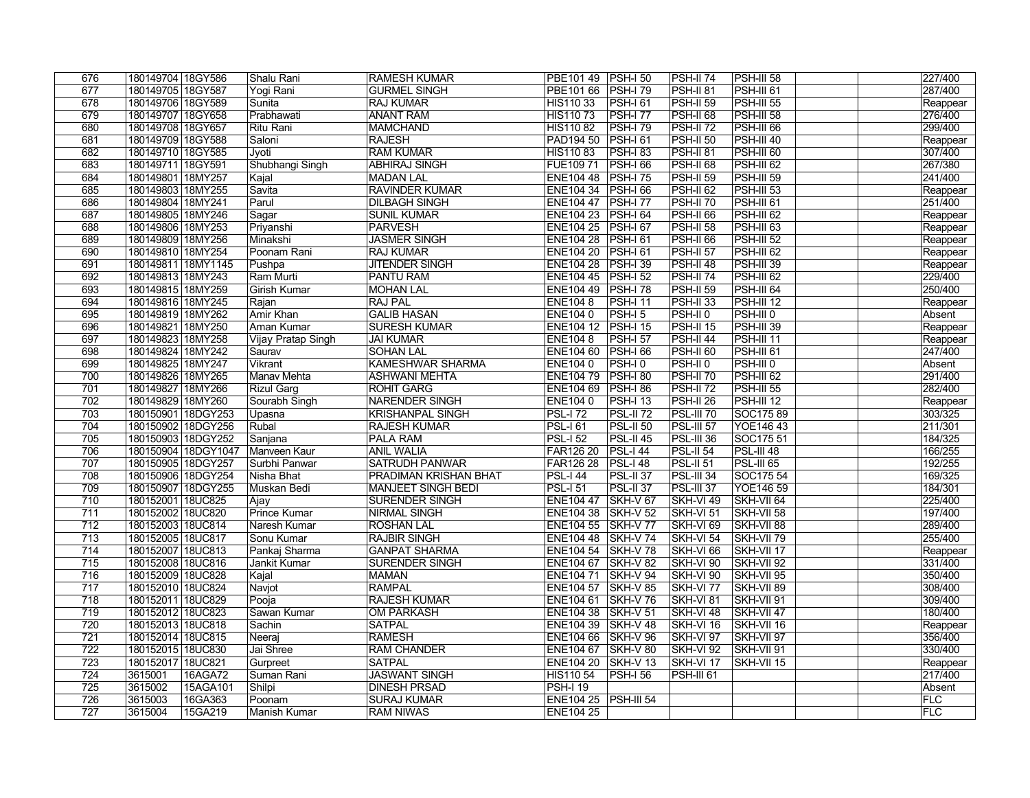| 676              | 180149704 18GY586                        |                     | Shalu Rani          | <b>RAMESH KUMAR</b>                  | PBE101 49   PSH-I 50                     |                                   | PSH-II 74               | <b>PSH-III 58</b>        | 227/400             |
|------------------|------------------------------------------|---------------------|---------------------|--------------------------------------|------------------------------------------|-----------------------------------|-------------------------|--------------------------|---------------------|
| 677              | 180149705 18GY587                        |                     | Yogi Rani           | <b>GURMEL SINGH</b>                  | PBE101 66 PSH-I 79                       |                                   | <b>PSH-II 81</b>        | <b>PSH-III 61</b>        | 287/400             |
| 678              | 180149706 18GY589                        |                     | Sunita              | <b>RAJ KUMAR</b>                     | HIS110 33                                | <b>PSH-161</b>                    | <b>PSH-II 59</b>        | <b>PSH-III 55</b>        | Reappear            |
| 679              | 180149707 18GY658                        |                     | Prabhawati          | <b>ANANT RAM</b>                     | HIS110 73                                | $PSH-I 77$                        | <b>PSH-II 68</b>        | <b>PSH-III 58</b>        | 276/400             |
| 680              | 180149708 18GY657                        |                     | Ritu Rani           | <b>MAMCHAND</b>                      | <b>HIS11082</b>                          | $PSH-I$ 79                        | <b>PSH-II 72</b>        | $PSH-II166$              | 299/400             |
| 681              | 180149709 18GY588                        |                     | Saloni              | <b>RAJESH</b>                        | PAD194 50                                | $PSH-I 61$                        | <b>PSH-II 50</b>        | $PSH-III$ 40             | Reappear            |
| 682              | 180149710 18GY585                        |                     | Jyoti               | <b>RAM KUMAR</b>                     | HIS11083                                 | <b>PSH-183</b>                    | <b>PSH-II 81</b>        | PSH-III 60               | 307/400             |
| 683              | 180149711 18GY591                        |                     | Shubhangi Singh     | <b>ABHIRAJ SINGH</b>                 | FUE109 71                                | $PSH-I 66$                        | <b>PSH-II 68</b>        | PSH-III 62               | 267/380             |
| 684              | 180149801   18MY257                      |                     | Kajal               | <b>MADAN LAL</b>                     | ENE104 48 PSH-I 75                       |                                   | <b>PSH-II 59</b>        | PSH-III 59               | 241/400             |
| 685              | 180149803 18MY255                        |                     | Savita              | <b>RAVINDER KUMAR</b>                | ENE104 34 PSH-I 66                       |                                   | PSH-II <sub>62</sub>    | <b>PSH-III 53</b>        | Reappear            |
| 686              | 180149804 18MY241                        |                     | Parul               | <b>DILBAGH SINGH</b>                 | ENE104 47   PSH-I 77                     |                                   | PSH-II <sub>70</sub>    | <b>PSH-III 61</b>        | 251/400             |
| 687              | 180149805 18MY246                        |                     | Sagar               | <b>SUNIL KUMAR</b>                   | ENE104 23 PSH-I 64                       |                                   | <b>PSH-II 66</b>        | $PSH-III 62$             | Reappear            |
| 688              | 180149806 18MY253                        |                     | Priyanshi           | <b>PARVESH</b>                       | ENE104 25 PSH-I 67                       |                                   | <b>PSH-II 58</b>        | <b>PSH-III 63</b>        | Reappear            |
| 689              | 180149809 18MY256                        |                     | Minakshi            | <b>JASMER SINGH</b>                  | ENE104 28   PSH-I 61                     |                                   | <b>PSH-II 66</b>        | $PSH-IIJ$ 52             | Reappear            |
| 690              | 180149810 18MY254                        |                     | Poonam Rani         | <b>RAJ KUMAR</b>                     | ENE104 20   PSH-I 61                     |                                   | <b>PSH-II 57</b>        | PSH-III 62               | Reappear            |
| 691              | 180149811 18MY1145                       |                     | Pushpa              | <b>JITENDER SINGH</b>                | <b>ENE104 28</b>                         | $PSH-I$ 39                        | <b>PSH-II 48</b>        | $PSH-III$ 39             | Reappear            |
| 692              | 180149813 18MY243                        |                     | Ram Murti           | PANTU RAM                            | ENE104 45 PSH-I 52                       |                                   | <b>PSH-II 74</b>        | $PSH-II162$              | 229/400             |
| 693              | 180149815 18MY259                        |                     | Girish Kumar        | <b>MOHAN LAL</b>                     | ENE104 49 PSH-I 78                       |                                   | <b>PSH-II 59</b>        | $PSH-III 64$             | 250/400             |
| 694              | 180149816 18MY245                        |                     | Rajan               | <b>RAJ PAL</b>                       | <b>ENE1048</b>                           | <b>PSH-I 11</b>                   | <b>PSH-II 33</b>        | $PSH-III$ 12             | Reappear            |
| 695              | 180149819 18MY262                        |                     | Amir Khan           | <b>GALIB HASAN</b>                   | <b>ENE1040</b>                           | $PSH-15$                          | PSH-II <sub>0</sub>     | $PSH-HIO$                | Absent              |
| 696              | 180149821 18MY250                        |                     | Aman Kumar          | <b>SURESH KUMAR</b>                  | ENE104 12 PSH-I 15                       |                                   | <b>PSH-II 15</b>        | <b>PSH-III 39</b>        | Reappear            |
| 697              | 180149823 18MY258                        |                     | Vijay Pratap Singh  | <b>JAI KUMAR</b>                     | <b>ENE1048</b>                           | <b>PSH-I 57</b>                   | <b>PSH-II 44</b>        | <b>PSH-III 11</b>        | Reappear            |
| 698              | 180149824 18MY242                        |                     | Saurav              | <b>SOHAN LAL</b>                     | <b>ENE104 60</b>                         | $PSH-I$ 66                        | <b>PSH-II 60</b>        | <b>PSH-III 61</b>        | 247/400             |
| 699              | 180149825 18MY247                        |                     | Vikrant             | KAMESHWAR SHARMA                     | ENE104 0                                 | PSH-I0                            | PSH-II <sub>0</sub>     | PSH-III 0                | Absent              |
| 700              | 180149826 18MY265                        |                     | <b>Manav Mehta</b>  | <b>ASHWANI MEHTA</b>                 | ENE104 79 PSH-I 80                       |                                   | <b>PSH-II 70</b>        | PSH-III 62               | 291/400             |
| 701              | 180149827   18MY266                      |                     | Rizul Garg          | <b>ROHIT GARG</b>                    | ENE104 69   PSH-I 86                     |                                   | <b>PSH-II 72</b>        | PSH-III 55               | 282/400             |
| 702              | 180149829 18MY260                        |                     | Sourabh Singh       | <b>NARENDER SINGH</b>                | ENE1040                                  | <b>PSH-113</b>                    | <b>PSH-II 26</b>        | $PSH-III$ 12             | Reappear            |
| 703              | 180150901 18DGY253                       |                     | Upasna              | <b>KRISHANPAL SINGH</b>              | $PSL-172$                                | $PSL-II 72$                       | <b>PSL-III 70</b>       | SOC17589                 | 303/325             |
| 704              | 180150902 18DGY256                       |                     | Rubal               | <b>RAJESH KUMAR</b>                  | $PSL-161$                                | $PSL-II 50$                       | <b>PSL-III 57</b>       | YOE146 43                | 211/301             |
| 705              | 180150903 18DGY252                       |                     | Sanjana             | <b>PALA RAM</b>                      | $PSL-152$                                | $PSL-II 45$                       | <b>PSL-III 36</b>       | SOC175 51                | 184/325             |
| 706              |                                          | 180150904 18DGY1047 | Manveen Kaur        | <b>ANIL WALIA</b>                    | <b>FAR126 20</b>                         | $PSL-144$                         | <b>PSL-II 54</b>        | $PSL-III$ 48             | 166/255             |
| 707              | 180150905 18DGY257                       |                     | Surbhi Panwar       | <b>SATRUDH PANWAR</b>                | <b>FAR126 28</b>                         | $PSL-148$                         | <b>PSL-II 51</b>        | $PSL-III$ 65             | 192/255             |
| 708              | 180150906 18DGY254                       |                     | <b>Nisha Bhat</b>   | PRADIMAN KRISHAN BHAT                | $PSL-144$                                | $PSL-II37$                        | <b>PSL-III 34</b>       | SOC175 54                | 169/325             |
| 709              | 180150907 18DGY255                       |                     | Muskan Bedi         | <b>MANJEET SINGH BEDI</b>            | $PSL-151$                                | $PSL-II37$                        | <b>PSL-III 37</b>       | YOE146 59                | 184/301             |
| 710              | 180152001 18UC825                        |                     | Ajay                | <b>SURENDER SINGH</b>                | <b>ENE10447</b>                          | $SKH-V67$                         | SKH-VI 49               | SKH-VII 64               | 225/400             |
| $\overline{711}$ | 180152002 18UC820                        |                     | <b>Prince Kumar</b> | <b>NIRMAL SINGH</b>                  | ENE104 38 SKH-V 52                       |                                   | SKH-VI 51               | SKH-VII 58               | 197/400             |
| $\overline{712}$ | 180152003 18UC814                        |                     | Naresh Kumar        | <b>ROSHAN LAL</b>                    | ENE104 55 SKH-V 77                       |                                   | $SKH-VI$ 69             | SKH-VII 88               | 289/400             |
| 713              | 180152005 18UC817                        |                     | Sonu Kumar          | <b>RAJBIR SINGH</b>                  | ENE104 48 SKH-V 74                       |                                   | SKH-VI 54               | SKH-VII 79               | 255/400             |
| 714              | 180152007 18UC813                        |                     | Pankaj Sharma       | <b>GANPAT SHARMA</b>                 | ENE104 54 SKH-V 78                       |                                   | SKH-VI 66               | SKH-VII 17               | Reappear            |
| 715              | 180152008 18UC816                        |                     | Jankit Kumar        | <b>SURENDER SINGH</b>                | ENE104 67 SKH-V 82                       |                                   | SKH-VI 90               | SKH-VII 92               | 331/400<br>350/400  |
| 716              | 180152009 18UC828                        |                     | Kajal               | <b>MAMAN</b>                         | <b>ENE10471</b>                          | <b>SKH-V 94</b>                   | SKH-VI 90               | SKH-VII 95               |                     |
| 717<br>718       | 180152010 18UC824<br>180152011   18UC829 |                     | Navjot<br>Pooja     | <b>RAMPAL</b><br><b>RAJESH KUMAR</b> | ENE104 57<br>ENE104 61                   | <b>SKH-V 85</b><br><b>SKH-V76</b> | SKH-VI 77<br> SKH-VI 81 | SKH-VII 89<br>SKH-VII 91 | 308/400<br>309/400  |
|                  |                                          |                     |                     |                                      |                                          |                                   |                         |                          |                     |
| 719<br>720       | 180152012 18UC823                        |                     | Sawan Kumar         | <b>OM PARKASH</b>                    | ENE104 38 SKH-V 51<br>ENE104 39 SKH-V 48 |                                   | SKH-VI 48               | SKH-VII 47<br>SKH-VII 16 | 180/400             |
| 721              | 180152013 18UC818<br>180152014 18UC815   |                     | Sachin              | <b>SATPAL</b><br><b>RAMESH</b>       | ENE104 66                                | SKH-V 96                          | SKH-VI 16<br>SKH-VI 97  | SKH-VII 97               | Reappear<br>356/400 |
| 722              | 180152015 18UC830                        |                     | Neeraj<br>Jai Shree | <b>RAM CHANDER</b>                   | <b>ENE104 67</b>                         | $SKH-V 80$                        | <b>SKH-VI 92</b>        | SKH-VII 91               | 330/400             |
| 723              | 180152017 18UC821                        |                     | Gurpreet            | <b>SATPAL</b>                        | ENE104 20                                | $\overline{\left $ SKH-V 13       | SKH-VI <sub>17</sub>    | SKH-VII 15               |                     |
| 724              | 3615001                                  | 16AGA72             | Suman Rani          | <b>JASWANT SINGH</b>                 | HIS110 54                                | <b>PSH-I 56</b>                   | <b>PSH-III 61</b>       |                          | Reappear<br>217/400 |
| 725              | 3615002                                  | 15AGA101            | Shilpi              | <b>DINESH PRSAD</b>                  | $PSH-119$                                |                                   |                         |                          | Absent              |
| 726              | 3615003                                  | 16GA363             | Poonam              | <b>SURAJ KUMAR</b>                   | ENE104 25   PSH-III 54                   |                                   |                         |                          | <b>FLC</b>          |
| 727              | 3615004                                  | 15GA219             | Manish Kumar        | <b>RAM NIWAS</b>                     | <b>ENE104 25</b>                         |                                   |                         |                          | <b>FLC</b>          |
|                  |                                          |                     |                     |                                      |                                          |                                   |                         |                          |                     |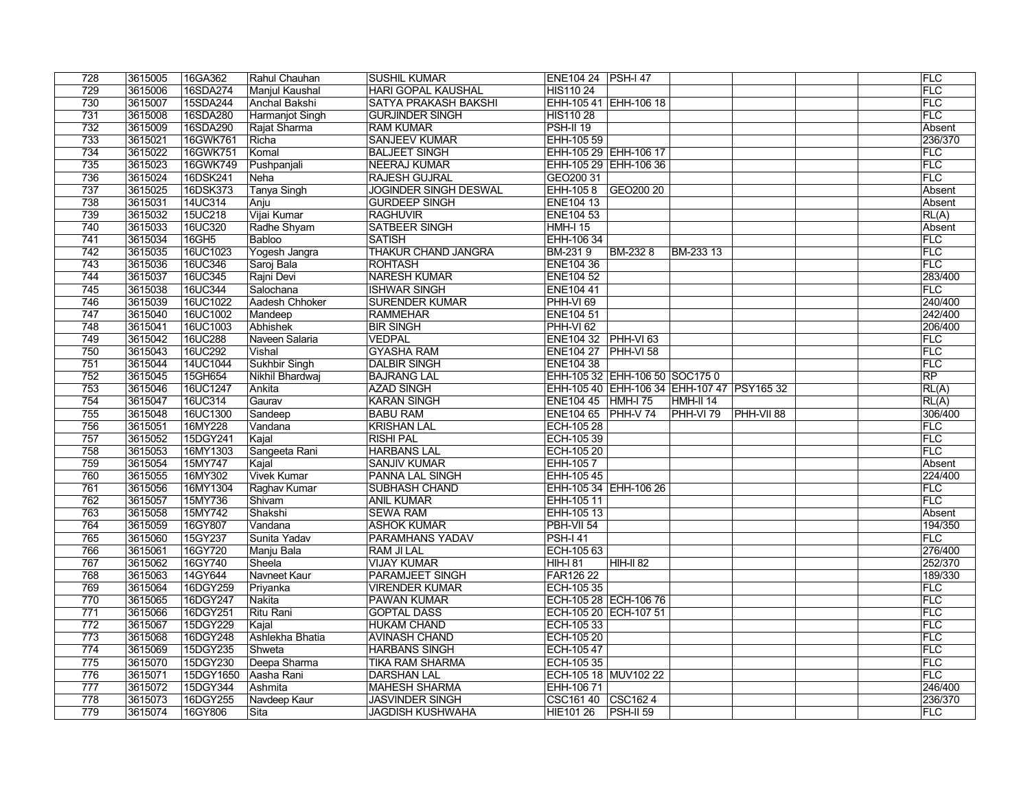| 728              | 3615005            | 16GA362             | Rahul Chauhan         | <b>SUSHIL KUMAR</b>                               | ENE104 24   PSH-I 47            |                                            | FLC            |
|------------------|--------------------|---------------------|-----------------------|---------------------------------------------------|---------------------------------|--------------------------------------------|----------------|
| 729              | 3615006            | 16SDA274            | Manjul Kaushal        | <b>HARI GOPAL KAUSHAL</b>                         | <b>HIS110 24</b>                |                                            | FLC            |
| 730              | 3615007            | 15SDA244            | Anchal Bakshi         | <b>SATYA PRAKASH BAKSHI</b>                       |                                 | EHH-105 41 EHH-106 18                      | FLC            |
| 731              | 3615008            | 16SDA280            | Harmanjot Singh       | <b>GURJINDER SINGH</b>                            | <b>HIS110 28</b>                |                                            | FLC            |
| 732              | 3615009            | 16SDA290            | Rajat Sharma          | <b>RAM KUMAR</b>                                  | $PSH-II19$                      |                                            | Absent         |
| 733              | 3615021            | 16GWK761            | Richa                 | <b>SANJEEV KUMAR</b>                              | EHH-105 59                      |                                            | 236/370        |
| 734              | 3615022            | 16GWK751            | Komal                 | <b>BALJEET SINGH</b>                              |                                 | EHH-105 29 EHH-106 17                      | <b>FLC</b>     |
| 735              | 3615023            | 16GWK749            | Pushpanjali           | <b>NEERAJ KUMAR</b>                               |                                 | EHH-105 29 EHH-106 36                      | FLC            |
| 736              | 3615024            | 16DSK241            | Neha                  | <b>RAJESH GUJRAL</b>                              | GEO200 31                       |                                            | FLC            |
| 737              | 3615025            | 16DSK373            | Tanya Singh           | <b>JOGINDER SINGH DESWAL</b>                      |                                 | EHH-105 8 GEO200 20                        | Absent         |
| 738              | 3615031            | 14UC314             | Anju                  | <b>GURDEEP SINGH</b>                              | <b>ENE104 13</b>                |                                            | Absent         |
| 739              | 3615032            | 15UC218             | Vijai Kumar           | <b>RAGHUVIR</b>                                   | ENE104 53                       |                                            | RL(A)          |
| 740              | 3615033            | 16UC320             | Radhe Shyam           | <b>SATBEER SINGH</b>                              | <b>HMH-I 15</b>                 |                                            | Absent         |
| 741              | 3615034            | $16$ GH $5$         | <b>Babloo</b>         | <b>SATISH</b>                                     | EHH-106 34                      |                                            | FLC            |
| 742              | 3615035            | 16UC1023            | Yogesh Jangra         | <b>THAKUR CHAND JANGRA</b>                        | <b>BM-2319</b>                  | BM-2328<br>BM-233 13                       | <b>FLC</b>     |
| 743              | 3615036            | 16UC346             | Saroj Bala            | <b>ROHTASH</b>                                    | <b>ENE104 36</b>                |                                            | <b>FLC</b>     |
| 744              | 3615037            | 16UC345             | Rajni Devi            | <b>NARESH KUMAR</b>                               | <b>ENE104 52</b>                |                                            | 283/400        |
| $\overline{745}$ | 3615038            | 16UC344             | Salochana             | <b>ISHWAR SINGH</b>                               | <b>ENE10441</b>                 |                                            | FLC            |
| 746              | 3615039            | 16UC1022            | Aadesh Chhoker        | <b>SURENDER KUMAR</b>                             | $PHH-VI$ 69                     |                                            | 240/400        |
| 747              | 3615040            | 16UC1002            | Mandeep               | <b>RAMMEHAR</b>                                   | <b>ENE104 51</b>                |                                            | 242/400        |
| 748              | 3615041            | 16UC1003            | Abhishek              | <b>BIR SINGH</b>                                  | PHH-VI <sub>62</sub>            |                                            | 206/400        |
| 749              | 3615042            | <b>16UC288</b>      | Naveen Salaria        | <b>VEDPAL</b>                                     | ENE104 32 PHH-VI 63             |                                            | FLC            |
| 750              | 3615043            | 16UC292             | Vishal                | <b>GYASHA RAM</b>                                 | <b>ENE104 27 PHH-VI 58</b>      |                                            | FLC            |
| 751              | 3615044            | 14UC1044            | Sukhbir Singh         | <b>DALBIR SINGH</b>                               | <b>ENE104 38</b>                |                                            | FLC            |
| 752              | 3615045            | 15GH654             | Nikhil Bhardwaj       | <b>BAJRANG LAL</b>                                |                                 | EHH-105 32 EHH-106 50 SOC175 0             | RP             |
| 753              | 3615046            | 16UC1247            | Ankita                | <b>AZAD SINGH</b>                                 |                                 | EHH-105 40 EHH-106 34 EHH-107 47 PSY165 32 | RL(A)          |
| 754              | 3615047            | 16UC314             | Gaurav                | <b>KARAN SINGH</b>                                | ENE104 45 HMH-I 75              | $HMH-II 14$                                | RL(A)          |
| 755              | 3615048            | 16UC1300            | Sandeep               | <b>BABU RAM</b>                                   | ENE104 65 PHH-V 74              | $ $ PHH-VI 79<br>$ $ PHH-VII 88            | 306/400        |
| 756              | 3615051            | 16MY228             | Vandana               | <b>KRISHAN LAL</b>                                | ECH-105 28                      |                                            | FLC            |
| 757              | 3615052            | 15DGY241            | Kajal                 | <b>RISHI PAL</b>                                  | ECH-105 39                      |                                            | <b>FLC</b>     |
| 758              | 3615053            | 16MY1303            | Sangeeta Rani         | <b>HARBANS LAL</b>                                | <b>ECH-105 20</b>               |                                            | FLC            |
| 759              | 3615054            | 15MY747             | Kajal                 | <b>SANJIV KUMAR</b>                               | EHH-1057                        |                                            | Absent         |
| 760              | 3615055            | 16MY302             | <b>Vivek Kumar</b>    | <b>PANNA LAL SINGH</b>                            | EHH-105 45                      |                                            | 224/400        |
| 761              | 3615056            | 16MY1304            | Raghav Kumar          | <b>SUBHASH CHAND</b>                              |                                 | EHH-105 34 EHH-106 26                      | FLC            |
| 762              | 3615057            | 15MY736             | Shivam                | <b>ANIL KUMAR</b>                                 | EHH-105 11                      |                                            | FLC            |
| 763              | 3615058            | 15MY742             | Shakshi               | <b>SEWA RAM</b>                                   | EHH-105 13                      |                                            | Absent         |
| 764              | 3615059            | 16GY807             | Vandana               | <b>ASHOK KUMAR</b>                                | PBH-VII 54                      |                                            | 194/350        |
| 765              | 3615060            | 15GY237             | Sunita Yadav          | <b>PARAMHANS YADAV</b>                            | <b>PSH-141</b>                  |                                            | FLC            |
| 766              | 3615061            | 16GY720             | Manju Bala            | RAM JI LAL                                        | ECH-105 63                      |                                            | 276/400        |
| 767              | 3615062            | 16GY740             | Sheela                | <b>VIJAY KUMAR</b>                                | HIH-I 81                        | $HH-H 82$                                  | 252/370        |
| 768              | 3615063            | 14GY644             | Navneet Kaur          | <b>PARAMJEET SINGH</b>                            | <b>FAR126 22</b>                |                                            | 189/330        |
| 769              | 3615064            | 16DGY259            | Priyanka              | <b>VIRENDER KUMAR</b>                             | ECH-105 35                      |                                            | FLC            |
| 770              |                    |                     |                       |                                                   |                                 |                                            |                |
| 771              |                    |                     |                       |                                                   |                                 |                                            |                |
|                  | 3615065            | 16DGY247            | Nakita                | PAWAN KUMAR                                       |                                 | ECH-105 28 ECH-106 76                      | FLC            |
|                  | 3615066            | 16DGY251            | Ritu Rani             | <b>GOPTAL DASS</b>                                |                                 | ECH-105 20 ECH-107 51                      | FLC            |
| 772              | 3615067            | 15DGY229            | Kajal                 | <b>HUKAM CHAND</b>                                | ECH-105 33                      |                                            | FLC            |
| 773              | 3615068            | 16DGY248            | Ashlekha Bhatia       | <b>AVINASH CHAND</b>                              | ECH-105 20                      |                                            | FLC            |
| 774              | 3615069            | 15DGY235            | Shweta                | <b>HARBANS SINGH</b>                              | ECH-105 47                      |                                            | FLC            |
| 775              | 3615070            | 15DGY230            | Deepa Sharma          | <b>TIKA RAM SHARMA</b>                            | ECH-105 35                      |                                            | FLC            |
| 776              | 3615071            | 15DGY1650           | Aasha Rani            | <b>DARSHAN LAL</b>                                |                                 | ECH-105 18 MUV102 22                       | <b>FLC</b>     |
| 777              | 3615072            | 15DGY344            | Ashmita               | <b>MAHESH SHARMA</b>                              | EHH-106 71                      |                                            | 246/400        |
| 778<br>779       | 3615073<br>3615074 | 16DGY255<br>16GY806 | Navdeep Kaur<br> Sita | <b>JASVINDER SINGH</b><br><b>JAGDISH KUSHWAHA</b> | CSC161 40 CSC162 4<br>HIE101 26 | $PSH-II 59$                                | 236/370<br>FLC |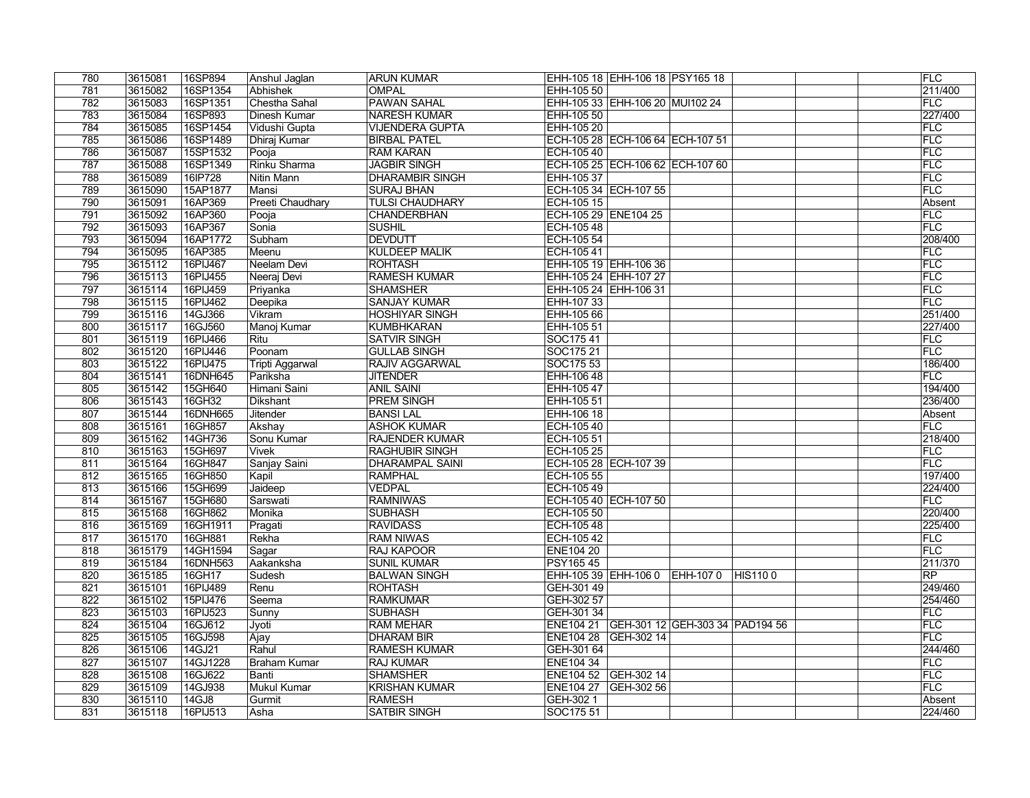| 780        | 3615081 | 16SP894  | Anshul Jaglan                   | <b>ARUN KUMAR</b>      |                      | EHH-105 18 EHH-106 18 PSY165 18           |                | <b>FLC</b>           |
|------------|---------|----------|---------------------------------|------------------------|----------------------|-------------------------------------------|----------------|----------------------|
| 781        | 3615082 | 16SP1354 | Abhishek                        | <b>OMPAL</b>           | EHH-105 50           |                                           |                | 211/400              |
| 782        | 3615083 | 16SP1351 | Chestha Sahal                   | <b>PAWAN SAHAL</b>     |                      | EHH-105 33 EHH-106 20 MUI102 24           |                | FLC                  |
| 783        | 3615084 | 16SP893  | <b>Dinesh Kumar</b>             | <b>NARESH KUMAR</b>    | EHH-105 50           |                                           |                | 227/400              |
| 784        | 3615085 | 16SP1454 | Vidushi Gupta                   | <b>VIJENDERA GUPTA</b> | EHH-105 20           |                                           |                | FLC                  |
| 785        | 3615086 | 16SP1489 | Dhiraj Kumar                    | <b>BIRBAL PATEL</b>    |                      | ECH-105 28 ECH-106 64 ECH-107 51          |                | FLC                  |
| 786        | 3615087 | 15SP1532 | Pooja                           | <b>RAM KARAN</b>       | ECH-105 40           |                                           |                | FLC                  |
| 787        | 3615088 | 16SP1349 | Rinku Sharma                    | <b>JAGBIR SINGH</b>    |                      | ECH-105 25 ECH-106 62 ECH-107 60          |                | <b>FLC</b>           |
| 788        | 3615089 | 16IP728  | Nitin Mann                      | <b>DHARAMBIR SINGH</b> | EHH-105 37           |                                           |                | <b>FLC</b>           |
| 789        | 3615090 | 15AP1877 | Mansi                           | <b>SURAJ BHAN</b>      |                      | ECH-105 34 ECH-107 55                     |                | FLC                  |
| 790        | 3615091 | 16AP369  | <b>Preeti Chaudhary</b>         | <b>TULSI CHAUDHARY</b> | ECH-105 15           |                                           |                | Absent               |
| 791        | 3615092 | 16AP360  | Pooja                           | <b>CHANDERBHAN</b>     | ECH-105 29 ENE104 25 |                                           |                | <b>FLC</b>           |
| 792        | 3615093 | 16AP367  | Sonia                           | <b>SUSHIL</b>          | ECH-105 48           |                                           |                | FLC                  |
| 793        | 3615094 | 16AP1772 | Subham                          | <b>DEVDUTT</b>         | ECH-105 54           |                                           |                | 208/400              |
| 794        | 3615095 | 16AP385  | Meenu                           | <b>KULDEEP MALIK</b>   | ECH-10541            |                                           |                | FLC                  |
| 795        | 3615112 | 16PIJ467 | Neelam Devi                     | <b>ROHTASH</b>         |                      | EHH-105 19 EHH-106 36                     |                | FLC                  |
| 796        | 3615113 | 16PIJ455 | Neeraj Devi                     | <b>RAMESH KUMAR</b>    |                      | EHH-105 24 EHH-107 27                     |                | FLC                  |
| 797        | 3615114 | 16PIJ459 | Priyanka                        | <b>SHAMSHER</b>        |                      | EHH-105 24 EHH-106 31                     |                | FLC                  |
| 798        | 3615115 | 16PIJ462 | Deepika                         | <b>SANJAY KUMAR</b>    | EHH-107 33           |                                           |                | FLC                  |
| 799        | 3615116 | 14GJ366  | Vikram                          | <b>HOSHIYAR SINGH</b>  | EHH-105 66           |                                           |                | 251/400              |
| 800        | 3615117 | 16GJ560  | Manoj Kumar                     | <b>KUMBHKARAN</b>      | EHH-105 51           |                                           |                | 227/400              |
| 801        | 3615119 | 16PIJ466 | Ritu                            | <b>SATVIR SINGH</b>    | SOC17541             |                                           |                | FLC                  |
| 802        | 3615120 | 16PIJ446 | Poonam                          | <b>GULLAB SINGH</b>    | SOC175 21            |                                           |                | FLC                  |
| 803        | 3615122 | 16PIJ475 | Tripti Aggarwal                 | <b>RAJIV AGGARWAL</b>  | SOC175 53            |                                           |                | 186/400              |
| 804        | 3615141 | 16DNH645 | Pariksha                        | <b>JITENDER</b>        | EHH-106 48           |                                           |                | <b>FLC</b>           |
|            | 3615142 | 15GH640  |                                 | <b>ANIL SAINI</b>      | EHH-105 47           |                                           |                | 194/400              |
| 805<br>806 | 3615143 | 16GH32   | Himani Saini<br><b>Dikshant</b> | <b>PREM SINGH</b>      | EHH-105 51           |                                           |                | 236/400              |
|            |         |          |                                 | <b>BANSILAL</b>        |                      |                                           |                |                      |
| 807        | 3615144 | 16DNH665 | Jitender                        | <b>ASHOK KUMAR</b>     | EHH-106 18           |                                           |                | Absent<br><b>FLC</b> |
| 808        | 3615161 | 16GH857  | Akshay                          |                        | ECH-105 40           |                                           |                |                      |
| 809        | 3615162 | 14GH736  | Sonu Kumar                      | <b>RAJENDER KUMAR</b>  | ECH-105 51           |                                           |                | 218/400              |
| 810        | 3615163 | 15GH697  | <b>Vivek</b>                    | <b>RAGHUBIR SINGH</b>  | ECH-105 25           |                                           |                | <b>FLC</b><br>FLC    |
| 811        | 3615164 | 16GH847  | Sanjay Saini                    | <b>DHARAMPAL SAINI</b> |                      | ECH-105 28 ECH-107 39                     |                |                      |
| 812        | 3615165 | 16GH850  | Kapil                           | <b>RAMPHAL</b>         | ECH-105 55           |                                           |                | 197/400              |
| 813        | 3615166 | 15GH699  | Jaideep                         | <b>VEDPAL</b>          | ECH-105 49           |                                           |                | 224/400              |
| 814        | 3615167 | 15GH680  | Sarswati                        | <b>RAMNIWAS</b>        |                      | ECH-105 40 ECH-107 50                     |                | FLC                  |
| 815        | 3615168 | 16GH862  | Monika                          | <b>SUBHASH</b>         | ECH-105 50           |                                           |                | 220/400              |
| 816        | 3615169 | 16GH1911 | Pragati                         | <b>RAVIDASS</b>        | ECH-105 48           |                                           |                | 225/400              |
| 817        | 3615170 | 16GH881  | Rekha                           | <b>RAM NIWAS</b>       | ECH-105 42           |                                           |                | <b>FLC</b>           |
| 818        | 3615179 | 14GH1594 | Sagar                           | <b>RAJ KAPOOR</b>      | <b>ENE104 20</b>     |                                           |                | FLC                  |
| 819        | 3615184 | 16DNH563 | Aakanksha                       | <b>SUNIL KUMAR</b>     | <b>PSY16545</b>      |                                           |                | 211/370              |
| 820        | 3615185 | 16GH17   | Sudesh                          | <b>BALWAN SINGH</b>    |                      | EHH-105 39 EHH-106 0 EHH-107 0            | <b>HIS1100</b> | RP                   |
| 821        | 3615101 | 16PIJ489 | Renu                            | <b>ROHTASH</b>         | GEH-301 49           |                                           |                | 249/460              |
| 822        | 3615102 | 15PIJ476 | ∣Seema                          | <b>RAMKUMAR</b>        | GEH-302 57           |                                           |                | 254/460              |
| 823        | 3615103 | 16PIJ523 | Sunny                           | <b>SUBHASH</b>         | GEH-301 34           |                                           |                | <b>FLC</b>           |
| 824        | 3615104 | 16GJ612  | ∣Jyoti                          | <b>RAM MEHAR</b>       |                      | ENE104 21 GEH-301 12 GEH-303 34 PAD194 56 |                | <b>FLC</b>           |
| 825        | 3615105 | 16GJ598  | Ajay                            | <b>DHARAM BIR</b>      |                      | ENE104 28 GEH-302 14                      |                | <b>FLC</b>           |
| 826        | 3615106 | 14GJ21   | Rahul                           | <b>RAMESH KUMAR</b>    | GEH-301 64           |                                           |                | 244/460              |
| 827        | 3615107 | 14GJ1228 | Braham Kumar                    | <b>RAJ KUMAR</b>       | <b>ENE104 34</b>     |                                           |                | FLC                  |
| 828        | 3615108 | 16GJ622  | Banti                           | <b>SHAMSHER</b>        |                      | ENE104 52 GEH-302 14                      |                | FLC                  |
| 829        | 3615109 | 14GJ938  | <b>Mukul Kumar</b>              | <b>KRISHAN KUMAR</b>   | <b>ENE104 27</b>     | GEH-302 56                                |                | FLC                  |
| 830        | 3615110 | 14GJ8    | Gurmit                          | <b>RAMESH</b>          | GEH-302 1            |                                           |                | Absent               |
| 831        | 3615118 | 16PIJ513 | Asha                            | <b>SATBIR SINGH</b>    | SOC175 51            |                                           |                | 224/460              |